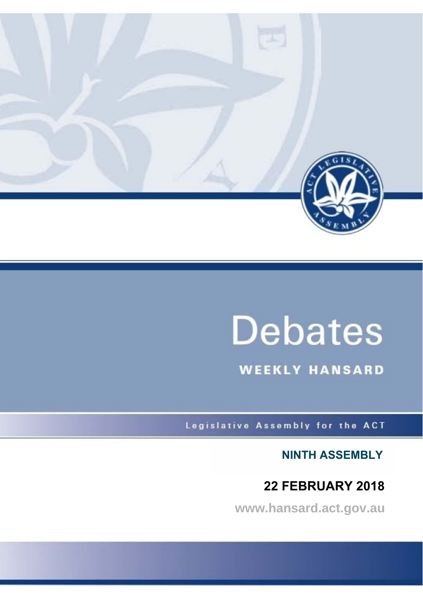

# **Debates**

**WEEKLY HANSARD** 

Legislative Assembly for the ACT

**NINTH ASSEMBLY**

# **22 FEBRUARY 2018**

**www.hansard.act.gov.au**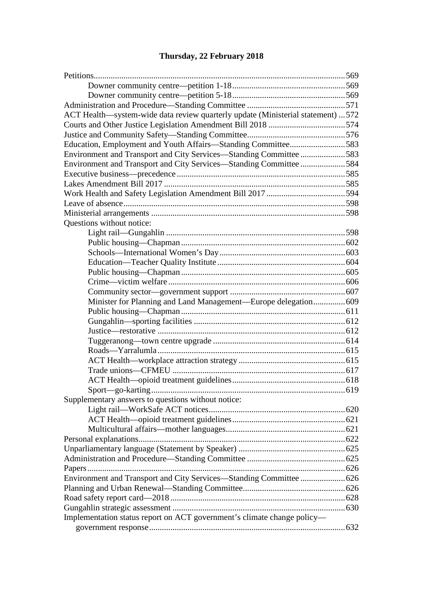# **[Thursday, 22 February 2018](#page-3-0)**

| ACT Health—system-wide data review quarterly update (Ministerial statement)  572 |  |
|----------------------------------------------------------------------------------|--|
|                                                                                  |  |
|                                                                                  |  |
|                                                                                  |  |
| Environment and Transport and City Services-Standing Committee 583               |  |
| Environment and Transport and City Services-Standing Committee 584               |  |
|                                                                                  |  |
|                                                                                  |  |
|                                                                                  |  |
|                                                                                  |  |
|                                                                                  |  |
| Questions without notice:                                                        |  |
|                                                                                  |  |
|                                                                                  |  |
|                                                                                  |  |
|                                                                                  |  |
|                                                                                  |  |
|                                                                                  |  |
|                                                                                  |  |
| Minister for Planning and Land Management—Europe delegation 609                  |  |
|                                                                                  |  |
|                                                                                  |  |
|                                                                                  |  |
|                                                                                  |  |
|                                                                                  |  |
|                                                                                  |  |
|                                                                                  |  |
|                                                                                  |  |
|                                                                                  |  |
| Supplementary answers to questions without notice:                               |  |
|                                                                                  |  |
|                                                                                  |  |
|                                                                                  |  |
|                                                                                  |  |
|                                                                                  |  |
|                                                                                  |  |
|                                                                                  |  |
| Environment and Transport and City Services-Standing Committee  626              |  |
|                                                                                  |  |
|                                                                                  |  |
|                                                                                  |  |
| Implementation status report on ACT government's climate change policy-          |  |
|                                                                                  |  |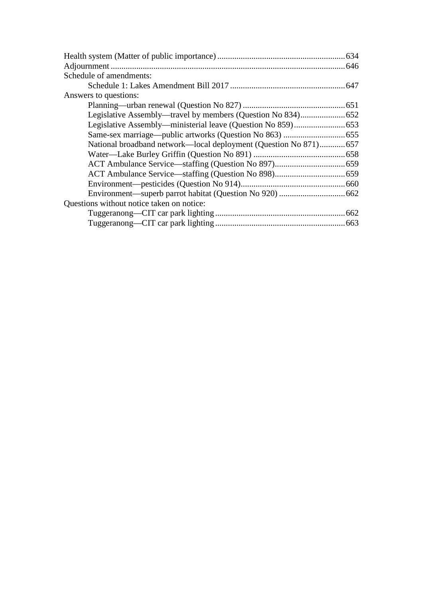| Schedule of amendments:                                          |  |
|------------------------------------------------------------------|--|
|                                                                  |  |
| Answers to questions:                                            |  |
|                                                                  |  |
|                                                                  |  |
|                                                                  |  |
|                                                                  |  |
| National broadband network—local deployment (Question No 871)657 |  |
|                                                                  |  |
|                                                                  |  |
|                                                                  |  |
|                                                                  |  |
|                                                                  |  |
| Questions without notice taken on notice:                        |  |
|                                                                  |  |
|                                                                  |  |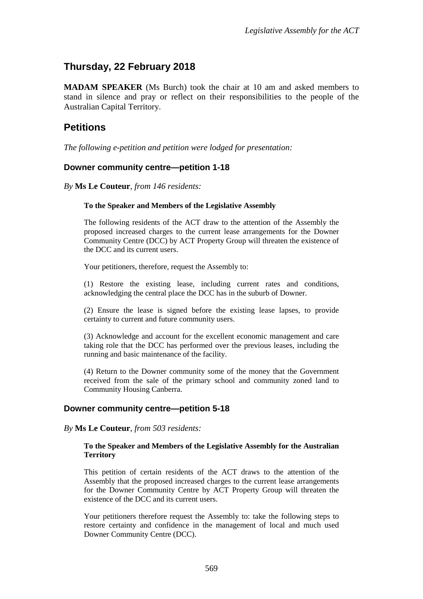# <span id="page-3-0"></span>**Thursday, 22 February 2018**

**MADAM SPEAKER** (Ms Burch) took the chair at 10 am and asked members to stand in silence and pray or reflect on their responsibilities to the people of the Australian Capital Territory.

# <span id="page-3-1"></span>**Petitions**

*The following e-petition and petition were lodged for presentation:*

#### <span id="page-3-2"></span>**Downer community centre—petition 1-18**

*By* **Ms Le Couteur**, *from 146 residents:*

#### **To the Speaker and Members of the Legislative Assembly**

The following residents of the ACT draw to the attention of the Assembly the proposed increased charges to the current lease arrangements for the Downer Community Centre (DCC) by ACT Property Group will threaten the existence of the DCC and its current users.

Your petitioners, therefore, request the Assembly to:

(1) Restore the existing lease, including current rates and conditions, acknowledging the central place the DCC has in the suburb of Downer.

(2) Ensure the lease is signed before the existing lease lapses, to provide certainty to current and future community users.

(3) Acknowledge and account for the excellent economic management and care taking role that the DCC has performed over the previous leases, including the running and basic maintenance of the facility.

(4) Return to the Downer community some of the money that the Government received from the sale of the primary school and community zoned land to Community Housing Canberra.

#### <span id="page-3-3"></span>**Downer community centre—petition 5-18**

#### *By* **Ms Le Couteur**, *from 503 residents:*

#### **To the Speaker and Members of the Legislative Assembly for the Australian Territory**

This petition of certain residents of the ACT draws to the attention of the Assembly that the proposed increased charges to the current lease arrangements for the Downer Community Centre by ACT Property Group will threaten the existence of the DCC and its current users.

Your petitioners therefore request the Assembly to: take the following steps to restore certainty and confidence in the management of local and much used Downer Community Centre (DCC).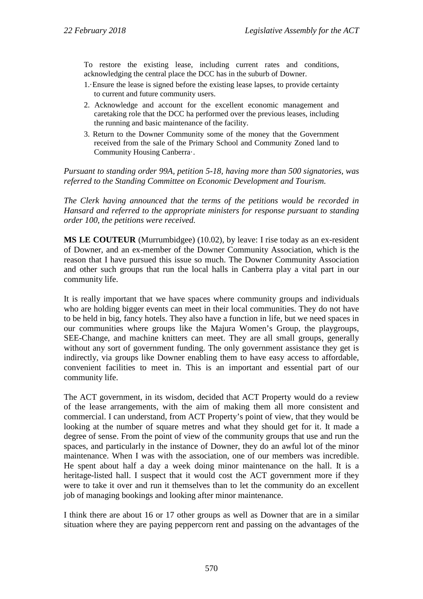To restore the existing lease, including current rates and conditions, acknowledging the central place the DCC has in the suburb of Downer.

- 1.·Ensure the lease is signed before the existing lease lapses, to provide certainty to current and future community users.
- 2. Acknowledge and account for the excellent economic management and caretaking role that the DCC ha performed over the previous leases, including the running and basic maintenance of the facility.
- 3. Return to the Downer Community some of the money that the Government received from the sale of the Primary School and Community Zoned land to Community Housing Canberra·.

*Pursuant to standing order 99A, petition 5-18, having more than 500 signatories, was referred to the Standing Committee on Economic Development and Tourism.*

*The Clerk having announced that the terms of the petitions would be recorded in Hansard and referred to the appropriate ministers for response pursuant to standing order 100, the petitions were received.*

**MS LE COUTEUR** (Murrumbidgee) (10.02), by leave: I rise today as an ex-resident of Downer, and an ex-member of the Downer Community Association, which is the reason that I have pursued this issue so much. The Downer Community Association and other such groups that run the local halls in Canberra play a vital part in our community life.

It is really important that we have spaces where community groups and individuals who are holding bigger events can meet in their local communities. They do not have to be held in big, fancy hotels. They also have a function in life, but we need spaces in our communities where groups like the Majura Women's Group, the playgroups, SEE-Change, and machine knitters can meet. They are all small groups, generally without any sort of government funding. The only government assistance they get is indirectly, via groups like Downer enabling them to have easy access to affordable, convenient facilities to meet in. This is an important and essential part of our community life.

The ACT government, in its wisdom, decided that ACT Property would do a review of the lease arrangements, with the aim of making them all more consistent and commercial. I can understand, from ACT Property's point of view, that they would be looking at the number of square metres and what they should get for it. It made a degree of sense. From the point of view of the community groups that use and run the spaces, and particularly in the instance of Downer, they do an awful lot of the minor maintenance. When I was with the association, one of our members was incredible. He spent about half a day a week doing minor maintenance on the hall. It is a heritage-listed hall. I suspect that it would cost the ACT government more if they were to take it over and run it themselves than to let the community do an excellent job of managing bookings and looking after minor maintenance.

I think there are about 16 or 17 other groups as well as Downer that are in a similar situation where they are paying peppercorn rent and passing on the advantages of the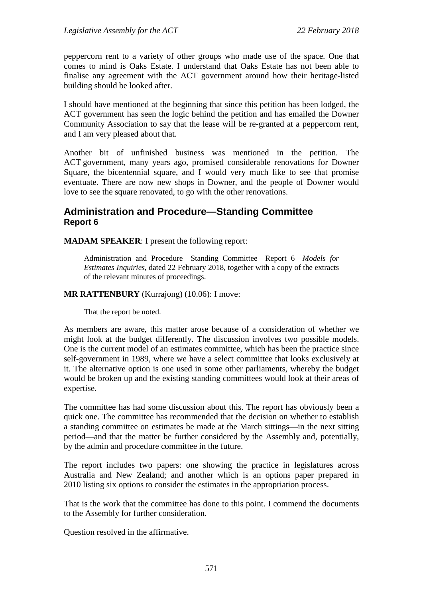peppercorn rent to a variety of other groups who made use of the space. One that comes to mind is Oaks Estate. I understand that Oaks Estate has not been able to finalise any agreement with the ACT government around how their heritage-listed building should be looked after.

I should have mentioned at the beginning that since this petition has been lodged, the ACT government has seen the logic behind the petition and has emailed the Downer Community Association to say that the lease will be re-granted at a peppercorn rent, and I am very pleased about that.

Another bit of unfinished business was mentioned in the petition. The ACT government, many years ago, promised considerable renovations for Downer Square, the bicentennial square, and I would very much like to see that promise eventuate. There are now new shops in Downer, and the people of Downer would love to see the square renovated, to go with the other renovations.

# <span id="page-5-0"></span>**Administration and Procedure—Standing Committee Report 6**

**MADAM SPEAKER**: I present the following report:

Administration and Procedure—Standing Committee—Report 6—*Models for Estimates Inquiries*, dated 22 February 2018, together with a copy of the extracts of the relevant minutes of proceedings.

#### **MR RATTENBURY** (Kurrajong) (10.06): I move:

That the report be noted.

As members are aware, this matter arose because of a consideration of whether we might look at the budget differently. The discussion involves two possible models. One is the current model of an estimates committee, which has been the practice since self-government in 1989, where we have a select committee that looks exclusively at it. The alternative option is one used in some other parliaments, whereby the budget would be broken up and the existing standing committees would look at their areas of expertise.

The committee has had some discussion about this. The report has obviously been a quick one. The committee has recommended that the decision on whether to establish a standing committee on estimates be made at the March sittings—in the next sitting period—and that the matter be further considered by the Assembly and, potentially, by the admin and procedure committee in the future.

The report includes two papers: one showing the practice in legislatures across Australia and New Zealand; and another which is an options paper prepared in 2010 listing six options to consider the estimates in the appropriation process.

That is the work that the committee has done to this point. I commend the documents to the Assembly for further consideration.

Question resolved in the affirmative.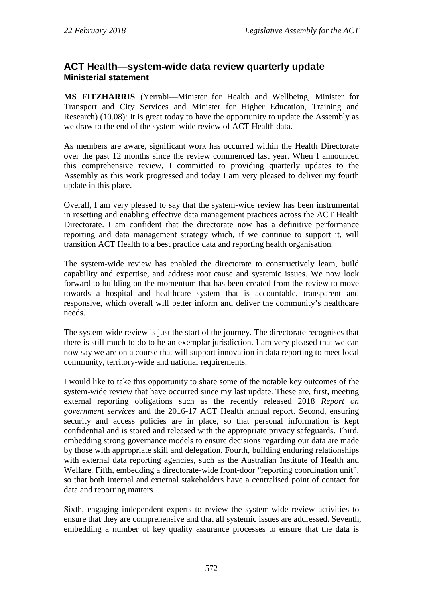# <span id="page-6-1"></span><span id="page-6-0"></span>**ACT Health—system-wide data review quarterly update Ministerial statement**

**MS FITZHARRIS** (Yerrabi—Minister for Health and Wellbeing, Minister for Transport and City Services and Minister for Higher Education, Training and Research) (10.08): It is great today to have the opportunity to update the Assembly as we draw to the end of the system-wide review of ACT Health data.

As members are aware, significant work has occurred within the Health Directorate over the past 12 months since the review commenced last year. When I announced this comprehensive review, I committed to providing quarterly updates to the Assembly as this work progressed and today I am very pleased to deliver my fourth update in this place.

Overall, I am very pleased to say that the system-wide review has been instrumental in resetting and enabling effective data management practices across the ACT Health Directorate. I am confident that the directorate now has a definitive performance reporting and data management strategy which, if we continue to support it, will transition ACT Health to a best practice data and reporting health organisation.

The system-wide review has enabled the directorate to constructively learn, build capability and expertise, and address root cause and systemic issues. We now look forward to building on the momentum that has been created from the review to move towards a hospital and healthcare system that is accountable, transparent and responsive, which overall will better inform and deliver the community's healthcare needs.

The system-wide review is just the start of the journey. The directorate recognises that there is still much to do to be an exemplar jurisdiction. I am very pleased that we can now say we are on a course that will support innovation in data reporting to meet local community, territory-wide and national requirements.

I would like to take this opportunity to share some of the notable key outcomes of the system-wide review that have occurred since my last update. These are, first, meeting external reporting obligations such as the recently released 2018 *Report on government services* and the 2016-17 ACT Health annual report. Second, ensuring security and access policies are in place, so that personal information is kept confidential and is stored and released with the appropriate privacy safeguards. Third, embedding strong governance models to ensure decisions regarding our data are made by those with appropriate skill and delegation. Fourth, building enduring relationships with external data reporting agencies, such as the Australian Institute of Health and Welfare. Fifth, embedding a directorate-wide front-door "reporting coordination unit", so that both internal and external stakeholders have a centralised point of contact for data and reporting matters.

Sixth, engaging independent experts to review the system-wide review activities to ensure that they are comprehensive and that all systemic issues are addressed. Seventh, embedding a number of key quality assurance processes to ensure that the data is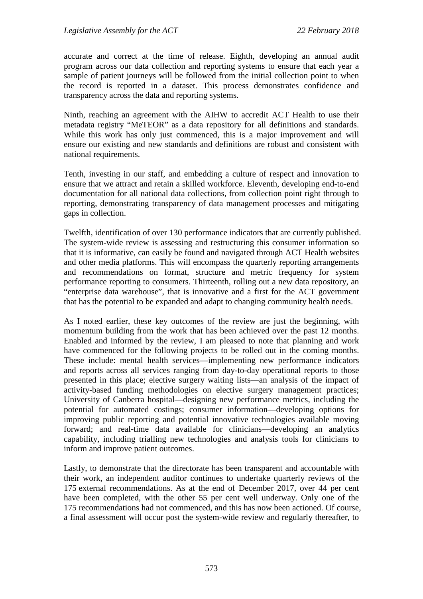accurate and correct at the time of release. Eighth, developing an annual audit program across our data collection and reporting systems to ensure that each year a sample of patient journeys will be followed from the initial collection point to when the record is reported in a dataset. This process demonstrates confidence and transparency across the data and reporting systems.

Ninth, reaching an agreement with the AIHW to accredit ACT Health to use their metadata registry "MeTEOR" as a data repository for all definitions and standards. While this work has only just commenced, this is a major improvement and will ensure our existing and new standards and definitions are robust and consistent with national requirements.

Tenth, investing in our staff, and embedding a culture of respect and innovation to ensure that we attract and retain a skilled workforce. Eleventh, developing end-to-end documentation for all national data collections, from collection point right through to reporting, demonstrating transparency of data management processes and mitigating gaps in collection.

Twelfth, identification of over 130 performance indicators that are currently published. The system-wide review is assessing and restructuring this consumer information so that it is informative, can easily be found and navigated through ACT Health websites and other media platforms. This will encompass the quarterly reporting arrangements and recommendations on format, structure and metric frequency for system performance reporting to consumers. Thirteenth, rolling out a new data repository, an "enterprise data warehouse", that is innovative and a first for the ACT government that has the potential to be expanded and adapt to changing community health needs.

As I noted earlier, these key outcomes of the review are just the beginning, with momentum building from the work that has been achieved over the past 12 months. Enabled and informed by the review, I am pleased to note that planning and work have commenced for the following projects to be rolled out in the coming months. These include: mental health services—implementing new performance indicators and reports across all services ranging from day-to-day operational reports to those presented in this place; elective surgery waiting lists—an analysis of the impact of activity-based funding methodologies on elective surgery management practices; University of Canberra hospital—designing new performance metrics, including the potential for automated costings; consumer information—developing options for improving public reporting and potential innovative technologies available moving forward; and real-time data available for clinicians—developing an analytics capability, including trialling new technologies and analysis tools for clinicians to inform and improve patient outcomes.

Lastly, to demonstrate that the directorate has been transparent and accountable with their work, an independent auditor continues to undertake quarterly reviews of the 175 external recommendations. As at the end of December 2017, over 44 per cent have been completed, with the other 55 per cent well underway. Only one of the 175 recommendations had not commenced, and this has now been actioned. Of course, a final assessment will occur post the system-wide review and regularly thereafter, to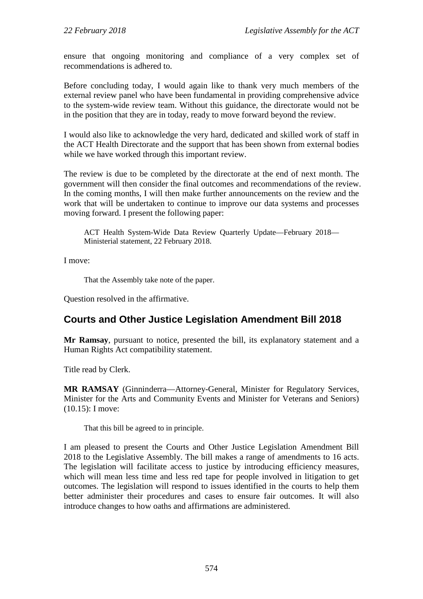ensure that ongoing monitoring and compliance of a very complex set of recommendations is adhered to.

Before concluding today, I would again like to thank very much members of the external review panel who have been fundamental in providing comprehensive advice to the system-wide review team. Without this guidance, the directorate would not be in the position that they are in today, ready to move forward beyond the review.

I would also like to acknowledge the very hard, dedicated and skilled work of staff in the ACT Health Directorate and the support that has been shown from external bodies while we have worked through this important review.

The review is due to be completed by the directorate at the end of next month. The government will then consider the final outcomes and recommendations of the review. In the coming months, I will then make further announcements on the review and the work that will be undertaken to continue to improve our data systems and processes moving forward. I present the following paper:

ACT Health System-Wide Data Review Quarterly Update—February 2018— Ministerial statement, 22 February 2018.

I move:

That the Assembly take note of the paper.

Question resolved in the affirmative.

# <span id="page-8-0"></span>**Courts and Other Justice Legislation Amendment Bill 2018**

**Mr Ramsay**, pursuant to notice, presented the bill, its explanatory statement and a Human Rights Act compatibility statement.

Title read by Clerk.

**MR RAMSAY** (Ginninderra—Attorney-General, Minister for Regulatory Services, Minister for the Arts and Community Events and Minister for Veterans and Seniors) (10.15): I move:

That this bill be agreed to in principle.

I am pleased to present the Courts and Other Justice Legislation Amendment Bill 2018 to the Legislative Assembly. The bill makes a range of amendments to 16 acts. The legislation will facilitate access to justice by introducing efficiency measures, which will mean less time and less red tape for people involved in litigation to get outcomes. The legislation will respond to issues identified in the courts to help them better administer their procedures and cases to ensure fair outcomes. It will also introduce changes to how oaths and affirmations are administered.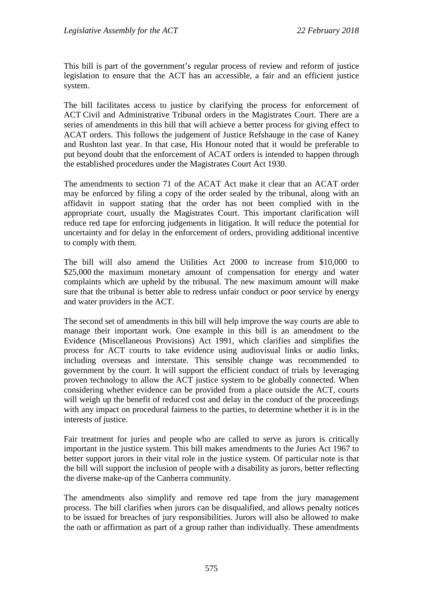This bill is part of the government's regular process of review and reform of justice legislation to ensure that the ACT has an accessible, a fair and an efficient justice system.

The bill facilitates access to justice by clarifying the process for enforcement of ACT Civil and Administrative Tribunal orders in the Magistrates Court. There are a series of amendments in this bill that will achieve a better process for giving effect to ACAT orders. This follows the judgement of Justice Refshauge in the case of Kaney and Rushton last year. In that case, His Honour noted that it would be preferable to put beyond doubt that the enforcement of ACAT orders is intended to happen through the established procedures under the Magistrates Court Act 1930.

The amendments to section 71 of the ACAT Act make it clear that an ACAT order may be enforced by filing a copy of the order sealed by the tribunal, along with an affidavit in support stating that the order has not been complied with in the appropriate court, usually the Magistrates Court. This important clarification will reduce red tape for enforcing judgements in litigation. It will reduce the potential for uncertainty and for delay in the enforcement of orders, providing additional incentive to comply with them.

The bill will also amend the Utilities Act 2000 to increase from \$10,000 to \$25,000 the maximum monetary amount of compensation for energy and water complaints which are upheld by the tribunal. The new maximum amount will make sure that the tribunal is better able to redress unfair conduct or poor service by energy and water providers in the ACT.

The second set of amendments in this bill will help improve the way courts are able to manage their important work. One example in this bill is an amendment to the Evidence (Miscellaneous Provisions) Act 1991, which clarifies and simplifies the process for ACT courts to take evidence using audiovisual links or audio links, including overseas and interstate. This sensible change was recommended to government by the court. It will support the efficient conduct of trials by leveraging proven technology to allow the ACT justice system to be globally connected. When considering whether evidence can be provided from a place outside the ACT, courts will weigh up the benefit of reduced cost and delay in the conduct of the proceedings with any impact on procedural fairness to the parties, to determine whether it is in the interests of justice.

Fair treatment for juries and people who are called to serve as jurors is critically important in the justice system. This bill makes amendments to the Juries Act 1967 to better support jurors in their vital role in the justice system. Of particular note is that the bill will support the inclusion of people with a disability as jurors, better reflecting the diverse make-up of the Canberra community.

The amendments also simplify and remove red tape from the jury management process. The bill clarifies when jurors can be disqualified, and allows penalty notices to be issued for breaches of jury responsibilities. Jurors will also be allowed to make the oath or affirmation as part of a group rather than individually. These amendments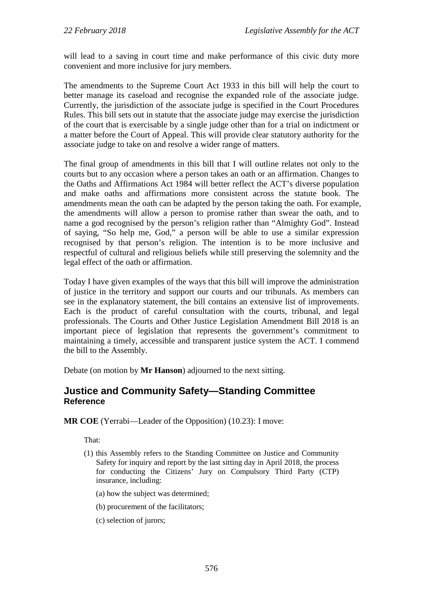will lead to a saving in court time and make performance of this civic duty more convenient and more inclusive for jury members.

The amendments to the Supreme Court Act 1933 in this bill will help the court to better manage its caseload and recognise the expanded role of the associate judge. Currently, the jurisdiction of the associate judge is specified in the Court Procedures Rules. This bill sets out in statute that the associate judge may exercise the jurisdiction of the court that is exercisable by a single judge other than for a trial on indictment or a matter before the Court of Appeal. This will provide clear statutory authority for the associate judge to take on and resolve a wider range of matters.

The final group of amendments in this bill that I will outline relates not only to the courts but to any occasion where a person takes an oath or an affirmation. Changes to the Oaths and Affirmations Act 1984 will better reflect the ACT's diverse population and make oaths and affirmations more consistent across the statute book. The amendments mean the oath can be adapted by the person taking the oath. For example, the amendments will allow a person to promise rather than swear the oath, and to name a god recognised by the person's religion rather than "Almighty God". Instead of saying, "So help me, God," a person will be able to use a similar expression recognised by that person's religion. The intention is to be more inclusive and respectful of cultural and religious beliefs while still preserving the solemnity and the legal effect of the oath or affirmation.

Today I have given examples of the ways that this bill will improve the administration of justice in the territory and support our courts and our tribunals. As members can see in the explanatory statement, the bill contains an extensive list of improvements. Each is the product of careful consultation with the courts, tribunal, and legal professionals. The Courts and Other Justice Legislation Amendment Bill 2018 is an important piece of legislation that represents the government's commitment to maintaining a timely, accessible and transparent justice system the ACT. I commend the bill to the Assembly.

Debate (on motion by **Mr Hanson**) adjourned to the next sitting.

## <span id="page-10-0"></span>**Justice and Community Safety—Standing Committee Reference**

**MR COE** (Yerrabi—Leader of the Opposition) (10.23): I move:

That:

- (1) this Assembly refers to the Standing Committee on Justice and Community Safety for inquiry and report by the last sitting day in April 2018, the process for conducting the Citizens' Jury on Compulsory Third Party (CTP) insurance, including:
	- (a) how the subject was determined;
	- (b) procurement of the facilitators;
	- (c) selection of jurors;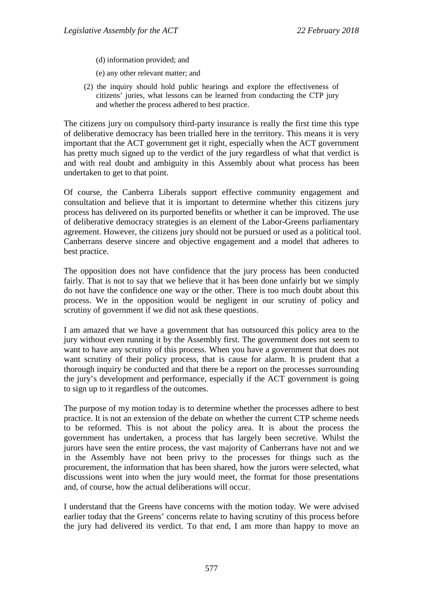- (d) information provided; and
- (e) any other relevant matter; and
- (2) the inquiry should hold public hearings and explore the effectiveness of citizens' juries, what lessons can be learned from conducting the CTP jury and whether the process adhered to best practice.

The citizens jury on compulsory third-party insurance is really the first time this type of deliberative democracy has been trialled here in the territory. This means it is very important that the ACT government get it right, especially when the ACT government has pretty much signed up to the verdict of the jury regardless of what that verdict is and with real doubt and ambiguity in this Assembly about what process has been undertaken to get to that point.

Of course, the Canberra Liberals support effective community engagement and consultation and believe that it is important to determine whether this citizens jury process has delivered on its purported benefits or whether it can be improved. The use of deliberative democracy strategies is an element of the Labor-Greens parliamentary agreement. However, the citizens jury should not be pursued or used as a political tool. Canberrans deserve sincere and objective engagement and a model that adheres to best practice.

The opposition does not have confidence that the jury process has been conducted fairly. That is not to say that we believe that it has been done unfairly but we simply do not have the confidence one way or the other. There is too much doubt about this process. We in the opposition would be negligent in our scrutiny of policy and scrutiny of government if we did not ask these questions.

I am amazed that we have a government that has outsourced this policy area to the jury without even running it by the Assembly first. The government does not seem to want to have any scrutiny of this process. When you have a government that does not want scrutiny of their policy process, that is cause for alarm. It is prudent that a thorough inquiry be conducted and that there be a report on the processes surrounding the jury's development and performance, especially if the ACT government is going to sign up to it regardless of the outcomes.

The purpose of my motion today is to determine whether the processes adhere to best practice. It is not an extension of the debate on whether the current CTP scheme needs to be reformed. This is not about the policy area. It is about the process the government has undertaken, a process that has largely been secretive. Whilst the jurors have seen the entire process, the vast majority of Canberrans have not and we in the Assembly have not been privy to the processes for things such as the procurement, the information that has been shared, how the jurors were selected, what discussions went into when the jury would meet, the format for those presentations and, of course, how the actual deliberations will occur.

I understand that the Greens have concerns with the motion today. We were advised earlier today that the Greens' concerns relate to having scrutiny of this process before the jury had delivered its verdict. To that end, I am more than happy to move an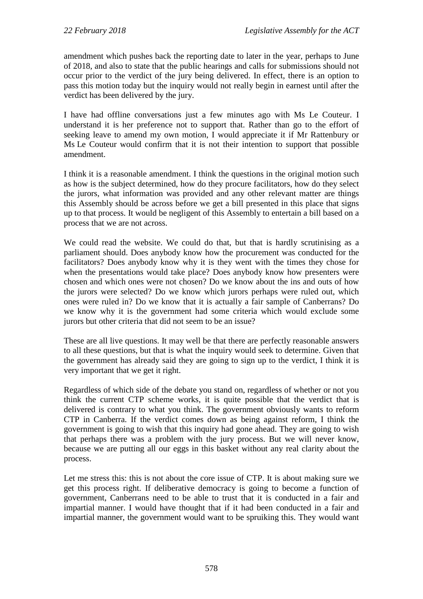amendment which pushes back the reporting date to later in the year, perhaps to June of 2018, and also to state that the public hearings and calls for submissions should not occur prior to the verdict of the jury being delivered. In effect, there is an option to pass this motion today but the inquiry would not really begin in earnest until after the verdict has been delivered by the jury.

I have had offline conversations just a few minutes ago with Ms Le Couteur. I understand it is her preference not to support that. Rather than go to the effort of seeking leave to amend my own motion, I would appreciate it if Mr Rattenbury or Ms Le Couteur would confirm that it is not their intention to support that possible amendment.

I think it is a reasonable amendment. I think the questions in the original motion such as how is the subject determined, how do they procure facilitators, how do they select the jurors, what information was provided and any other relevant matter are things this Assembly should be across before we get a bill presented in this place that signs up to that process. It would be negligent of this Assembly to entertain a bill based on a process that we are not across.

We could read the website. We could do that, but that is hardly scrutinising as a parliament should. Does anybody know how the procurement was conducted for the facilitators? Does anybody know why it is they went with the times they chose for when the presentations would take place? Does anybody know how presenters were chosen and which ones were not chosen? Do we know about the ins and outs of how the jurors were selected? Do we know which jurors perhaps were ruled out, which ones were ruled in? Do we know that it is actually a fair sample of Canberrans? Do we know why it is the government had some criteria which would exclude some jurors but other criteria that did not seem to be an issue?

These are all live questions. It may well be that there are perfectly reasonable answers to all these questions, but that is what the inquiry would seek to determine. Given that the government has already said they are going to sign up to the verdict, I think it is very important that we get it right.

Regardless of which side of the debate you stand on, regardless of whether or not you think the current CTP scheme works, it is quite possible that the verdict that is delivered is contrary to what you think. The government obviously wants to reform CTP in Canberra. If the verdict comes down as being against reform, I think the government is going to wish that this inquiry had gone ahead. They are going to wish that perhaps there was a problem with the jury process. But we will never know, because we are putting all our eggs in this basket without any real clarity about the process.

Let me stress this: this is not about the core issue of CTP. It is about making sure we get this process right. If deliberative democracy is going to become a function of government, Canberrans need to be able to trust that it is conducted in a fair and impartial manner. I would have thought that if it had been conducted in a fair and impartial manner, the government would want to be spruiking this. They would want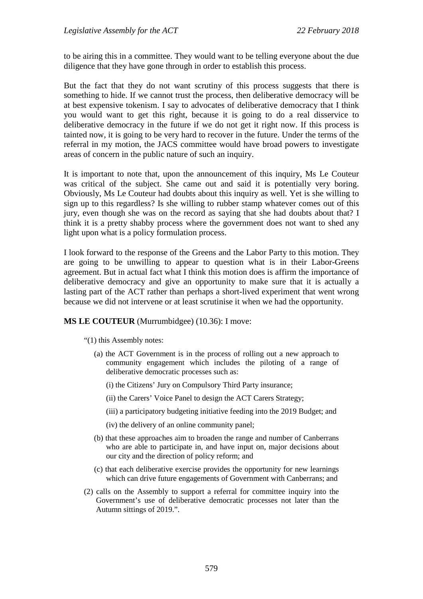to be airing this in a committee. They would want to be telling everyone about the due diligence that they have gone through in order to establish this process.

But the fact that they do not want scrutiny of this process suggests that there is something to hide. If we cannot trust the process, then deliberative democracy will be at best expensive tokenism. I say to advocates of deliberative democracy that I think you would want to get this right, because it is going to do a real disservice to deliberative democracy in the future if we do not get it right now. If this process is tainted now, it is going to be very hard to recover in the future. Under the terms of the referral in my motion, the JACS committee would have broad powers to investigate areas of concern in the public nature of such an inquiry.

It is important to note that, upon the announcement of this inquiry, Ms Le Couteur was critical of the subject. She came out and said it is potentially very boring. Obviously, Ms Le Couteur had doubts about this inquiry as well. Yet is she willing to sign up to this regardless? Is she willing to rubber stamp whatever comes out of this jury, even though she was on the record as saying that she had doubts about that? I think it is a pretty shabby process where the government does not want to shed any light upon what is a policy formulation process.

I look forward to the response of the Greens and the Labor Party to this motion. They are going to be unwilling to appear to question what is in their Labor-Greens agreement. But in actual fact what I think this motion does is affirm the importance of deliberative democracy and give an opportunity to make sure that it is actually a lasting part of the ACT rather than perhaps a short-lived experiment that went wrong because we did not intervene or at least scrutinise it when we had the opportunity.

#### **MS LE COUTEUR** (Murrumbidgee) (10.36): I move:

"(1) this Assembly notes:

- (a) the ACT Government is in the process of rolling out a new approach to community engagement which includes the piloting of a range of deliberative democratic processes such as:
	- (i) the Citizens' Jury on Compulsory Third Party insurance;
	- (ii) the Carers' Voice Panel to design the ACT Carers Strategy;
	- (iii) a participatory budgeting initiative feeding into the 2019 Budget; and
	- (iv) the delivery of an online community panel;
- (b) that these approaches aim to broaden the range and number of Canberrans who are able to participate in, and have input on, major decisions about our city and the direction of policy reform; and
- (c) that each deliberative exercise provides the opportunity for new learnings which can drive future engagements of Government with Canberrans; and
- (2) calls on the Assembly to support a referral for committee inquiry into the Government's use of deliberative democratic processes not later than the Autumn sittings of 2019.".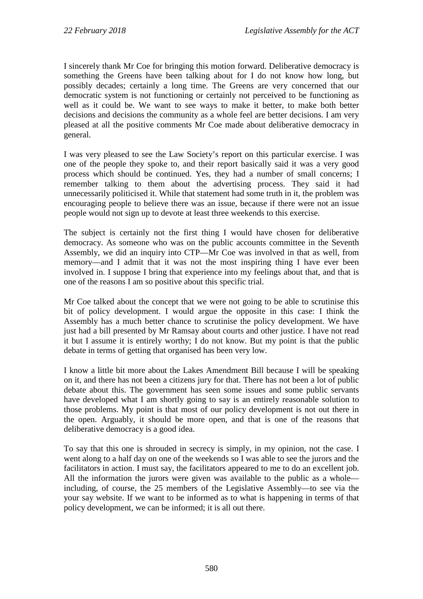I sincerely thank Mr Coe for bringing this motion forward. Deliberative democracy is something the Greens have been talking about for I do not know how long, but possibly decades; certainly a long time. The Greens are very concerned that our democratic system is not functioning or certainly not perceived to be functioning as well as it could be. We want to see ways to make it better, to make both better decisions and decisions the community as a whole feel are better decisions. I am very pleased at all the positive comments Mr Coe made about deliberative democracy in general.

I was very pleased to see the Law Society's report on this particular exercise. I was one of the people they spoke to, and their report basically said it was a very good process which should be continued. Yes, they had a number of small concerns; I remember talking to them about the advertising process. They said it had unnecessarily politicised it. While that statement had some truth in it, the problem was encouraging people to believe there was an issue, because if there were not an issue people would not sign up to devote at least three weekends to this exercise.

The subject is certainly not the first thing I would have chosen for deliberative democracy. As someone who was on the public accounts committee in the Seventh Assembly, we did an inquiry into CTP—Mr Coe was involved in that as well, from memory—and I admit that it was not the most inspiring thing I have ever been involved in. I suppose I bring that experience into my feelings about that, and that is one of the reasons I am so positive about this specific trial.

Mr Coe talked about the concept that we were not going to be able to scrutinise this bit of policy development. I would argue the opposite in this case: I think the Assembly has a much better chance to scrutinise the policy development. We have just had a bill presented by Mr Ramsay about courts and other justice. I have not read it but I assume it is entirely worthy; I do not know. But my point is that the public debate in terms of getting that organised has been very low.

I know a little bit more about the Lakes Amendment Bill because I will be speaking on it, and there has not been a citizens jury for that. There has not been a lot of public debate about this. The government has seen some issues and some public servants have developed what I am shortly going to say is an entirely reasonable solution to those problems. My point is that most of our policy development is not out there in the open. Arguably, it should be more open, and that is one of the reasons that deliberative democracy is a good idea.

To say that this one is shrouded in secrecy is simply, in my opinion, not the case. I went along to a half day on one of the weekends so I was able to see the jurors and the facilitators in action. I must say, the facilitators appeared to me to do an excellent job. All the information the jurors were given was available to the public as a whole including, of course, the 25 members of the Legislative Assembly—to see via the your say website. If we want to be informed as to what is happening in terms of that policy development, we can be informed; it is all out there.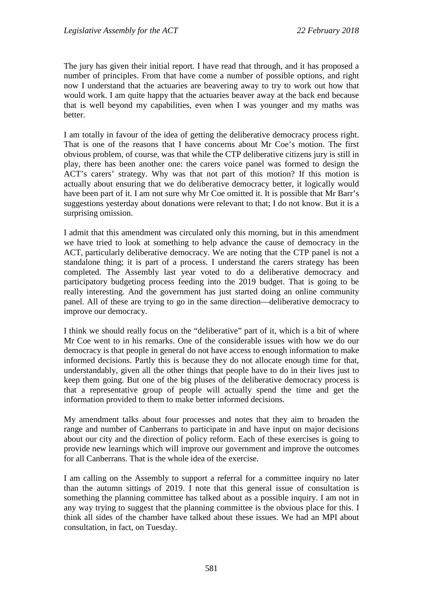The jury has given their initial report. I have read that through, and it has proposed a number of principles. From that have come a number of possible options, and right now I understand that the actuaries are beavering away to try to work out how that would work. I am quite happy that the actuaries beaver away at the back end because that is well beyond my capabilities, even when I was younger and my maths was better.

I am totally in favour of the idea of getting the deliberative democracy process right. That is one of the reasons that I have concerns about Mr Coe's motion. The first obvious problem, of course, was that while the CTP deliberative citizens jury is still in play, there has been another one: the carers voice panel was formed to design the ACT's carers' strategy. Why was that not part of this motion? If this motion is actually about ensuring that we do deliberative democracy better, it logically would have been part of it. I am not sure why Mr Coe omitted it. It is possible that Mr Barr's suggestions yesterday about donations were relevant to that; I do not know. But it is a surprising omission.

I admit that this amendment was circulated only this morning, but in this amendment we have tried to look at something to help advance the cause of democracy in the ACT, particularly deliberative democracy. We are noting that the CTP panel is not a standalone thing; it is part of a process. I understand the carers strategy has been completed. The Assembly last year voted to do a deliberative democracy and participatory budgeting process feeding into the 2019 budget. That is going to be really interesting. And the government has just started doing an online community panel. All of these are trying to go in the same direction—deliberative democracy to improve our democracy.

I think we should really focus on the "deliberative" part of it, which is a bit of where Mr Coe went to in his remarks. One of the considerable issues with how we do our democracy is that people in general do not have access to enough information to make informed decisions. Partly this is because they do not allocate enough time for that, understandably, given all the other things that people have to do in their lives just to keep them going. But one of the big pluses of the deliberative democracy process is that a representative group of people will actually spend the time and get the information provided to them to make better informed decisions.

My amendment talks about four processes and notes that they aim to broaden the range and number of Canberrans to participate in and have input on major decisions about our city and the direction of policy reform. Each of these exercises is going to provide new learnings which will improve our government and improve the outcomes for all Canberrans. That is the whole idea of the exercise.

I am calling on the Assembly to support a referral for a committee inquiry no later than the autumn sittings of 2019. I note that this general issue of consultation is something the planning committee has talked about as a possible inquiry. I am not in any way trying to suggest that the planning committee is the obvious place for this. I think all sides of the chamber have talked about these issues. We had an MPI about consultation, in fact, on Tuesday.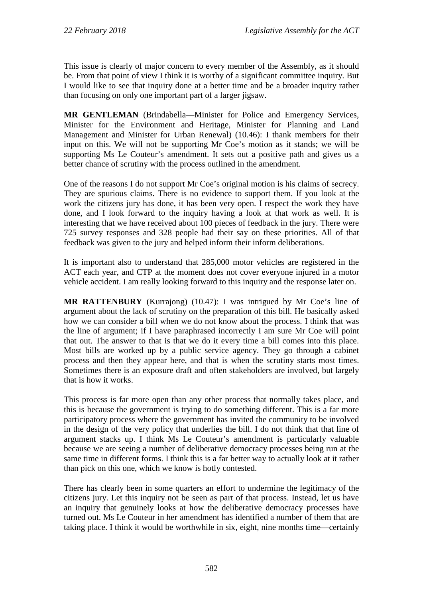This issue is clearly of major concern to every member of the Assembly, as it should be. From that point of view I think it is worthy of a significant committee inquiry. But I would like to see that inquiry done at a better time and be a broader inquiry rather than focusing on only one important part of a larger jigsaw.

**MR GENTLEMAN** (Brindabella—Minister for Police and Emergency Services, Minister for the Environment and Heritage, Minister for Planning and Land Management and Minister for Urban Renewal) (10.46): I thank members for their input on this. We will not be supporting Mr Coe's motion as it stands; we will be supporting Ms Le Couteur's amendment. It sets out a positive path and gives us a better chance of scrutiny with the process outlined in the amendment.

One of the reasons I do not support Mr Coe's original motion is his claims of secrecy. They are spurious claims. There is no evidence to support them. If you look at the work the citizens jury has done, it has been very open. I respect the work they have done, and I look forward to the inquiry having a look at that work as well. It is interesting that we have received about 100 pieces of feedback in the jury. There were 725 survey responses and 328 people had their say on these priorities. All of that feedback was given to the jury and helped inform their inform deliberations.

It is important also to understand that 285,000 motor vehicles are registered in the ACT each year, and CTP at the moment does not cover everyone injured in a motor vehicle accident. I am really looking forward to this inquiry and the response later on.

**MR RATTENBURY** (Kurrajong) (10.47): I was intrigued by Mr Coe's line of argument about the lack of scrutiny on the preparation of this bill. He basically asked how we can consider a bill when we do not know about the process. I think that was the line of argument; if I have paraphrased incorrectly I am sure Mr Coe will point that out. The answer to that is that we do it every time a bill comes into this place. Most bills are worked up by a public service agency. They go through a cabinet process and then they appear here, and that is when the scrutiny starts most times. Sometimes there is an exposure draft and often stakeholders are involved, but largely that is how it works.

This process is far more open than any other process that normally takes place, and this is because the government is trying to do something different. This is a far more participatory process where the government has invited the community to be involved in the design of the very policy that underlies the bill. I do not think that that line of argument stacks up. I think Ms Le Couteur's amendment is particularly valuable because we are seeing a number of deliberative democracy processes being run at the same time in different forms. I think this is a far better way to actually look at it rather than pick on this one, which we know is hotly contested.

There has clearly been in some quarters an effort to undermine the legitimacy of the citizens jury. Let this inquiry not be seen as part of that process. Instead, let us have an inquiry that genuinely looks at how the deliberative democracy processes have turned out. Ms Le Couteur in her amendment has identified a number of them that are taking place. I think it would be worthwhile in six, eight, nine months time—certainly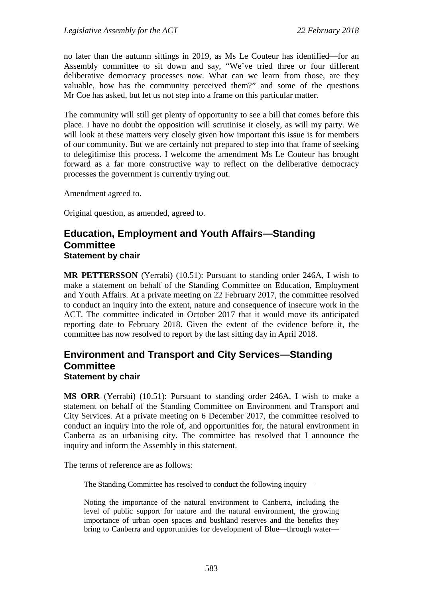no later than the autumn sittings in 2019, as Ms Le Couteur has identified—for an Assembly committee to sit down and say, "We've tried three or four different deliberative democracy processes now. What can we learn from those, are they valuable, how has the community perceived them?" and some of the questions Mr Coe has asked, but let us not step into a frame on this particular matter.

The community will still get plenty of opportunity to see a bill that comes before this place. I have no doubt the opposition will scrutinise it closely, as will my party. We will look at these matters very closely given how important this issue is for members of our community. But we are certainly not prepared to step into that frame of seeking to delegitimise this process. I welcome the amendment Ms Le Couteur has brought forward as a far more constructive way to reflect on the deliberative democracy processes the government is currently trying out.

Amendment agreed to.

Original question, as amended, agreed to.

### <span id="page-17-0"></span>**Education, Employment and Youth Affairs—Standing Committee Statement by chair**

**MR PETTERSSON** (Yerrabi) (10.51): Pursuant to standing order 246A, I wish to make a statement on behalf of the Standing Committee on Education, Employment and Youth Affairs. At a private meeting on 22 February 2017, the committee resolved to conduct an inquiry into the extent, nature and consequence of insecure work in the ACT. The committee indicated in October 2017 that it would move its anticipated reporting date to February 2018. Given the extent of the evidence before it, the committee has now resolved to report by the last sitting day in April 2018.

# <span id="page-17-1"></span>**Environment and Transport and City Services—Standing Committee Statement by chair**

**MS ORR** (Yerrabi) (10.51): Pursuant to standing order 246A, I wish to make a statement on behalf of the Standing Committee on Environment and Transport and City Services. At a private meeting on 6 December 2017, the committee resolved to conduct an inquiry into the role of, and opportunities for, the natural environment in Canberra as an urbanising city. The committee has resolved that I announce the inquiry and inform the Assembly in this statement.

The terms of reference are as follows:

The Standing Committee has resolved to conduct the following inquiry—

Noting the importance of the natural environment to Canberra, including the level of public support for nature and the natural environment, the growing importance of urban open spaces and bushland reserves and the benefits they bring to Canberra and opportunities for development of Blue—through water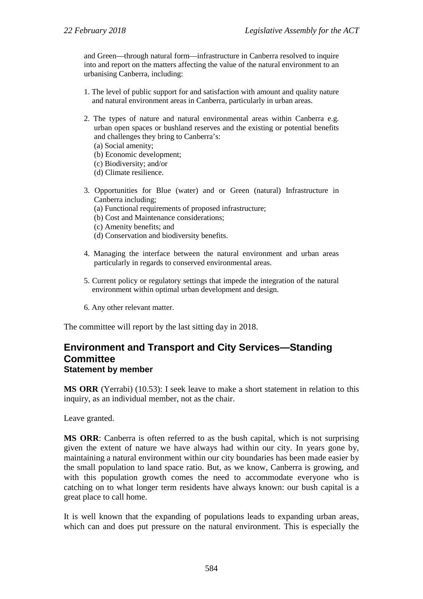and Green—through natural form—infrastructure in Canberra resolved to inquire into and report on the matters affecting the value of the natural environment to an urbanising Canberra, including:

- 1. The level of public support for and satisfaction with amount and quality nature and natural environment areas in Canberra, particularly in urban areas.
- 2. The types of nature and natural environmental areas within Canberra e.g. urban open spaces or bushland reserves and the existing or potential benefits and challenges they bring to Canberra's:
	- (a) Social amenity;
	- (b) Economic development;
	- (c) Biodiversity; and/or
	- (d) Climate resilience.
- 3. Opportunities for Blue (water) and or Green (natural) Infrastructure in Canberra including;
	- (a) Functional requirements of proposed infrastructure;
	- (b) Cost and Maintenance considerations;
	- (c) Amenity benefits; and
	- (d) Conservation and biodiversity benefits.
- 4. Managing the interface between the natural environment and urban areas particularly in regards to conserved environmental areas.
- 5. Current policy or regulatory settings that impede the integration of the natural environment within optimal urban development and design.
- 6. Any other relevant matter.

The committee will report by the last sitting day in 2018.

## <span id="page-18-0"></span>**Environment and Transport and City Services—Standing Committee Statement by member**

**MS ORR** (Yerrabi) (10.53): I seek leave to make a short statement in relation to this inquiry, as an individual member, not as the chair.

Leave granted.

**MS ORR**: Canberra is often referred to as the bush capital, which is not surprising given the extent of nature we have always had within our city. In years gone by, maintaining a natural environment within our city boundaries has been made easier by the small population to land space ratio. But, as we know, Canberra is growing, and with this population growth comes the need to accommodate everyone who is catching on to what longer term residents have always known: our bush capital is a great place to call home.

It is well known that the expanding of populations leads to expanding urban areas, which can and does put pressure on the natural environment. This is especially the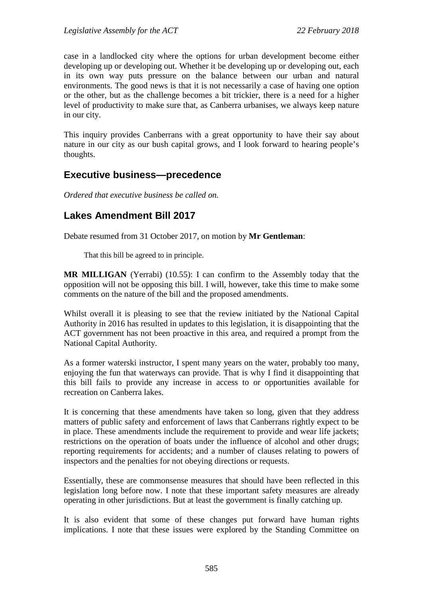case in a landlocked city where the options for urban development become either developing up or developing out. Whether it be developing up or developing out, each in its own way puts pressure on the balance between our urban and natural environments. The good news is that it is not necessarily a case of having one option or the other, but as the challenge becomes a bit trickier, there is a need for a higher level of productivity to make sure that, as Canberra urbanises, we always keep nature in our city.

This inquiry provides Canberrans with a great opportunity to have their say about nature in our city as our bush capital grows, and I look forward to hearing people's thoughts.

# <span id="page-19-0"></span>**Executive business—precedence**

*Ordered that executive business be called on.*

# <span id="page-19-1"></span>**Lakes Amendment Bill 2017**

Debate resumed from 31 October 2017, on motion by **Mr Gentleman**:

That this bill be agreed to in principle.

**MR MILLIGAN** (Yerrabi) (10.55): I can confirm to the Assembly today that the opposition will not be opposing this bill. I will, however, take this time to make some comments on the nature of the bill and the proposed amendments.

Whilst overall it is pleasing to see that the review initiated by the National Capital Authority in 2016 has resulted in updates to this legislation, it is disappointing that the ACT government has not been proactive in this area, and required a prompt from the National Capital Authority.

As a former waterski instructor, I spent many years on the water, probably too many, enjoying the fun that waterways can provide. That is why I find it disappointing that this bill fails to provide any increase in access to or opportunities available for recreation on Canberra lakes.

It is concerning that these amendments have taken so long, given that they address matters of public safety and enforcement of laws that Canberrans rightly expect to be in place. These amendments include the requirement to provide and wear life jackets; restrictions on the operation of boats under the influence of alcohol and other drugs; reporting requirements for accidents; and a number of clauses relating to powers of inspectors and the penalties for not obeying directions or requests.

Essentially, these are commonsense measures that should have been reflected in this legislation long before now. I note that these important safety measures are already operating in other jurisdictions. But at least the government is finally catching up.

It is also evident that some of these changes put forward have human rights implications. I note that these issues were explored by the Standing Committee on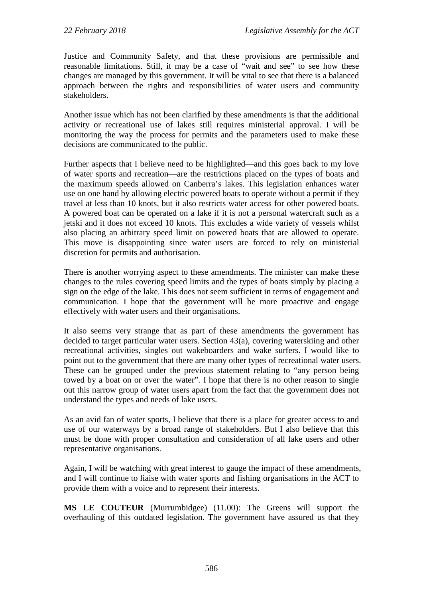Justice and Community Safety, and that these provisions are permissible and reasonable limitations. Still, it may be a case of "wait and see" to see how these changes are managed by this government. It will be vital to see that there is a balanced approach between the rights and responsibilities of water users and community stakeholders.

Another issue which has not been clarified by these amendments is that the additional activity or recreational use of lakes still requires ministerial approval. I will be monitoring the way the process for permits and the parameters used to make these decisions are communicated to the public.

Further aspects that I believe need to be highlighted—and this goes back to my love of water sports and recreation—are the restrictions placed on the types of boats and the maximum speeds allowed on Canberra's lakes. This legislation enhances water use on one hand by allowing electric powered boats to operate without a permit if they travel at less than 10 knots, but it also restricts water access for other powered boats. A powered boat can be operated on a lake if it is not a personal watercraft such as a jetski and it does not exceed 10 knots. This excludes a wide variety of vessels whilst also placing an arbitrary speed limit on powered boats that are allowed to operate. This move is disappointing since water users are forced to rely on ministerial discretion for permits and authorisation.

There is another worrying aspect to these amendments. The minister can make these changes to the rules covering speed limits and the types of boats simply by placing a sign on the edge of the lake. This does not seem sufficient in terms of engagement and communication. I hope that the government will be more proactive and engage effectively with water users and their organisations.

It also seems very strange that as part of these amendments the government has decided to target particular water users. Section 43(a), covering waterskiing and other recreational activities, singles out wakeboarders and wake surfers. I would like to point out to the government that there are many other types of recreational water users. These can be grouped under the previous statement relating to "any person being towed by a boat on or over the water". I hope that there is no other reason to single out this narrow group of water users apart from the fact that the government does not understand the types and needs of lake users.

As an avid fan of water sports, I believe that there is a place for greater access to and use of our waterways by a broad range of stakeholders. But I also believe that this must be done with proper consultation and consideration of all lake users and other representative organisations.

Again, I will be watching with great interest to gauge the impact of these amendments, and I will continue to liaise with water sports and fishing organisations in the ACT to provide them with a voice and to represent their interests.

**MS LE COUTEUR** (Murrumbidgee) (11.00): The Greens will support the overhauling of this outdated legislation. The government have assured us that they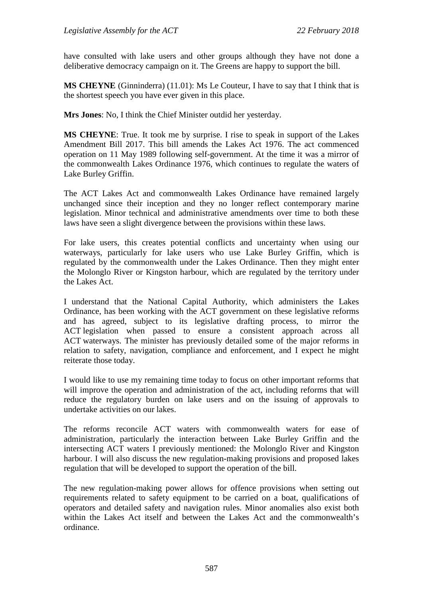have consulted with lake users and other groups although they have not done a deliberative democracy campaign on it. The Greens are happy to support the bill.

**MS CHEYNE** (Ginninderra) (11.01): Ms Le Couteur, I have to say that I think that is the shortest speech you have ever given in this place.

**Mrs Jones**: No, I think the Chief Minister outdid her yesterday.

**MS CHEYNE**: True. It took me by surprise. I rise to speak in support of the Lakes Amendment Bill 2017. This bill amends the Lakes Act 1976. The act commenced operation on 11 May 1989 following self-government. At the time it was a mirror of the commonwealth Lakes Ordinance 1976, which continues to regulate the waters of Lake Burley Griffin.

The ACT Lakes Act and commonwealth Lakes Ordinance have remained largely unchanged since their inception and they no longer reflect contemporary marine legislation. Minor technical and administrative amendments over time to both these laws have seen a slight divergence between the provisions within these laws.

For lake users, this creates potential conflicts and uncertainty when using our waterways, particularly for lake users who use Lake Burley Griffin, which is regulated by the commonwealth under the Lakes Ordinance. Then they might enter the Molonglo River or Kingston harbour, which are regulated by the territory under the Lakes Act.

I understand that the National Capital Authority, which administers the Lakes Ordinance, has been working with the ACT government on these legislative reforms and has agreed, subject to its legislative drafting process, to mirror the ACT legislation when passed to ensure a consistent approach across all ACT waterways. The minister has previously detailed some of the major reforms in relation to safety, navigation, compliance and enforcement, and I expect he might reiterate those today.

I would like to use my remaining time today to focus on other important reforms that will improve the operation and administration of the act, including reforms that will reduce the regulatory burden on lake users and on the issuing of approvals to undertake activities on our lakes.

The reforms reconcile ACT waters with commonwealth waters for ease of administration, particularly the interaction between Lake Burley Griffin and the intersecting ACT waters I previously mentioned: the Molonglo River and Kingston harbour. I will also discuss the new regulation-making provisions and proposed lakes regulation that will be developed to support the operation of the bill.

The new regulation-making power allows for offence provisions when setting out requirements related to safety equipment to be carried on a boat, qualifications of operators and detailed safety and navigation rules. Minor anomalies also exist both within the Lakes Act itself and between the Lakes Act and the commonwealth's ordinance.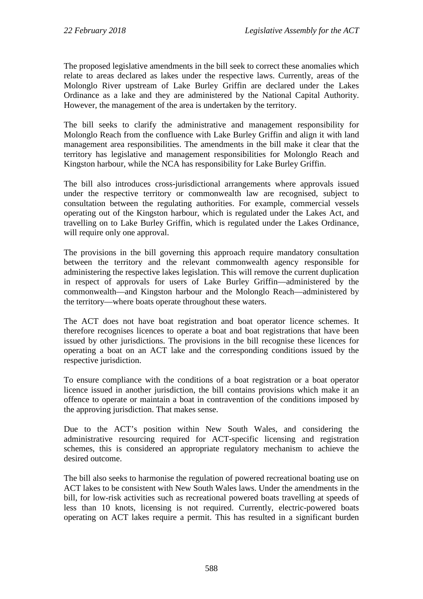The proposed legislative amendments in the bill seek to correct these anomalies which relate to areas declared as lakes under the respective laws. Currently, areas of the Molonglo River upstream of Lake Burley Griffin are declared under the Lakes Ordinance as a lake and they are administered by the National Capital Authority. However, the management of the area is undertaken by the territory.

The bill seeks to clarify the administrative and management responsibility for Molonglo Reach from the confluence with Lake Burley Griffin and align it with land management area responsibilities. The amendments in the bill make it clear that the territory has legislative and management responsibilities for Molonglo Reach and Kingston harbour, while the NCA has responsibility for Lake Burley Griffin.

The bill also introduces cross-jurisdictional arrangements where approvals issued under the respective territory or commonwealth law are recognised, subject to consultation between the regulating authorities. For example, commercial vessels operating out of the Kingston harbour, which is regulated under the Lakes Act, and travelling on to Lake Burley Griffin, which is regulated under the Lakes Ordinance, will require only one approval.

The provisions in the bill governing this approach require mandatory consultation between the territory and the relevant commonwealth agency responsible for administering the respective lakes legislation. This will remove the current duplication in respect of approvals for users of Lake Burley Griffin—administered by the commonwealth—and Kingston harbour and the Molonglo Reach—administered by the territory—where boats operate throughout these waters.

The ACT does not have boat registration and boat operator licence schemes. It therefore recognises licences to operate a boat and boat registrations that have been issued by other jurisdictions. The provisions in the bill recognise these licences for operating a boat on an ACT lake and the corresponding conditions issued by the respective jurisdiction.

To ensure compliance with the conditions of a boat registration or a boat operator licence issued in another jurisdiction, the bill contains provisions which make it an offence to operate or maintain a boat in contravention of the conditions imposed by the approving jurisdiction. That makes sense.

Due to the ACT's position within New South Wales, and considering the administrative resourcing required for ACT-specific licensing and registration schemes, this is considered an appropriate regulatory mechanism to achieve the desired outcome.

The bill also seeks to harmonise the regulation of powered recreational boating use on ACT lakes to be consistent with New South Wales laws. Under the amendments in the bill, for low-risk activities such as recreational powered boats travelling at speeds of less than 10 knots, licensing is not required. Currently, electric-powered boats operating on ACT lakes require a permit. This has resulted in a significant burden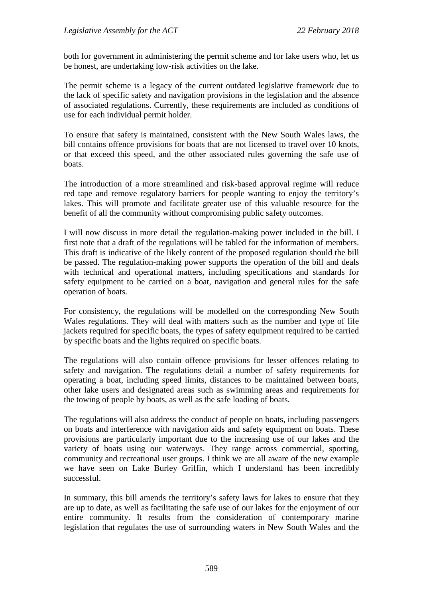both for government in administering the permit scheme and for lake users who, let us be honest, are undertaking low-risk activities on the lake.

The permit scheme is a legacy of the current outdated legislative framework due to the lack of specific safety and navigation provisions in the legislation and the absence of associated regulations. Currently, these requirements are included as conditions of use for each individual permit holder.

To ensure that safety is maintained, consistent with the New South Wales laws, the bill contains offence provisions for boats that are not licensed to travel over 10 knots, or that exceed this speed, and the other associated rules governing the safe use of boats.

The introduction of a more streamlined and risk-based approval regime will reduce red tape and remove regulatory barriers for people wanting to enjoy the territory's lakes. This will promote and facilitate greater use of this valuable resource for the benefit of all the community without compromising public safety outcomes.

I will now discuss in more detail the regulation-making power included in the bill. I first note that a draft of the regulations will be tabled for the information of members. This draft is indicative of the likely content of the proposed regulation should the bill be passed. The regulation-making power supports the operation of the bill and deals with technical and operational matters, including specifications and standards for safety equipment to be carried on a boat, navigation and general rules for the safe operation of boats.

For consistency, the regulations will be modelled on the corresponding New South Wales regulations. They will deal with matters such as the number and type of life jackets required for specific boats, the types of safety equipment required to be carried by specific boats and the lights required on specific boats.

The regulations will also contain offence provisions for lesser offences relating to safety and navigation. The regulations detail a number of safety requirements for operating a boat, including speed limits, distances to be maintained between boats, other lake users and designated areas such as swimming areas and requirements for the towing of people by boats, as well as the safe loading of boats.

The regulations will also address the conduct of people on boats, including passengers on boats and interference with navigation aids and safety equipment on boats. These provisions are particularly important due to the increasing use of our lakes and the variety of boats using our waterways. They range across commercial, sporting, community and recreational user groups. I think we are all aware of the new example we have seen on Lake Burley Griffin, which I understand has been incredibly successful.

In summary, this bill amends the territory's safety laws for lakes to ensure that they are up to date, as well as facilitating the safe use of our lakes for the enjoyment of our entire community. It results from the consideration of contemporary marine legislation that regulates the use of surrounding waters in New South Wales and the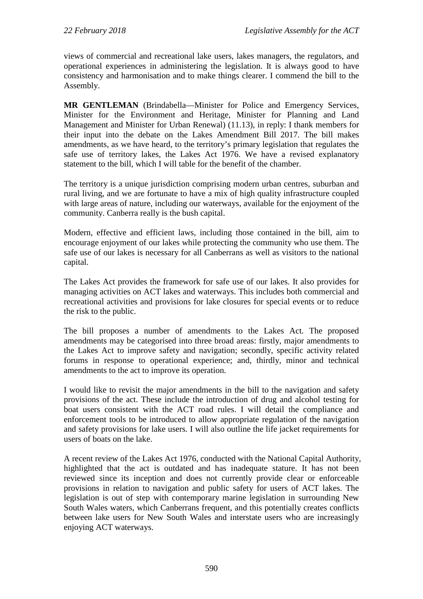views of commercial and recreational lake users, lakes managers, the regulators, and operational experiences in administering the legislation. It is always good to have consistency and harmonisation and to make things clearer. I commend the bill to the Assembly.

**MR GENTLEMAN** (Brindabella—Minister for Police and Emergency Services, Minister for the Environment and Heritage, Minister for Planning and Land Management and Minister for Urban Renewal) (11.13), in reply: I thank members for their input into the debate on the Lakes Amendment Bill 2017. The bill makes amendments, as we have heard, to the territory's primary legislation that regulates the safe use of territory lakes, the Lakes Act 1976. We have a revised explanatory statement to the bill, which I will table for the benefit of the chamber.

The territory is a unique jurisdiction comprising modern urban centres, suburban and rural living, and we are fortunate to have a mix of high quality infrastructure coupled with large areas of nature, including our waterways, available for the enjoyment of the community. Canberra really is the bush capital.

Modern, effective and efficient laws, including those contained in the bill, aim to encourage enjoyment of our lakes while protecting the community who use them. The safe use of our lakes is necessary for all Canberrans as well as visitors to the national capital.

The Lakes Act provides the framework for safe use of our lakes. It also provides for managing activities on ACT lakes and waterways. This includes both commercial and recreational activities and provisions for lake closures for special events or to reduce the risk to the public.

The bill proposes a number of amendments to the Lakes Act. The proposed amendments may be categorised into three broad areas: firstly, major amendments to the Lakes Act to improve safety and navigation; secondly, specific activity related forums in response to operational experience; and, thirdly, minor and technical amendments to the act to improve its operation.

I would like to revisit the major amendments in the bill to the navigation and safety provisions of the act. These include the introduction of drug and alcohol testing for boat users consistent with the ACT road rules. I will detail the compliance and enforcement tools to be introduced to allow appropriate regulation of the navigation and safety provisions for lake users. I will also outline the life jacket requirements for users of boats on the lake.

A recent review of the Lakes Act 1976, conducted with the National Capital Authority, highlighted that the act is outdated and has inadequate stature. It has not been reviewed since its inception and does not currently provide clear or enforceable provisions in relation to navigation and public safety for users of ACT lakes. The legislation is out of step with contemporary marine legislation in surrounding New South Wales waters, which Canberrans frequent, and this potentially creates conflicts between lake users for New South Wales and interstate users who are increasingly enjoying ACT waterways.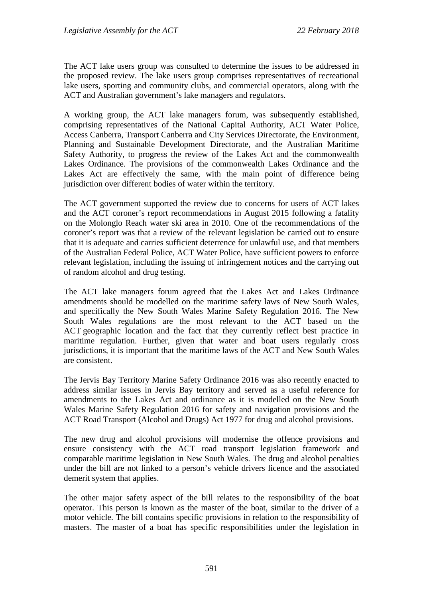The ACT lake users group was consulted to determine the issues to be addressed in the proposed review. The lake users group comprises representatives of recreational lake users, sporting and community clubs, and commercial operators, along with the ACT and Australian government's lake managers and regulators.

A working group, the ACT lake managers forum, was subsequently established, comprising representatives of the National Capital Authority, ACT Water Police, Access Canberra, Transport Canberra and City Services Directorate, the Environment, Planning and Sustainable Development Directorate, and the Australian Maritime Safety Authority, to progress the review of the Lakes Act and the commonwealth Lakes Ordinance. The provisions of the commonwealth Lakes Ordinance and the Lakes Act are effectively the same, with the main point of difference being jurisdiction over different bodies of water within the territory.

The ACT government supported the review due to concerns for users of ACT lakes and the ACT coroner's report recommendations in August 2015 following a fatality on the Molonglo Reach water ski area in 2010. One of the recommendations of the coroner's report was that a review of the relevant legislation be carried out to ensure that it is adequate and carries sufficient deterrence for unlawful use, and that members of the Australian Federal Police, ACT Water Police, have sufficient powers to enforce relevant legislation, including the issuing of infringement notices and the carrying out of random alcohol and drug testing.

The ACT lake managers forum agreed that the Lakes Act and Lakes Ordinance amendments should be modelled on the maritime safety laws of New South Wales, and specifically the New South Wales Marine Safety Regulation 2016. The New South Wales regulations are the most relevant to the ACT based on the ACT geographic location and the fact that they currently reflect best practice in maritime regulation. Further, given that water and boat users regularly cross jurisdictions, it is important that the maritime laws of the ACT and New South Wales are consistent.

The Jervis Bay Territory Marine Safety Ordinance 2016 was also recently enacted to address similar issues in Jervis Bay territory and served as a useful reference for amendments to the Lakes Act and ordinance as it is modelled on the New South Wales Marine Safety Regulation 2016 for safety and navigation provisions and the ACT Road Transport (Alcohol and Drugs) Act 1977 for drug and alcohol provisions.

The new drug and alcohol provisions will modernise the offence provisions and ensure consistency with the ACT road transport legislation framework and comparable maritime legislation in New South Wales. The drug and alcohol penalties under the bill are not linked to a person's vehicle drivers licence and the associated demerit system that applies.

The other major safety aspect of the bill relates to the responsibility of the boat operator. This person is known as the master of the boat, similar to the driver of a motor vehicle. The bill contains specific provisions in relation to the responsibility of masters. The master of a boat has specific responsibilities under the legislation in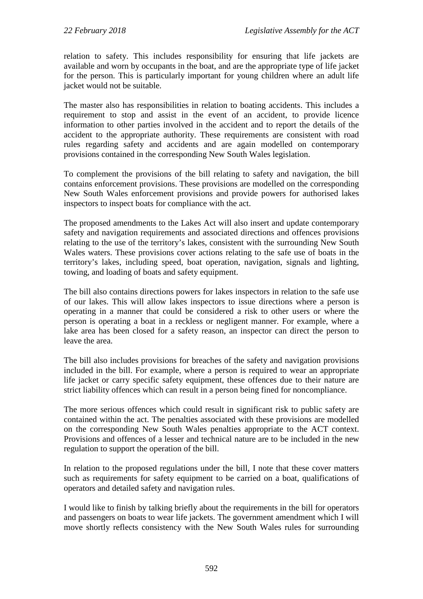relation to safety. This includes responsibility for ensuring that life jackets are available and worn by occupants in the boat, and are the appropriate type of life jacket for the person. This is particularly important for young children where an adult life jacket would not be suitable.

The master also has responsibilities in relation to boating accidents. This includes a requirement to stop and assist in the event of an accident, to provide licence information to other parties involved in the accident and to report the details of the accident to the appropriate authority. These requirements are consistent with road rules regarding safety and accidents and are again modelled on contemporary provisions contained in the corresponding New South Wales legislation.

To complement the provisions of the bill relating to safety and navigation, the bill contains enforcement provisions. These provisions are modelled on the corresponding New South Wales enforcement provisions and provide powers for authorised lakes inspectors to inspect boats for compliance with the act.

The proposed amendments to the Lakes Act will also insert and update contemporary safety and navigation requirements and associated directions and offences provisions relating to the use of the territory's lakes, consistent with the surrounding New South Wales waters. These provisions cover actions relating to the safe use of boats in the territory's lakes, including speed, boat operation, navigation, signals and lighting, towing, and loading of boats and safety equipment.

The bill also contains directions powers for lakes inspectors in relation to the safe use of our lakes. This will allow lakes inspectors to issue directions where a person is operating in a manner that could be considered a risk to other users or where the person is operating a boat in a reckless or negligent manner. For example, where a lake area has been closed for a safety reason, an inspector can direct the person to leave the area.

The bill also includes provisions for breaches of the safety and navigation provisions included in the bill. For example, where a person is required to wear an appropriate life jacket or carry specific safety equipment, these offences due to their nature are strict liability offences which can result in a person being fined for noncompliance.

The more serious offences which could result in significant risk to public safety are contained within the act. The penalties associated with these provisions are modelled on the corresponding New South Wales penalties appropriate to the ACT context. Provisions and offences of a lesser and technical nature are to be included in the new regulation to support the operation of the bill.

In relation to the proposed regulations under the bill, I note that these cover matters such as requirements for safety equipment to be carried on a boat, qualifications of operators and detailed safety and navigation rules.

I would like to finish by talking briefly about the requirements in the bill for operators and passengers on boats to wear life jackets. The government amendment which I will move shortly reflects consistency with the New South Wales rules for surrounding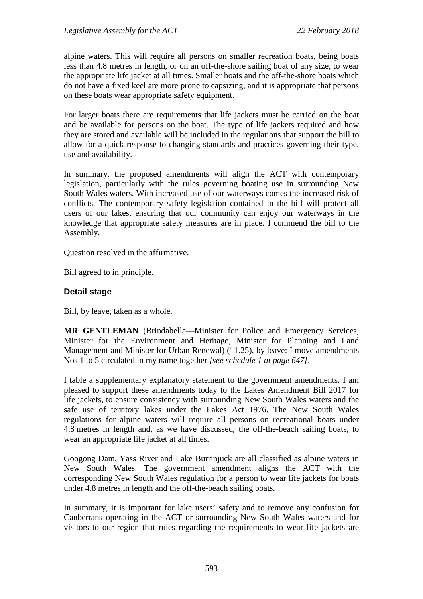alpine waters. This will require all persons on smaller recreation boats, being boats less than 4.8 metres in length, or on an off-the-shore sailing boat of any size, to wear the appropriate life jacket at all times. Smaller boats and the off-the-shore boats which do not have a fixed keel are more prone to capsizing, and it is appropriate that persons on these boats wear appropriate safety equipment.

For larger boats there are requirements that life jackets must be carried on the boat and be available for persons on the boat. The type of life jackets required and how they are stored and available will be included in the regulations that support the bill to allow for a quick response to changing standards and practices governing their type, use and availability.

In summary, the proposed amendments will align the ACT with contemporary legislation, particularly with the rules governing boating use in surrounding New South Wales waters. With increased use of our waterways comes the increased risk of conflicts. The contemporary safety legislation contained in the bill will protect all users of our lakes, ensuring that our community can enjoy our waterways in the knowledge that appropriate safety measures are in place. I commend the bill to the Assembly.

Question resolved in the affirmative.

Bill agreed to in principle.

#### **Detail stage**

Bill, by leave, taken as a whole.

**MR GENTLEMAN** (Brindabella—Minister for Police and Emergency Services, Minister for the Environment and Heritage, Minister for Planning and Land Management and Minister for Urban Renewal) (11.25), by leave: I move amendments Nos 1 to 5 circulated in my name together *[see schedule 1 at page 647]*.

I table a supplementary explanatory statement to the government amendments. I am pleased to support these amendments today to the Lakes Amendment Bill 2017 for life jackets, to ensure consistency with surrounding New South Wales waters and the safe use of territory lakes under the Lakes Act 1976. The New South Wales regulations for alpine waters will require all persons on recreational boats under 4.8 metres in length and, as we have discussed, the off-the-beach sailing boats, to wear an appropriate life jacket at all times.

Googong Dam, Yass River and Lake Burrinjuck are all classified as alpine waters in New South Wales. The government amendment aligns the ACT with the corresponding New South Wales regulation for a person to wear life jackets for boats under 4.8 metres in length and the off-the-beach sailing boats.

In summary, it is important for lake users' safety and to remove any confusion for Canberrans operating in the ACT or surrounding New South Wales waters and for visitors to our region that rules regarding the requirements to wear life jackets are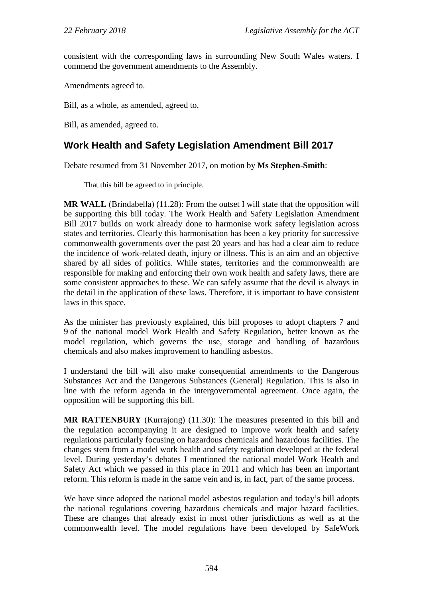consistent with the corresponding laws in surrounding New South Wales waters. I commend the government amendments to the Assembly.

Amendments agreed to.

Bill, as a whole, as amended, agreed to.

Bill, as amended, agreed to.

# <span id="page-28-0"></span>**Work Health and Safety Legislation Amendment Bill 2017**

Debate resumed from 31 November 2017, on motion by **Ms Stephen-Smith**:

That this bill be agreed to in principle.

**MR WALL** (Brindabella) (11.28): From the outset I will state that the opposition will be supporting this bill today. The Work Health and Safety Legislation Amendment Bill 2017 builds on work already done to harmonise work safety legislation across states and territories. Clearly this harmonisation has been a key priority for successive commonwealth governments over the past 20 years and has had a clear aim to reduce the incidence of work-related death, injury or illness. This is an aim and an objective shared by all sides of politics. While states, territories and the commonwealth are responsible for making and enforcing their own work health and safety laws, there are some consistent approaches to these. We can safely assume that the devil is always in the detail in the application of these laws. Therefore, it is important to have consistent laws in this space.

As the minister has previously explained, this bill proposes to adopt chapters 7 and 9 of the national model Work Health and Safety Regulation, better known as the model regulation, which governs the use, storage and handling of hazardous chemicals and also makes improvement to handling asbestos.

I understand the bill will also make consequential amendments to the Dangerous Substances Act and the Dangerous Substances (General) Regulation. This is also in line with the reform agenda in the intergovernmental agreement. Once again, the opposition will be supporting this bill.

**MR RATTENBURY** (Kurrajong) (11.30): The measures presented in this bill and the regulation accompanying it are designed to improve work health and safety regulations particularly focusing on hazardous chemicals and hazardous facilities. The changes stem from a model work health and safety regulation developed at the federal level. During yesterday's debates I mentioned the national model Work Health and Safety Act which we passed in this place in 2011 and which has been an important reform. This reform is made in the same vein and is, in fact, part of the same process.

We have since adopted the national model asbestos regulation and today's bill adopts the national regulations covering hazardous chemicals and major hazard facilities. These are changes that already exist in most other jurisdictions as well as at the commonwealth level. The model regulations have been developed by SafeWork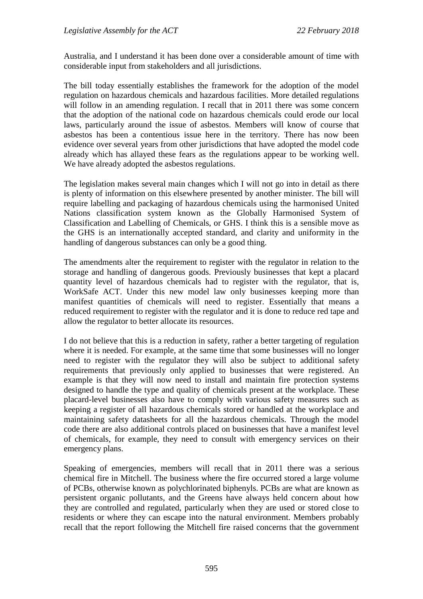Australia, and I understand it has been done over a considerable amount of time with considerable input from stakeholders and all jurisdictions.

The bill today essentially establishes the framework for the adoption of the model regulation on hazardous chemicals and hazardous facilities. More detailed regulations will follow in an amending regulation. I recall that in 2011 there was some concern that the adoption of the national code on hazardous chemicals could erode our local laws, particularly around the issue of asbestos. Members will know of course that asbestos has been a contentious issue here in the territory. There has now been evidence over several years from other jurisdictions that have adopted the model code already which has allayed these fears as the regulations appear to be working well. We have already adopted the asbestos regulations.

The legislation makes several main changes which I will not go into in detail as there is plenty of information on this elsewhere presented by another minister. The bill will require labelling and packaging of hazardous chemicals using the harmonised United Nations classification system known as the Globally Harmonised System of Classification and Labelling of Chemicals, or GHS. I think this is a sensible move as the GHS is an internationally accepted standard, and clarity and uniformity in the handling of dangerous substances can only be a good thing.

The amendments alter the requirement to register with the regulator in relation to the storage and handling of dangerous goods. Previously businesses that kept a placard quantity level of hazardous chemicals had to register with the regulator, that is, WorkSafe ACT. Under this new model law only businesses keeping more than manifest quantities of chemicals will need to register. Essentially that means a reduced requirement to register with the regulator and it is done to reduce red tape and allow the regulator to better allocate its resources.

I do not believe that this is a reduction in safety, rather a better targeting of regulation where it is needed. For example, at the same time that some businesses will no longer need to register with the regulator they will also be subject to additional safety requirements that previously only applied to businesses that were registered. An example is that they will now need to install and maintain fire protection systems designed to handle the type and quality of chemicals present at the workplace. These placard-level businesses also have to comply with various safety measures such as keeping a register of all hazardous chemicals stored or handled at the workplace and maintaining safety datasheets for all the hazardous chemicals. Through the model code there are also additional controls placed on businesses that have a manifest level of chemicals, for example, they need to consult with emergency services on their emergency plans.

Speaking of emergencies, members will recall that in 2011 there was a serious chemical fire in Mitchell. The business where the fire occurred stored a large volume of PCBs, otherwise known as polychlorinated biphenyls. PCBs are what are known as persistent organic pollutants, and the Greens have always held concern about how they are controlled and regulated, particularly when they are used or stored close to residents or where they can escape into the natural environment. Members probably recall that the report following the Mitchell fire raised concerns that the government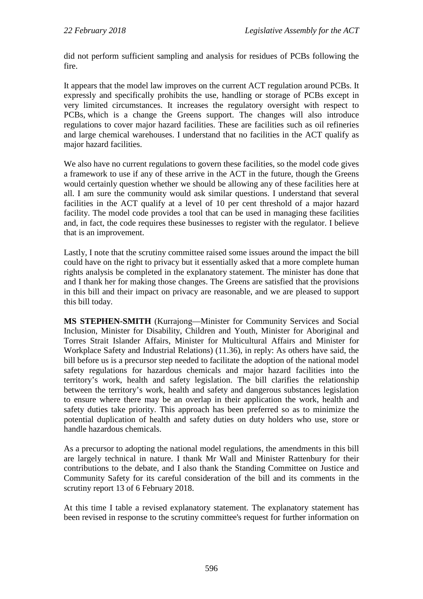did not perform sufficient sampling and analysis for residues of PCBs following the fire.

It appears that the model law improves on the current ACT regulation around PCBs. It expressly and specifically prohibits the use, handling or storage of PCBs except in very limited circumstances. It increases the regulatory oversight with respect to PCBs, which is a change the Greens support. The changes will also introduce regulations to cover major hazard facilities. These are facilities such as oil refineries and large chemical warehouses. I understand that no facilities in the ACT qualify as major hazard facilities.

We also have no current regulations to govern these facilities, so the model code gives a framework to use if any of these arrive in the ACT in the future, though the Greens would certainly question whether we should be allowing any of these facilities here at all. I am sure the community would ask similar questions. I understand that several facilities in the ACT qualify at a level of 10 per cent threshold of a major hazard facility. The model code provides a tool that can be used in managing these facilities and, in fact, the code requires these businesses to register with the regulator. I believe that is an improvement.

Lastly, I note that the scrutiny committee raised some issues around the impact the bill could have on the right to privacy but it essentially asked that a more complete human rights analysis be completed in the explanatory statement. The minister has done that and I thank her for making those changes. The Greens are satisfied that the provisions in this bill and their impact on privacy are reasonable, and we are pleased to support this bill today.

**MS STEPHEN-SMITH** (Kurrajong—Minister for Community Services and Social Inclusion, Minister for Disability, Children and Youth, Minister for Aboriginal and Torres Strait Islander Affairs, Minister for Multicultural Affairs and Minister for Workplace Safety and Industrial Relations) (11.36), in reply: As others have said, the bill before us is a precursor step needed to facilitate the adoption of the national model safety regulations for hazardous chemicals and major hazard facilities into the territory's work, health and safety legislation. The bill clarifies the relationship between the territory's work, health and safety and dangerous substances legislation to ensure where there may be an overlap in their application the work, health and safety duties take priority. This approach has been preferred so as to minimize the potential duplication of health and safety duties on duty holders who use, store or handle hazardous chemicals.

As a precursor to adopting the national model regulations, the amendments in this bill are largely technical in nature. I thank Mr Wall and Minister Rattenbury for their contributions to the debate, and I also thank the Standing Committee on Justice and Community Safety for its careful consideration of the bill and its comments in the scrutiny report 13 of 6 February 2018.

At this time I table a revised explanatory statement. The explanatory statement has been revised in response to the scrutiny committee's request for further information on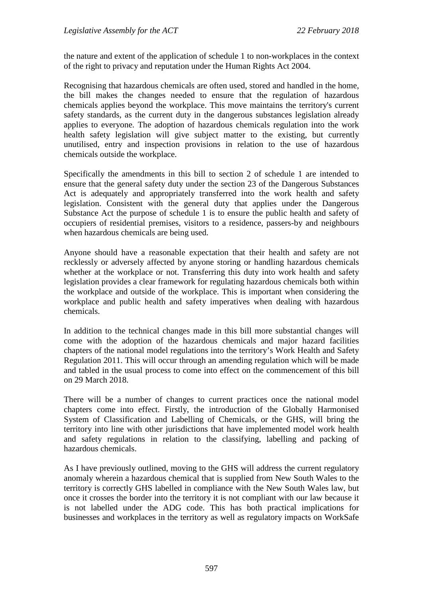the nature and extent of the application of schedule 1 to non-workplaces in the context of the right to privacy and reputation under the Human Rights Act 2004.

Recognising that hazardous chemicals are often used, stored and handled in the home, the bill makes the changes needed to ensure that the regulation of hazardous chemicals applies beyond the workplace. This move maintains the territory's current safety standards, as the current duty in the dangerous substances legislation already applies to everyone. The adoption of hazardous chemicals regulation into the work health safety legislation will give subject matter to the existing, but currently unutilised, entry and inspection provisions in relation to the use of hazardous chemicals outside the workplace.

Specifically the amendments in this bill to section 2 of schedule 1 are intended to ensure that the general safety duty under the section 23 of the Dangerous Substances Act is adequately and appropriately transferred into the work health and safety legislation. Consistent with the general duty that applies under the Dangerous Substance Act the purpose of schedule 1 is to ensure the public health and safety of occupiers of residential premises, visitors to a residence, passers-by and neighbours when hazardous chemicals are being used.

Anyone should have a reasonable expectation that their health and safety are not recklessly or adversely affected by anyone storing or handling hazardous chemicals whether at the workplace or not. Transferring this duty into work health and safety legislation provides a clear framework for regulating hazardous chemicals both within the workplace and outside of the workplace. This is important when considering the workplace and public health and safety imperatives when dealing with hazardous chemicals.

In addition to the technical changes made in this bill more substantial changes will come with the adoption of the hazardous chemicals and major hazard facilities chapters of the national model regulations into the territory's Work Health and Safety Regulation 2011. This will occur through an amending regulation which will be made and tabled in the usual process to come into effect on the commencement of this bill on 29 March 2018.

There will be a number of changes to current practices once the national model chapters come into effect. Firstly, the introduction of the Globally Harmonised System of Classification and Labelling of Chemicals, or the GHS, will bring the territory into line with other jurisdictions that have implemented model work health and safety regulations in relation to the classifying, labelling and packing of hazardous chemicals.

As I have previously outlined, moving to the GHS will address the current regulatory anomaly wherein a hazardous chemical that is supplied from New South Wales to the territory is correctly GHS labelled in compliance with the New South Wales law, but once it crosses the border into the territory it is not compliant with our law because it is not labelled under the ADG code. This has both practical implications for businesses and workplaces in the territory as well as regulatory impacts on WorkSafe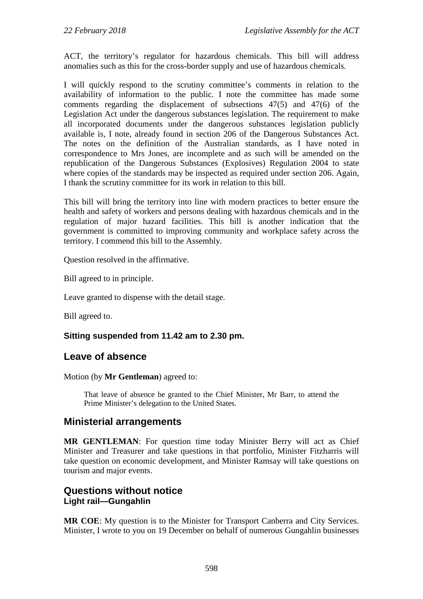ACT, the territory's regulator for hazardous chemicals. This bill will address anomalies such as this for the cross-border supply and use of hazardous chemicals.

I will quickly respond to the scrutiny committee's comments in relation to the availability of information to the public. I note the committee has made some comments regarding the displacement of subsections 47(5) and 47(6) of the Legislation Act under the dangerous substances legislation. The requirement to make all incorporated documents under the dangerous substances legislation publicly available is, I note, already found in section 206 of the Dangerous Substances Act. The notes on the definition of the Australian standards, as I have noted in correspondence to Mrs Jones, are incomplete and as such will be amended on the republication of the Dangerous Substances (Explosives) Regulation 2004 to state where copies of the standards may be inspected as required under section 206. Again, I thank the scrutiny committee for its work in relation to this bill.

This bill will bring the territory into line with modern practices to better ensure the health and safety of workers and persons dealing with hazardous chemicals and in the regulation of major hazard facilities. This bill is another indication that the government is committed to improving community and workplace safety across the territory. I commend this bill to the Assembly.

Question resolved in the affirmative.

Bill agreed to in principle.

Leave granted to dispense with the detail stage.

Bill agreed to.

#### **Sitting suspended from 11.42 am to 2.30 pm.**

# <span id="page-32-0"></span>**Leave of absence**

Motion (by **Mr Gentleman**) agreed to:

That leave of absence be granted to the Chief Minister, Mr Barr, to attend the Prime Minister's delegation to the United States.

## <span id="page-32-1"></span>**Ministerial arrangements**

**MR GENTLEMAN**: For question time today Minister Berry will act as Chief Minister and Treasurer and take questions in that portfolio, Minister Fitzharris will take question on economic development, and Minister Ramsay will take questions on tourism and major events.

# <span id="page-32-3"></span><span id="page-32-2"></span>**Questions without notice Light rail—Gungahlin**

**MR COE**: My question is to the Minister for Transport Canberra and City Services. Minister, I wrote to you on 19 December on behalf of numerous Gungahlin businesses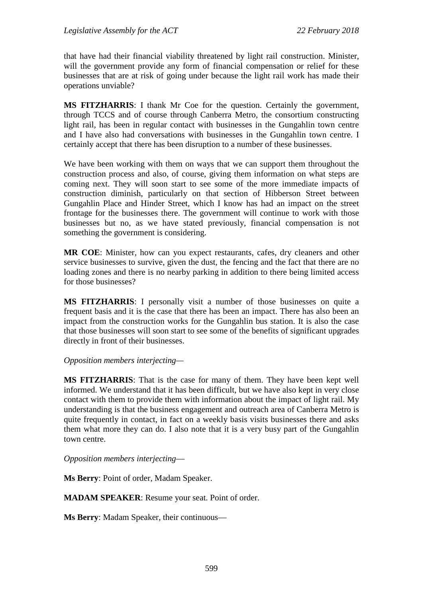that have had their financial viability threatened by light rail construction. Minister, will the government provide any form of financial compensation or relief for these businesses that are at risk of going under because the light rail work has made their operations unviable?

**MS FITZHARRIS**: I thank Mr Coe for the question. Certainly the government, through TCCS and of course through Canberra Metro, the consortium constructing light rail, has been in regular contact with businesses in the Gungahlin town centre and I have also had conversations with businesses in the Gungahlin town centre. I certainly accept that there has been disruption to a number of these businesses.

We have been working with them on ways that we can support them throughout the construction process and also, of course, giving them information on what steps are coming next. They will soon start to see some of the more immediate impacts of construction diminish, particularly on that section of Hibberson Street between Gungahlin Place and Hinder Street, which I know has had an impact on the street frontage for the businesses there. The government will continue to work with those businesses but no, as we have stated previously, financial compensation is not something the government is considering.

**MR COE**: Minister, how can you expect restaurants, cafes, dry cleaners and other service businesses to survive, given the dust, the fencing and the fact that there are no loading zones and there is no nearby parking in addition to there being limited access for those businesses?

**MS FITZHARRIS**: I personally visit a number of those businesses on quite a frequent basis and it is the case that there has been an impact. There has also been an impact from the construction works for the Gungahlin bus station. It is also the case that those businesses will soon start to see some of the benefits of significant upgrades directly in front of their businesses.

#### *Opposition members interjecting—*

**MS FITZHARRIS**: That is the case for many of them. They have been kept well informed. We understand that it has been difficult, but we have also kept in very close contact with them to provide them with information about the impact of light rail. My understanding is that the business engagement and outreach area of Canberra Metro is quite frequently in contact, in fact on a weekly basis visits businesses there and asks them what more they can do. I also note that it is a very busy part of the Gungahlin town centre.

*Opposition members interjecting*—

**Ms Berry**: Point of order, Madam Speaker.

**MADAM SPEAKER**: Resume your seat. Point of order.

**Ms Berry**: Madam Speaker, their continuous—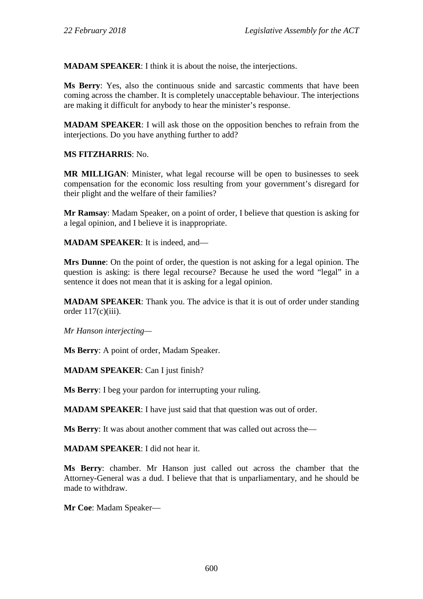**MADAM SPEAKER**: I think it is about the noise, the interjections.

**Ms Berry**: Yes, also the continuous snide and sarcastic comments that have been coming across the chamber. It is completely unacceptable behaviour. The interjections are making it difficult for anybody to hear the minister's response.

**MADAM SPEAKER**: I will ask those on the opposition benches to refrain from the interjections. Do you have anything further to add?

**MS FITZHARRIS**: No.

**MR MILLIGAN**: Minister, what legal recourse will be open to businesses to seek compensation for the economic loss resulting from your government's disregard for their plight and the welfare of their families?

**Mr Ramsay**: Madam Speaker, on a point of order, I believe that question is asking for a legal opinion, and I believe it is inappropriate.

**MADAM SPEAKER**: It is indeed, and—

**Mrs Dunne**: On the point of order, the question is not asking for a legal opinion. The question is asking: is there legal recourse? Because he used the word "legal" in a sentence it does not mean that it is asking for a legal opinion.

**MADAM SPEAKER**: Thank you. The advice is that it is out of order under standing order  $117(c)(iii)$ .

*Mr Hanson interjecting—*

**Ms Berry**: A point of order, Madam Speaker.

**MADAM SPEAKER**: Can I just finish?

**Ms Berry**: I beg your pardon for interrupting your ruling.

**MADAM SPEAKER:** I have just said that that question was out of order.

**Ms Berry**: It was about another comment that was called out across the—

**MADAM SPEAKER**: I did not hear it.

**Ms Berry**: chamber. Mr Hanson just called out across the chamber that the Attorney-General was a dud. I believe that that is unparliamentary, and he should be made to withdraw.

**Mr Coe**: Madam Speaker—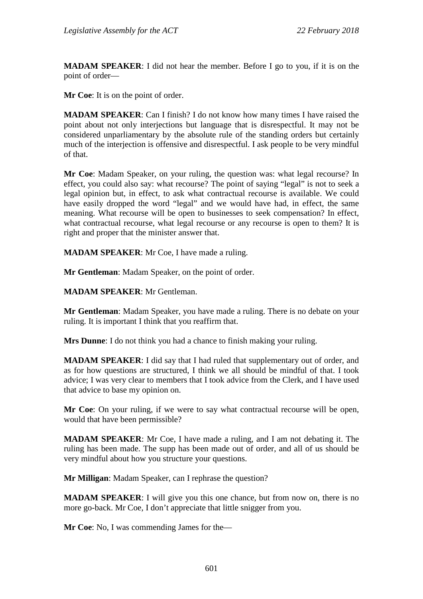**MADAM SPEAKER**: I did not hear the member. Before I go to you, if it is on the point of order—

**Mr Coe**: It is on the point of order.

**MADAM SPEAKER**: Can I finish? I do not know how many times I have raised the point about not only interjections but language that is disrespectful. It may not be considered unparliamentary by the absolute rule of the standing orders but certainly much of the interjection is offensive and disrespectful. I ask people to be very mindful of that.

**Mr Coe**: Madam Speaker, on your ruling, the question was: what legal recourse? In effect, you could also say: what recourse? The point of saying "legal" is not to seek a legal opinion but, in effect, to ask what contractual recourse is available. We could have easily dropped the word "legal" and we would have had, in effect, the same meaning. What recourse will be open to businesses to seek compensation? In effect, what contractual recourse, what legal recourse or any recourse is open to them? It is right and proper that the minister answer that.

**MADAM SPEAKER**: Mr Coe, I have made a ruling.

**Mr Gentleman**: Madam Speaker, on the point of order.

**MADAM SPEAKER**: Mr Gentleman.

**Mr Gentleman**: Madam Speaker, you have made a ruling. There is no debate on your ruling. It is important I think that you reaffirm that.

**Mrs Dunne**: I do not think you had a chance to finish making your ruling.

**MADAM SPEAKER**: I did say that I had ruled that supplementary out of order, and as for how questions are structured, I think we all should be mindful of that. I took advice; I was very clear to members that I took advice from the Clerk, and I have used that advice to base my opinion on.

**Mr Coe**: On your ruling, if we were to say what contractual recourse will be open, would that have been permissible?

**MADAM SPEAKER**: Mr Coe, I have made a ruling, and I am not debating it. The ruling has been made. The supp has been made out of order, and all of us should be very mindful about how you structure your questions.

**Mr Milligan**: Madam Speaker, can I rephrase the question?

**MADAM SPEAKER**: I will give you this one chance, but from now on, there is no more go-back. Mr Coe, I don't appreciate that little snigger from you.

**Mr Coe**: No, I was commending James for the—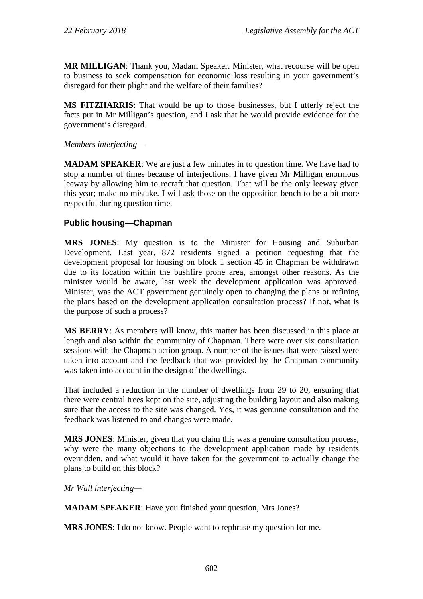**MR MILLIGAN**: Thank you, Madam Speaker. Minister, what recourse will be open to business to seek compensation for economic loss resulting in your government's disregard for their plight and the welfare of their families?

**MS FITZHARRIS**: That would be up to those businesses, but I utterly reject the facts put in Mr Milligan's question, and I ask that he would provide evidence for the government's disregard.

*Members interjecting*—

**MADAM SPEAKER**: We are just a few minutes in to question time. We have had to stop a number of times because of interjections. I have given Mr Milligan enormous leeway by allowing him to recraft that question. That will be the only leeway given this year; make no mistake. I will ask those on the opposition bench to be a bit more respectful during question time.

# **Public housing—Chapman**

**MRS JONES**: My question is to the Minister for Housing and Suburban Development. Last year, 872 residents signed a petition requesting that the development proposal for housing on block 1 section 45 in Chapman be withdrawn due to its location within the bushfire prone area, amongst other reasons. As the minister would be aware, last week the development application was approved. Minister, was the ACT government genuinely open to changing the plans or refining the plans based on the development application consultation process? If not, what is the purpose of such a process?

**MS BERRY**: As members will know, this matter has been discussed in this place at length and also within the community of Chapman. There were over six consultation sessions with the Chapman action group. A number of the issues that were raised were taken into account and the feedback that was provided by the Chapman community was taken into account in the design of the dwellings.

That included a reduction in the number of dwellings from 29 to 20, ensuring that there were central trees kept on the site, adjusting the building layout and also making sure that the access to the site was changed. Yes, it was genuine consultation and the feedback was listened to and changes were made.

**MRS JONES**: Minister, given that you claim this was a genuine consultation process, why were the many objections to the development application made by residents overridden, and what would it have taken for the government to actually change the plans to build on this block?

*Mr Wall interjecting—*

**MADAM SPEAKER**: Have you finished your question, Mrs Jones?

**MRS JONES**: I do not know. People want to rephrase my question for me.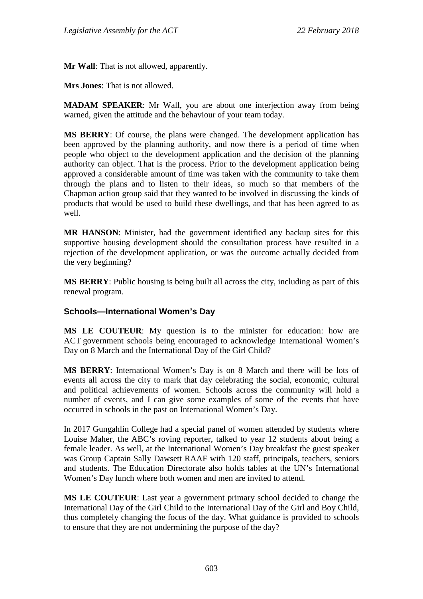**Mr Wall**: That is not allowed, apparently.

**Mrs Jones**: That is not allowed.

**MADAM SPEAKER**: Mr Wall, you are about one interjection away from being warned, given the attitude and the behaviour of your team today.

**MS BERRY**: Of course, the plans were changed. The development application has been approved by the planning authority, and now there is a period of time when people who object to the development application and the decision of the planning authority can object. That is the process. Prior to the development application being approved a considerable amount of time was taken with the community to take them through the plans and to listen to their ideas, so much so that members of the Chapman action group said that they wanted to be involved in discussing the kinds of products that would be used to build these dwellings, and that has been agreed to as well.

**MR HANSON**: Minister, had the government identified any backup sites for this supportive housing development should the consultation process have resulted in a rejection of the development application, or was the outcome actually decided from the very beginning?

**MS BERRY**: Public housing is being built all across the city, including as part of this renewal program.

### **Schools—International Women's Day**

**MS LE COUTEUR**: My question is to the minister for education: how are ACT government schools being encouraged to acknowledge International Women's Day on 8 March and the International Day of the Girl Child?

**MS BERRY**: International Women's Day is on 8 March and there will be lots of events all across the city to mark that day celebrating the social, economic, cultural and political achievements of women. Schools across the community will hold a number of events, and I can give some examples of some of the events that have occurred in schools in the past on International Women's Day.

In 2017 Gungahlin College had a special panel of women attended by students where Louise Maher, the ABC's roving reporter, talked to year 12 students about being a female leader. As well, at the International Women's Day breakfast the guest speaker was Group Captain Sally Dawsett RAAF with 120 staff, principals, teachers, seniors and students. The Education Directorate also holds tables at the UN's International Women's Day lunch where both women and men are invited to attend.

**MS LE COUTEUR**: Last year a government primary school decided to change the International Day of the Girl Child to the International Day of the Girl and Boy Child, thus completely changing the focus of the day. What guidance is provided to schools to ensure that they are not undermining the purpose of the day?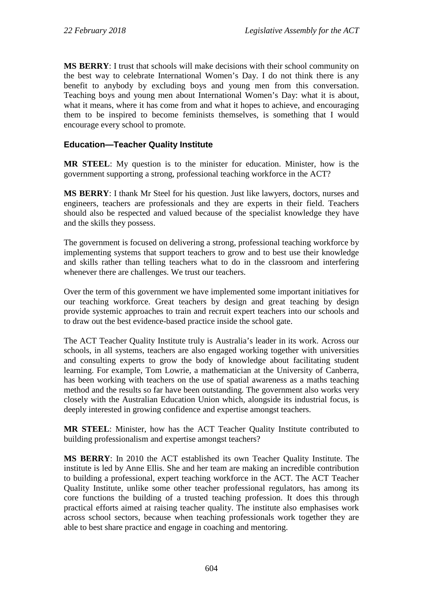**MS BERRY**: I trust that schools will make decisions with their school community on the best way to celebrate International Women's Day. I do not think there is any benefit to anybody by excluding boys and young men from this conversation. Teaching boys and young men about International Women's Day: what it is about, what it means, where it has come from and what it hopes to achieve, and encouraging them to be inspired to become feminists themselves, is something that I would encourage every school to promote.

### **Education—Teacher Quality Institute**

**MR STEEL**: My question is to the minister for education. Minister, how is the government supporting a strong, professional teaching workforce in the ACT?

**MS BERRY**: I thank Mr Steel for his question. Just like lawyers, doctors, nurses and engineers, teachers are professionals and they are experts in their field. Teachers should also be respected and valued because of the specialist knowledge they have and the skills they possess.

The government is focused on delivering a strong, professional teaching workforce by implementing systems that support teachers to grow and to best use their knowledge and skills rather than telling teachers what to do in the classroom and interfering whenever there are challenges. We trust our teachers.

Over the term of this government we have implemented some important initiatives for our teaching workforce. Great teachers by design and great teaching by design provide systemic approaches to train and recruit expert teachers into our schools and to draw out the best evidence-based practice inside the school gate.

The ACT Teacher Quality Institute truly is Australia's leader in its work. Across our schools, in all systems, teachers are also engaged working together with universities and consulting experts to grow the body of knowledge about facilitating student learning. For example, Tom Lowrie, a mathematician at the University of Canberra, has been working with teachers on the use of spatial awareness as a maths teaching method and the results so far have been outstanding. The government also works very closely with the Australian Education Union which, alongside its industrial focus, is deeply interested in growing confidence and expertise amongst teachers.

**MR STEEL**: Minister, how has the ACT Teacher Quality Institute contributed to building professionalism and expertise amongst teachers?

**MS BERRY**: In 2010 the ACT established its own Teacher Quality Institute. The institute is led by Anne Ellis. She and her team are making an incredible contribution to building a professional, expert teaching workforce in the ACT. The ACT Teacher Quality Institute, unlike some other teacher professional regulators, has among its core functions the building of a trusted teaching profession. It does this through practical efforts aimed at raising teacher quality. The institute also emphasises work across school sectors, because when teaching professionals work together they are able to best share practice and engage in coaching and mentoring.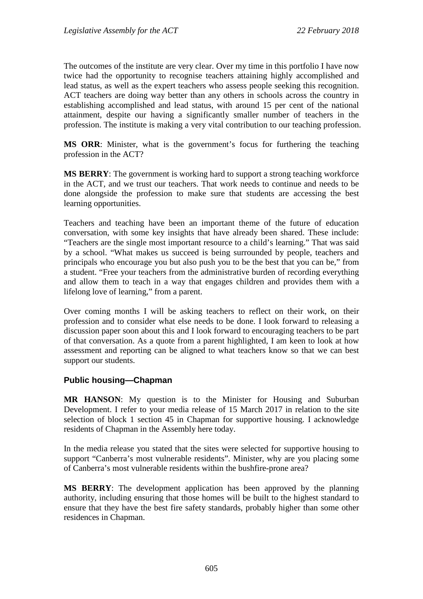The outcomes of the institute are very clear. Over my time in this portfolio I have now twice had the opportunity to recognise teachers attaining highly accomplished and lead status, as well as the expert teachers who assess people seeking this recognition. ACT teachers are doing way better than any others in schools across the country in establishing accomplished and lead status, with around 15 per cent of the national attainment, despite our having a significantly smaller number of teachers in the profession. The institute is making a very vital contribution to our teaching profession.

**MS ORR**: Minister, what is the government's focus for furthering the teaching profession in the ACT?

**MS BERRY**: The government is working hard to support a strong teaching workforce in the ACT, and we trust our teachers. That work needs to continue and needs to be done alongside the profession to make sure that students are accessing the best learning opportunities.

Teachers and teaching have been an important theme of the future of education conversation, with some key insights that have already been shared. These include: "Teachers are the single most important resource to a child's learning." That was said by a school. "What makes us succeed is being surrounded by people, teachers and principals who encourage you but also push you to be the best that you can be," from a student. "Free your teachers from the administrative burden of recording everything and allow them to teach in a way that engages children and provides them with a lifelong love of learning," from a parent.

Over coming months I will be asking teachers to reflect on their work, on their profession and to consider what else needs to be done. I look forward to releasing a discussion paper soon about this and I look forward to encouraging teachers to be part of that conversation. As a quote from a parent highlighted, I am keen to look at how assessment and reporting can be aligned to what teachers know so that we can best support our students.

### **Public housing—Chapman**

**MR HANSON**: My question is to the Minister for Housing and Suburban Development. I refer to your media release of 15 March 2017 in relation to the site selection of block 1 section 45 in Chapman for supportive housing. I acknowledge residents of Chapman in the Assembly here today.

In the media release you stated that the sites were selected for supportive housing to support "Canberra's most vulnerable residents". Minister, why are you placing some of Canberra's most vulnerable residents within the bushfire-prone area?

**MS BERRY**: The development application has been approved by the planning authority, including ensuring that those homes will be built to the highest standard to ensure that they have the best fire safety standards, probably higher than some other residences in Chapman.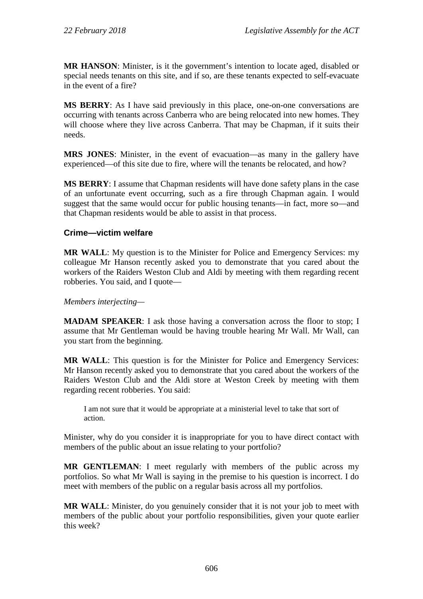**MR HANSON**: Minister, is it the government's intention to locate aged, disabled or special needs tenants on this site, and if so, are these tenants expected to self-evacuate in the event of a fire?

**MS BERRY**: As I have said previously in this place, one-on-one conversations are occurring with tenants across Canberra who are being relocated into new homes. They will choose where they live across Canberra. That may be Chapman, if it suits their needs.

**MRS JONES**: Minister, in the event of evacuation—as many in the gallery have experienced—of this site due to fire, where will the tenants be relocated, and how?

**MS BERRY**: I assume that Chapman residents will have done safety plans in the case of an unfortunate event occurring, such as a fire through Chapman again. I would suggest that the same would occur for public housing tenants—in fact, more so—and that Chapman residents would be able to assist in that process.

### **Crime—victim welfare**

**MR WALL**: My question is to the Minister for Police and Emergency Services: my colleague Mr Hanson recently asked you to demonstrate that you cared about the workers of the Raiders Weston Club and Aldi by meeting with them regarding recent robberies. You said, and I quote—

*Members interjecting—*

**MADAM SPEAKER:** I ask those having a conversation across the floor to stop; I assume that Mr Gentleman would be having trouble hearing Mr Wall. Mr Wall, can you start from the beginning.

**MR WALL**: This question is for the Minister for Police and Emergency Services: Mr Hanson recently asked you to demonstrate that you cared about the workers of the Raiders Weston Club and the Aldi store at Weston Creek by meeting with them regarding recent robberies. You said:

I am not sure that it would be appropriate at a ministerial level to take that sort of action.

Minister, why do you consider it is inappropriate for you to have direct contact with members of the public about an issue relating to your portfolio?

**MR GENTLEMAN**: I meet regularly with members of the public across my portfolios. So what Mr Wall is saying in the premise to his question is incorrect. I do meet with members of the public on a regular basis across all my portfolios.

**MR WALL**: Minister, do you genuinely consider that it is not your job to meet with members of the public about your portfolio responsibilities, given your quote earlier this week?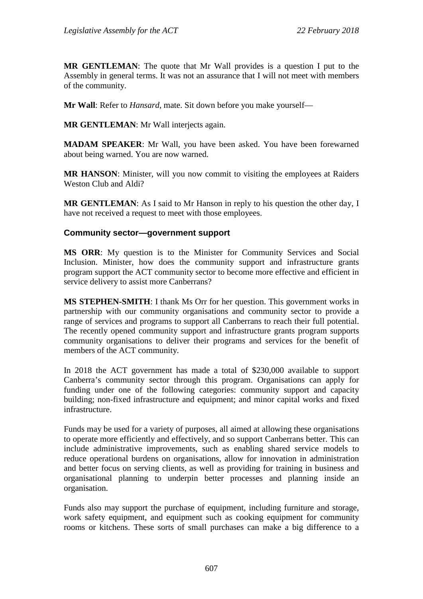**MR GENTLEMAN**: The quote that Mr Wall provides is a question I put to the Assembly in general terms. It was not an assurance that I will not meet with members of the community.

**Mr Wall**: Refer to *Hansard*, mate. Sit down before you make yourself—

**MR GENTLEMAN**: Mr Wall interjects again.

**MADAM SPEAKER**: Mr Wall, you have been asked. You have been forewarned about being warned. You are now warned.

**MR HANSON**: Minister, will you now commit to visiting the employees at Raiders Weston Club and Aldi?

**MR GENTLEMAN**: As I said to Mr Hanson in reply to his question the other day, I have not received a request to meet with those employees.

### **Community sector—government support**

**MS ORR**: My question is to the Minister for Community Services and Social Inclusion. Minister, how does the community support and infrastructure grants program support the ACT community sector to become more effective and efficient in service delivery to assist more Canberrans?

**MS STEPHEN-SMITH**: I thank Ms Orr for her question. This government works in partnership with our community organisations and community sector to provide a range of services and programs to support all Canberrans to reach their full potential. The recently opened community support and infrastructure grants program supports community organisations to deliver their programs and services for the benefit of members of the ACT community.

In 2018 the ACT government has made a total of \$230,000 available to support Canberra's community sector through this program. Organisations can apply for funding under one of the following categories: community support and capacity building; non-fixed infrastructure and equipment; and minor capital works and fixed infrastructure.

Funds may be used for a variety of purposes, all aimed at allowing these organisations to operate more efficiently and effectively, and so support Canberrans better. This can include administrative improvements, such as enabling shared service models to reduce operational burdens on organisations, allow for innovation in administration and better focus on serving clients, as well as providing for training in business and organisational planning to underpin better processes and planning inside an organisation.

Funds also may support the purchase of equipment, including furniture and storage, work safety equipment, and equipment such as cooking equipment for community rooms or kitchens. These sorts of small purchases can make a big difference to a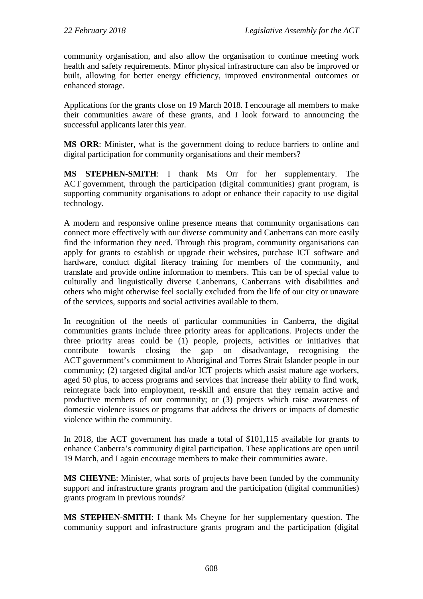community organisation, and also allow the organisation to continue meeting work health and safety requirements. Minor physical infrastructure can also be improved or built, allowing for better energy efficiency, improved environmental outcomes or enhanced storage.

Applications for the grants close on 19 March 2018. I encourage all members to make their communities aware of these grants, and I look forward to announcing the successful applicants later this year.

**MS ORR**: Minister, what is the government doing to reduce barriers to online and digital participation for community organisations and their members?

**MS STEPHEN-SMITH**: I thank Ms Orr for her supplementary. The ACT government, through the participation (digital communities) grant program, is supporting community organisations to adopt or enhance their capacity to use digital technology.

A modern and responsive online presence means that community organisations can connect more effectively with our diverse community and Canberrans can more easily find the information they need. Through this program, community organisations can apply for grants to establish or upgrade their websites, purchase ICT software and hardware, conduct digital literacy training for members of the community, and translate and provide online information to members. This can be of special value to culturally and linguistically diverse Canberrans, Canberrans with disabilities and others who might otherwise feel socially excluded from the life of our city or unaware of the services, supports and social activities available to them.

In recognition of the needs of particular communities in Canberra, the digital communities grants include three priority areas for applications. Projects under the three priority areas could be (1) people, projects, activities or initiatives that contribute towards closing the gap on disadvantage, recognising the ACT government's commitment to Aboriginal and Torres Strait Islander people in our community; (2) targeted digital and/or ICT projects which assist mature age workers, aged 50 plus, to access programs and services that increase their ability to find work, reintegrate back into employment, re-skill and ensure that they remain active and productive members of our community; or (3) projects which raise awareness of domestic violence issues or programs that address the drivers or impacts of domestic violence within the community.

In 2018, the ACT government has made a total of \$101,115 available for grants to enhance Canberra's community digital participation. These applications are open until 19 March, and I again encourage members to make their communities aware.

**MS CHEYNE**: Minister, what sorts of projects have been funded by the community support and infrastructure grants program and the participation (digital communities) grants program in previous rounds?

**MS STEPHEN-SMITH**: I thank Ms Cheyne for her supplementary question. The community support and infrastructure grants program and the participation (digital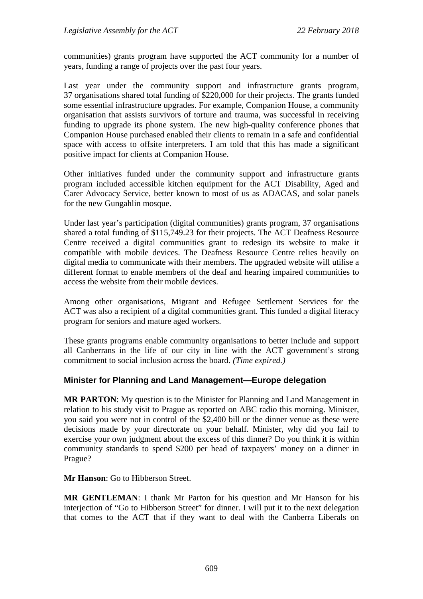communities) grants program have supported the ACT community for a number of years, funding a range of projects over the past four years.

Last year under the community support and infrastructure grants program, 37 organisations shared total funding of \$220,000 for their projects. The grants funded some essential infrastructure upgrades. For example, Companion House, a community organisation that assists survivors of torture and trauma, was successful in receiving funding to upgrade its phone system. The new high-quality conference phones that Companion House purchased enabled their clients to remain in a safe and confidential space with access to offsite interpreters. I am told that this has made a significant positive impact for clients at Companion House.

Other initiatives funded under the community support and infrastructure grants program included accessible kitchen equipment for the ACT Disability, Aged and Carer Advocacy Service, better known to most of us as ADACAS, and solar panels for the new Gungahlin mosque.

Under last year's participation (digital communities) grants program, 37 organisations shared a total funding of \$115,749.23 for their projects. The ACT Deafness Resource Centre received a digital communities grant to redesign its website to make it compatible with mobile devices. The Deafness Resource Centre relies heavily on digital media to communicate with their members. The upgraded website will utilise a different format to enable members of the deaf and hearing impaired communities to access the website from their mobile devices.

Among other organisations, Migrant and Refugee Settlement Services for the ACT was also a recipient of a digital communities grant. This funded a digital literacy program for seniors and mature aged workers.

These grants programs enable community organisations to better include and support all Canberrans in the life of our city in line with the ACT government's strong commitment to social inclusion across the board. *(Time expired.)*

### **Minister for Planning and Land Management—Europe delegation**

**MR PARTON**: My question is to the Minister for Planning and Land Management in relation to his study visit to Prague as reported on ABC radio this morning. Minister, you said you were not in control of the \$2,400 bill or the dinner venue as these were decisions made by your directorate on your behalf. Minister, why did you fail to exercise your own judgment about the excess of this dinner? Do you think it is within community standards to spend \$200 per head of taxpayers' money on a dinner in Prague?

**Mr Hanson**: Go to Hibberson Street.

**MR GENTLEMAN**: I thank Mr Parton for his question and Mr Hanson for his interjection of "Go to Hibberson Street" for dinner. I will put it to the next delegation that comes to the ACT that if they want to deal with the Canberra Liberals on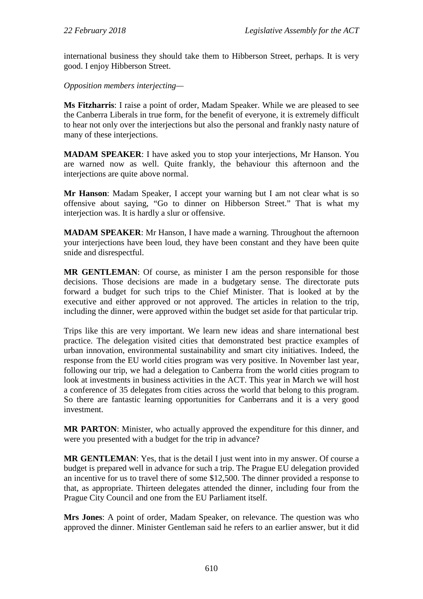international business they should take them to Hibberson Street, perhaps. It is very good. I enjoy Hibberson Street.

*Opposition members interjecting—*

**Ms Fitzharris**: I raise a point of order, Madam Speaker. While we are pleased to see the Canberra Liberals in true form, for the benefit of everyone, it is extremely difficult to hear not only over the interjections but also the personal and frankly nasty nature of many of these interjections.

**MADAM SPEAKER**: I have asked you to stop your interjections, Mr Hanson. You are warned now as well. Quite frankly, the behaviour this afternoon and the interjections are quite above normal.

**Mr Hanson**: Madam Speaker, I accept your warning but I am not clear what is so offensive about saying, "Go to dinner on Hibberson Street." That is what my interjection was. It is hardly a slur or offensive.

**MADAM SPEAKER**: Mr Hanson, I have made a warning. Throughout the afternoon your interjections have been loud, they have been constant and they have been quite snide and disrespectful.

**MR GENTLEMAN**: Of course, as minister I am the person responsible for those decisions. Those decisions are made in a budgetary sense. The directorate puts forward a budget for such trips to the Chief Minister. That is looked at by the executive and either approved or not approved. The articles in relation to the trip, including the dinner, were approved within the budget set aside for that particular trip.

Trips like this are very important. We learn new ideas and share international best practice. The delegation visited cities that demonstrated best practice examples of urban innovation, environmental sustainability and smart city initiatives. Indeed, the response from the EU world cities program was very positive. In November last year, following our trip, we had a delegation to Canberra from the world cities program to look at investments in business activities in the ACT. This year in March we will host a conference of 35 delegates from cities across the world that belong to this program. So there are fantastic learning opportunities for Canberrans and it is a very good investment.

**MR PARTON**: Minister, who actually approved the expenditure for this dinner, and were you presented with a budget for the trip in advance?

**MR GENTLEMAN**: Yes, that is the detail I just went into in my answer. Of course a budget is prepared well in advance for such a trip. The Prague EU delegation provided an incentive for us to travel there of some \$12,500. The dinner provided a response to that, as appropriate. Thirteen delegates attended the dinner, including four from the Prague City Council and one from the EU Parliament itself.

**Mrs Jones**: A point of order, Madam Speaker, on relevance. The question was who approved the dinner. Minister Gentleman said he refers to an earlier answer, but it did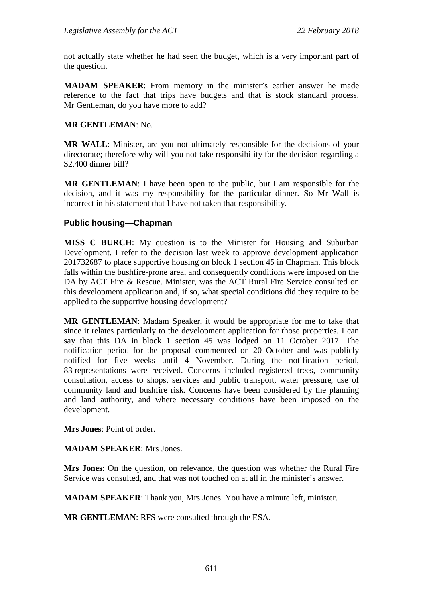not actually state whether he had seen the budget, which is a very important part of the question.

**MADAM SPEAKER**: From memory in the minister's earlier answer he made reference to the fact that trips have budgets and that is stock standard process. Mr Gentleman, do you have more to add?

#### **MR GENTLEMAN**: No.

**MR WALL**: Minister, are you not ultimately responsible for the decisions of your directorate; therefore why will you not take responsibility for the decision regarding a \$2,400 dinner bill?

**MR GENTLEMAN**: I have been open to the public, but I am responsible for the decision, and it was my responsibility for the particular dinner. So Mr Wall is incorrect in his statement that I have not taken that responsibility.

### **Public housing—Chapman**

**MISS C BURCH**: My question is to the Minister for Housing and Suburban Development. I refer to the decision last week to approve development application 201732687 to place supportive housing on block 1 section 45 in Chapman. This block falls within the bushfire-prone area, and consequently conditions were imposed on the DA by ACT Fire & Rescue. Minister, was the ACT Rural Fire Service consulted on this development application and, if so, what special conditions did they require to be applied to the supportive housing development?

**MR GENTLEMAN**: Madam Speaker, it would be appropriate for me to take that since it relates particularly to the development application for those properties. I can say that this DA in block 1 section 45 was lodged on 11 October 2017. The notification period for the proposal commenced on 20 October and was publicly notified for five weeks until 4 November. During the notification period, 83 representations were received. Concerns included registered trees, community consultation, access to shops, services and public transport, water pressure, use of community land and bushfire risk. Concerns have been considered by the planning and land authority, and where necessary conditions have been imposed on the development.

**Mrs Jones**: Point of order.

**MADAM SPEAKER**: Mrs Jones.

**Mrs Jones**: On the question, on relevance, the question was whether the Rural Fire Service was consulted, and that was not touched on at all in the minister's answer.

**MADAM SPEAKER**: Thank you, Mrs Jones. You have a minute left, minister.

**MR GENTLEMAN**: RFS were consulted through the ESA.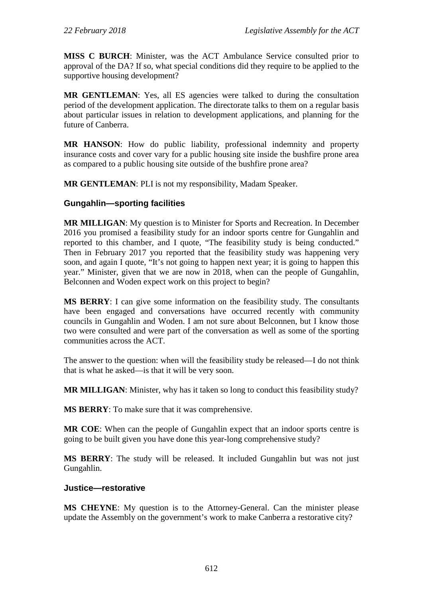**MISS C BURCH**: Minister, was the ACT Ambulance Service consulted prior to approval of the DA? If so, what special conditions did they require to be applied to the supportive housing development?

**MR GENTLEMAN**: Yes, all ES agencies were talked to during the consultation period of the development application. The directorate talks to them on a regular basis about particular issues in relation to development applications, and planning for the future of Canberra.

**MR HANSON**: How do public liability, professional indemnity and property insurance costs and cover vary for a public housing site inside the bushfire prone area as compared to a public housing site outside of the bushfire prone area?

**MR GENTLEMAN**: PLI is not my responsibility, Madam Speaker.

# **Gungahlin—sporting facilities**

**MR MILLIGAN**: My question is to Minister for Sports and Recreation. In December 2016 you promised a feasibility study for an indoor sports centre for Gungahlin and reported to this chamber, and I quote, "The feasibility study is being conducted." Then in February 2017 you reported that the feasibility study was happening very soon, and again I quote, "It's not going to happen next year; it is going to happen this year." Minister, given that we are now in 2018, when can the people of Gungahlin, Belconnen and Woden expect work on this project to begin?

**MS BERRY**: I can give some information on the feasibility study. The consultants have been engaged and conversations have occurred recently with community councils in Gungahlin and Woden. I am not sure about Belconnen, but I know those two were consulted and were part of the conversation as well as some of the sporting communities across the ACT.

The answer to the question: when will the feasibility study be released—I do not think that is what he asked—is that it will be very soon.

**MR MILLIGAN**: Minister, why has it taken so long to conduct this feasibility study?

**MS BERRY**: To make sure that it was comprehensive.

**MR COE**: When can the people of Gungahlin expect that an indoor sports centre is going to be built given you have done this year-long comprehensive study?

**MS BERRY**: The study will be released. It included Gungahlin but was not just Gungahlin.

### **Justice—restorative**

**MS CHEYNE**: My question is to the Attorney-General. Can the minister please update the Assembly on the government's work to make Canberra a restorative city?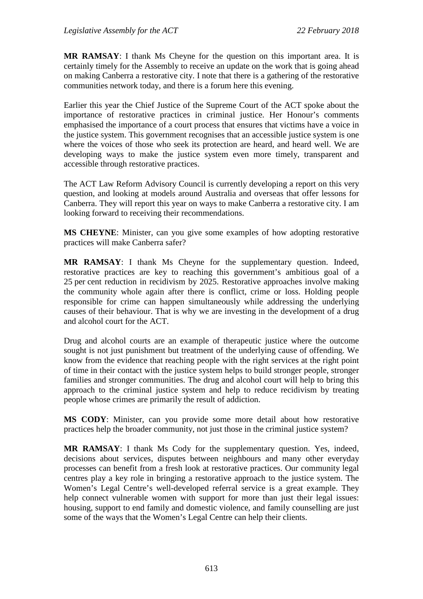**MR RAMSAY**: I thank Ms Cheyne for the question on this important area. It is certainly timely for the Assembly to receive an update on the work that is going ahead on making Canberra a restorative city. I note that there is a gathering of the restorative communities network today, and there is a forum here this evening.

Earlier this year the Chief Justice of the Supreme Court of the ACT spoke about the importance of restorative practices in criminal justice. Her Honour's comments emphasised the importance of a court process that ensures that victims have a voice in the justice system. This government recognises that an accessible justice system is one where the voices of those who seek its protection are heard, and heard well. We are developing ways to make the justice system even more timely, transparent and accessible through restorative practices.

The ACT Law Reform Advisory Council is currently developing a report on this very question, and looking at models around Australia and overseas that offer lessons for Canberra. They will report this year on ways to make Canberra a restorative city. I am looking forward to receiving their recommendations.

**MS CHEYNE**: Minister, can you give some examples of how adopting restorative practices will make Canberra safer?

**MR RAMSAY**: I thank Ms Cheyne for the supplementary question. Indeed, restorative practices are key to reaching this government's ambitious goal of a 25 per cent reduction in recidivism by 2025. Restorative approaches involve making the community whole again after there is conflict, crime or loss. Holding people responsible for crime can happen simultaneously while addressing the underlying causes of their behaviour. That is why we are investing in the development of a drug and alcohol court for the ACT.

Drug and alcohol courts are an example of therapeutic justice where the outcome sought is not just punishment but treatment of the underlying cause of offending. We know from the evidence that reaching people with the right services at the right point of time in their contact with the justice system helps to build stronger people, stronger families and stronger communities. The drug and alcohol court will help to bring this approach to the criminal justice system and help to reduce recidivism by treating people whose crimes are primarily the result of addiction.

**MS CODY**: Minister, can you provide some more detail about how restorative practices help the broader community, not just those in the criminal justice system?

**MR RAMSAY**: I thank Ms Cody for the supplementary question. Yes, indeed, decisions about services, disputes between neighbours and many other everyday processes can benefit from a fresh look at restorative practices. Our community legal centres play a key role in bringing a restorative approach to the justice system. The Women's Legal Centre's well-developed referral service is a great example. They help connect vulnerable women with support for more than just their legal issues: housing, support to end family and domestic violence, and family counselling are just some of the ways that the Women's Legal Centre can help their clients.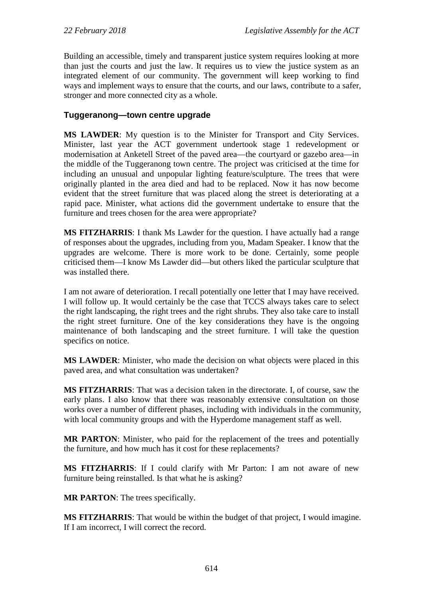Building an accessible, timely and transparent justice system requires looking at more than just the courts and just the law. It requires us to view the justice system as an integrated element of our community. The government will keep working to find ways and implement ways to ensure that the courts, and our laws, contribute to a safer, stronger and more connected city as a whole.

### **Tuggeranong—town centre upgrade**

**MS LAWDER**: My question is to the Minister for Transport and City Services. Minister, last year the ACT government undertook stage 1 redevelopment or modernisation at Anketell Street of the paved area—the courtyard or gazebo area—in the middle of the Tuggeranong town centre. The project was criticised at the time for including an unusual and unpopular lighting feature/sculpture. The trees that were originally planted in the area died and had to be replaced. Now it has now become evident that the street furniture that was placed along the street is deteriorating at a rapid pace. Minister, what actions did the government undertake to ensure that the furniture and trees chosen for the area were appropriate?

**MS FITZHARRIS**: I thank Ms Lawder for the question. I have actually had a range of responses about the upgrades, including from you, Madam Speaker. I know that the upgrades are welcome. There is more work to be done. Certainly, some people criticised them—I know Ms Lawder did—but others liked the particular sculpture that was installed there.

I am not aware of deterioration. I recall potentially one letter that I may have received. I will follow up. It would certainly be the case that TCCS always takes care to select the right landscaping, the right trees and the right shrubs. They also take care to install the right street furniture. One of the key considerations they have is the ongoing maintenance of both landscaping and the street furniture. I will take the question specifics on notice.

**MS LAWDER**: Minister, who made the decision on what objects were placed in this paved area, and what consultation was undertaken?

**MS FITZHARRIS**: That was a decision taken in the directorate. I, of course, saw the early plans. I also know that there was reasonably extensive consultation on those works over a number of different phases, including with individuals in the community, with local community groups and with the Hyperdome management staff as well.

**MR PARTON**: Minister, who paid for the replacement of the trees and potentially the furniture, and how much has it cost for these replacements?

**MS FITZHARRIS**: If I could clarify with Mr Parton: I am not aware of new furniture being reinstalled. Is that what he is asking?

**MR PARTON**: The trees specifically.

**MS FITZHARRIS**: That would be within the budget of that project, I would imagine. If I am incorrect, I will correct the record.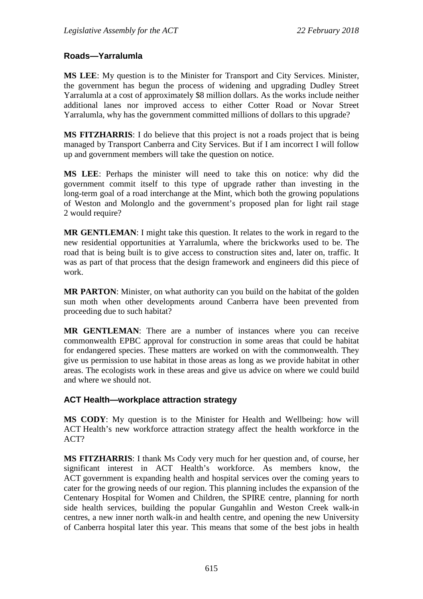### **Roads—Yarralumla**

**MS LEE**: My question is to the Minister for Transport and City Services. Minister, the government has begun the process of widening and upgrading Dudley Street Yarralumla at a cost of approximately \$8 million dollars. As the works include neither additional lanes nor improved access to either Cotter Road or Novar Street Yarralumla, why has the government committed millions of dollars to this upgrade?

**MS FITZHARRIS**: I do believe that this project is not a roads project that is being managed by Transport Canberra and City Services. But if I am incorrect I will follow up and government members will take the question on notice.

**MS LEE**: Perhaps the minister will need to take this on notice: why did the government commit itself to this type of upgrade rather than investing in the long-term goal of a road interchange at the Mint, which both the growing populations of Weston and Molonglo and the government's proposed plan for light rail stage 2 would require?

**MR GENTLEMAN**: I might take this question. It relates to the work in regard to the new residential opportunities at Yarralumla, where the brickworks used to be. The road that is being built is to give access to construction sites and, later on, traffic. It was as part of that process that the design framework and engineers did this piece of work.

**MR PARTON**: Minister, on what authority can you build on the habitat of the golden sun moth when other developments around Canberra have been prevented from proceeding due to such habitat?

**MR GENTLEMAN**: There are a number of instances where you can receive commonwealth EPBC approval for construction in some areas that could be habitat for endangered species. These matters are worked on with the commonwealth. They give us permission to use habitat in those areas as long as we provide habitat in other areas. The ecologists work in these areas and give us advice on where we could build and where we should not.

### **ACT Health—workplace attraction strategy**

**MS CODY**: My question is to the Minister for Health and Wellbeing: how will ACT Health's new workforce attraction strategy affect the health workforce in the ACT?

**MS FITZHARRIS**: I thank Ms Cody very much for her question and, of course, her significant interest in ACT Health's workforce. As members know, the ACT government is expanding health and hospital services over the coming years to cater for the growing needs of our region. This planning includes the expansion of the Centenary Hospital for Women and Children, the SPIRE centre, planning for north side health services, building the popular Gungahlin and Weston Creek walk-in centres, a new inner north walk-in and health centre, and opening the new University of Canberra hospital later this year. This means that some of the best jobs in health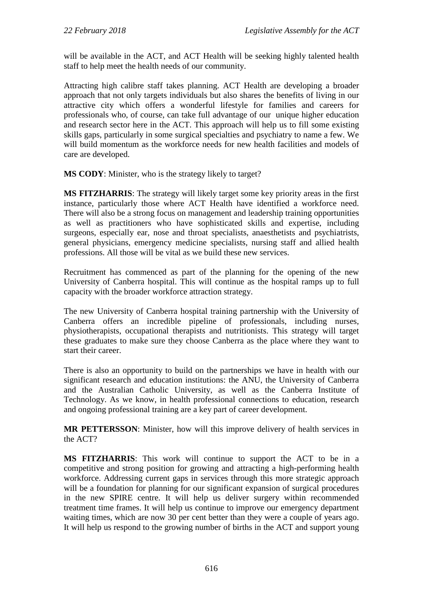will be available in the ACT, and ACT Health will be seeking highly talented health staff to help meet the health needs of our community.

Attracting high calibre staff takes planning. ACT Health are developing a broader approach that not only targets individuals but also shares the benefits of living in our attractive city which offers a wonderful lifestyle for families and careers for professionals who, of course, can take full advantage of our unique higher education and research sector here in the ACT. This approach will help us to fill some existing skills gaps, particularly in some surgical specialties and psychiatry to name a few. We will build momentum as the workforce needs for new health facilities and models of care are developed.

**MS CODY**: Minister, who is the strategy likely to target?

**MS FITZHARRIS**: The strategy will likely target some key priority areas in the first instance, particularly those where ACT Health have identified a workforce need. There will also be a strong focus on management and leadership training opportunities as well as practitioners who have sophisticated skills and expertise, including surgeons, especially ear, nose and throat specialists, anaesthetists and psychiatrists, general physicians, emergency medicine specialists, nursing staff and allied health professions. All those will be vital as we build these new services.

Recruitment has commenced as part of the planning for the opening of the new University of Canberra hospital. This will continue as the hospital ramps up to full capacity with the broader workforce attraction strategy.

The new University of Canberra hospital training partnership with the University of Canberra offers an incredible pipeline of professionals, including nurses, physiotherapists, occupational therapists and nutritionists. This strategy will target these graduates to make sure they choose Canberra as the place where they want to start their career.

There is also an opportunity to build on the partnerships we have in health with our significant research and education institutions: the ANU, the University of Canberra and the Australian Catholic University, as well as the Canberra Institute of Technology. As we know, in health professional connections to education, research and ongoing professional training are a key part of career development.

**MR PETTERSSON**: Minister, how will this improve delivery of health services in the ACT?

**MS FITZHARRIS**: This work will continue to support the ACT to be in a competitive and strong position for growing and attracting a high-performing health workforce. Addressing current gaps in services through this more strategic approach will be a foundation for planning for our significant expansion of surgical procedures in the new SPIRE centre. It will help us deliver surgery within recommended treatment time frames. It will help us continue to improve our emergency department waiting times, which are now 30 per cent better than they were a couple of years ago. It will help us respond to the growing number of births in the ACT and support young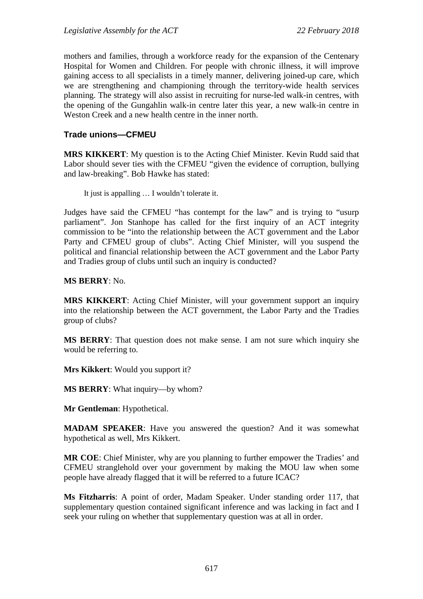mothers and families, through a workforce ready for the expansion of the Centenary Hospital for Women and Children. For people with chronic illness, it will improve gaining access to all specialists in a timely manner, delivering joined-up care, which we are strengthening and championing through the territory-wide health services planning. The strategy will also assist in recruiting for nurse-led walk-in centres, with the opening of the Gungahlin walk-in centre later this year, a new walk-in centre in Weston Creek and a new health centre in the inner north.

### **Trade unions—CFMEU**

**MRS KIKKERT**: My question is to the Acting Chief Minister. Kevin Rudd said that Labor should sever ties with the CFMEU "given the evidence of corruption, bullying and law-breaking". Bob Hawke has stated:

It just is appalling … I wouldn't tolerate it.

Judges have said the CFMEU "has contempt for the law" and is trying to "usurp parliament". Jon Stanhope has called for the first inquiry of an ACT integrity commission to be "into the relationship between the ACT government and the Labor Party and CFMEU group of clubs". Acting Chief Minister, will you suspend the political and financial relationship between the ACT government and the Labor Party and Tradies group of clubs until such an inquiry is conducted?

### **MS BERRY**: No.

**MRS KIKKERT**: Acting Chief Minister, will your government support an inquiry into the relationship between the ACT government, the Labor Party and the Tradies group of clubs?

**MS BERRY**: That question does not make sense. I am not sure which inquiry she would be referring to.

**Mrs Kikkert**: Would you support it?

**MS BERRY**: What inquiry—by whom?

**Mr Gentleman**: Hypothetical.

**MADAM SPEAKER**: Have you answered the question? And it was somewhat hypothetical as well, Mrs Kikkert.

**MR COE**: Chief Minister, why are you planning to further empower the Tradies' and CFMEU stranglehold over your government by making the MOU law when some people have already flagged that it will be referred to a future ICAC?

**Ms Fitzharris**: A point of order, Madam Speaker. Under standing order 117, that supplementary question contained significant inference and was lacking in fact and I seek your ruling on whether that supplementary question was at all in order.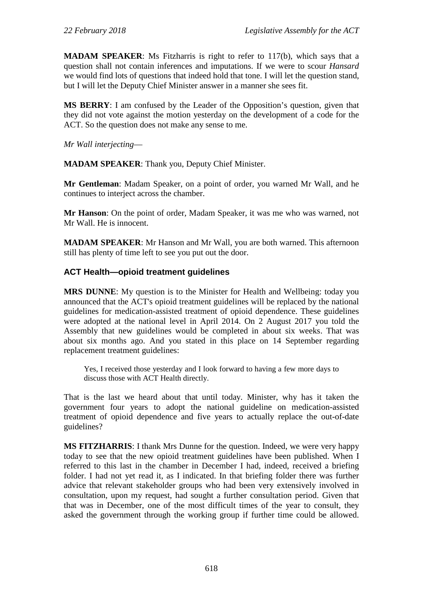**MADAM SPEAKER**: Ms Fitzharris is right to refer to 117(b), which says that a question shall not contain inferences and imputations. If we were to scour *Hansard* we would find lots of questions that indeed hold that tone. I will let the question stand, but I will let the Deputy Chief Minister answer in a manner she sees fit.

**MS BERRY**: I am confused by the Leader of the Opposition's question, given that they did not vote against the motion yesterday on the development of a code for the ACT. So the question does not make any sense to me.

*Mr Wall interjecting*—

**MADAM SPEAKER**: Thank you, Deputy Chief Minister.

**Mr Gentleman**: Madam Speaker, on a point of order, you warned Mr Wall, and he continues to interject across the chamber.

**Mr Hanson**: On the point of order, Madam Speaker, it was me who was warned, not Mr Wall. He is innocent.

**MADAM SPEAKER**: Mr Hanson and Mr Wall, you are both warned. This afternoon still has plenty of time left to see you put out the door.

### **ACT Health—opioid treatment guidelines**

**MRS DUNNE**: My question is to the Minister for Health and Wellbeing: today you announced that the ACT's opioid treatment guidelines will be replaced by the national guidelines for medication-assisted treatment of opioid dependence. These guidelines were adopted at the national level in April 2014. On 2 August 2017 you told the Assembly that new guidelines would be completed in about six weeks. That was about six months ago. And you stated in this place on 14 September regarding replacement treatment guidelines:

Yes, I received those yesterday and I look forward to having a few more days to discuss those with ACT Health directly.

That is the last we heard about that until today. Minister, why has it taken the government four years to adopt the national guideline on medication-assisted treatment of opioid dependence and five years to actually replace the out-of-date guidelines?

**MS FITZHARRIS**: I thank Mrs Dunne for the question. Indeed, we were very happy today to see that the new opioid treatment guidelines have been published. When I referred to this last in the chamber in December I had, indeed, received a briefing folder. I had not yet read it, as I indicated. In that briefing folder there was further advice that relevant stakeholder groups who had been very extensively involved in consultation, upon my request, had sought a further consultation period. Given that that was in December, one of the most difficult times of the year to consult, they asked the government through the working group if further time could be allowed.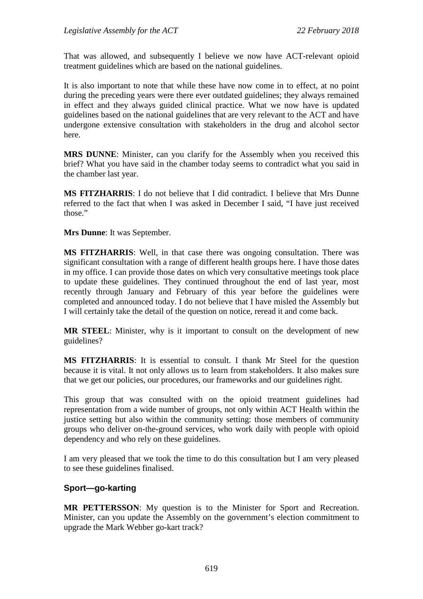That was allowed, and subsequently I believe we now have ACT-relevant opioid treatment guidelines which are based on the national guidelines.

It is also important to note that while these have now come in to effect, at no point during the preceding years were there ever outdated guidelines; they always remained in effect and they always guided clinical practice. What we now have is updated guidelines based on the national guidelines that are very relevant to the ACT and have undergone extensive consultation with stakeholders in the drug and alcohol sector here.

**MRS DUNNE**: Minister, can you clarify for the Assembly when you received this brief? What you have said in the chamber today seems to contradict what you said in the chamber last year.

**MS FITZHARRIS**: I do not believe that I did contradict. I believe that Mrs Dunne referred to the fact that when I was asked in December I said, "I have just received those."

**Mrs Dunne**: It was September.

**MS FITZHARRIS**: Well, in that case there was ongoing consultation. There was significant consultation with a range of different health groups here. I have those dates in my office. I can provide those dates on which very consultative meetings took place to update these guidelines. They continued throughout the end of last year, most recently through January and February of this year before the guidelines were completed and announced today. I do not believe that I have misled the Assembly but I will certainly take the detail of the question on notice, reread it and come back.

**MR STEEL**: Minister, why is it important to consult on the development of new guidelines?

**MS FITZHARRIS**: It is essential to consult. I thank Mr Steel for the question because it is vital. It not only allows us to learn from stakeholders. It also makes sure that we get our policies, our procedures, our frameworks and our guidelines right.

This group that was consulted with on the opioid treatment guidelines had representation from a wide number of groups, not only within ACT Health within the justice setting but also within the community setting: those members of community groups who deliver on-the-ground services, who work daily with people with opioid dependency and who rely on these guidelines.

I am very pleased that we took the time to do this consultation but I am very pleased to see these guidelines finalised.

### **Sport—go-karting**

**MR PETTERSSON**: My question is to the Minister for Sport and Recreation. Minister, can you update the Assembly on the government's election commitment to upgrade the Mark Webber go-kart track?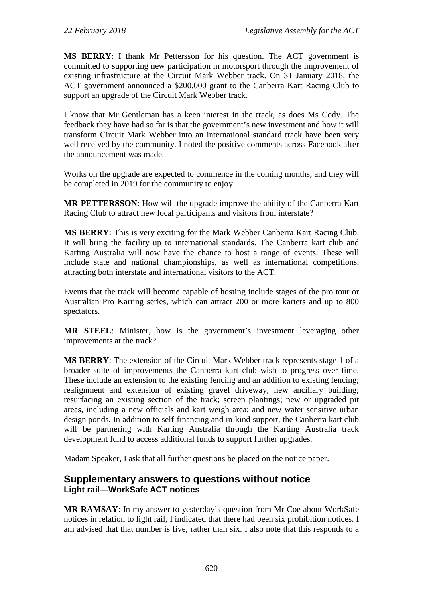**MS BERRY**: I thank Mr Pettersson for his question. The ACT government is committed to supporting new participation in motorsport through the improvement of existing infrastructure at the Circuit Mark Webber track. On 31 January 2018, the ACT government announced a \$200,000 grant to the Canberra Kart Racing Club to support an upgrade of the Circuit Mark Webber track.

I know that Mr Gentleman has a keen interest in the track, as does Ms Cody. The feedback they have had so far is that the government's new investment and how it will transform Circuit Mark Webber into an international standard track have been very well received by the community. I noted the positive comments across Facebook after the announcement was made.

Works on the upgrade are expected to commence in the coming months, and they will be completed in 2019 for the community to enjoy.

**MR PETTERSSON**: How will the upgrade improve the ability of the Canberra Kart Racing Club to attract new local participants and visitors from interstate?

**MS BERRY**: This is very exciting for the Mark Webber Canberra Kart Racing Club. It will bring the facility up to international standards. The Canberra kart club and Karting Australia will now have the chance to host a range of events. These will include state and national championships, as well as international competitions, attracting both interstate and international visitors to the ACT.

Events that the track will become capable of hosting include stages of the pro tour or Australian Pro Karting series, which can attract 200 or more karters and up to 800 spectators.

**MR STEEL**: Minister, how is the government's investment leveraging other improvements at the track?

**MS BERRY**: The extension of the Circuit Mark Webber track represents stage 1 of a broader suite of improvements the Canberra kart club wish to progress over time. These include an extension to the existing fencing and an addition to existing fencing; realignment and extension of existing gravel driveway; new ancillary building; resurfacing an existing section of the track; screen plantings; new or upgraded pit areas, including a new officials and kart weigh area; and new water sensitive urban design ponds. In addition to self-financing and in-kind support, the Canberra kart club will be partnering with Karting Australia through the Karting Australia track development fund to access additional funds to support further upgrades.

Madam Speaker, I ask that all further questions be placed on the notice paper.

# **Supplementary answers to questions without notice Light rail—WorkSafe ACT notices**

**MR RAMSAY**: In my answer to yesterday's question from Mr Coe about WorkSafe notices in relation to light rail, I indicated that there had been six prohibition notices. I am advised that that number is five, rather than six. I also note that this responds to a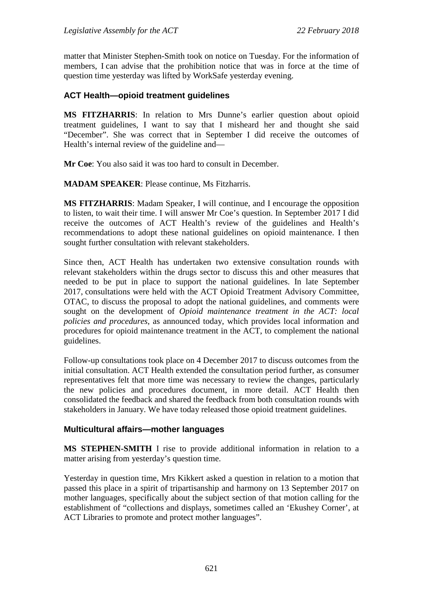matter that Minister Stephen-Smith took on notice on Tuesday. For the information of members, I can advise that the prohibition notice that was in force at the time of question time yesterday was lifted by WorkSafe yesterday evening.

# **ACT Health—opioid treatment guidelines**

**MS FITZHARRIS**: In relation to Mrs Dunne's earlier question about opioid treatment guidelines, I want to say that I misheard her and thought she said "December". She was correct that in September I did receive the outcomes of Health's internal review of the guideline and—

**Mr Coe**: You also said it was too hard to consult in December.

**MADAM SPEAKER**: Please continue, Ms Fitzharris.

**MS FITZHARRIS**: Madam Speaker, I will continue, and I encourage the opposition to listen, to wait their time. I will answer Mr Coe's question. In September 2017 I did receive the outcomes of ACT Health's review of the guidelines and Health's recommendations to adopt these national guidelines on opioid maintenance. I then sought further consultation with relevant stakeholders.

Since then, ACT Health has undertaken two extensive consultation rounds with relevant stakeholders within the drugs sector to discuss this and other measures that needed to be put in place to support the national guidelines. In late September 2017, consultations were held with the ACT Opioid Treatment Advisory Committee, OTAC, to discuss the proposal to adopt the national guidelines, and comments were sought on the development of *Opioid maintenance treatment in the ACT: local policies and procedures*, as announced today, which provides local information and procedures for opioid maintenance treatment in the ACT, to complement the national guidelines.

Follow-up consultations took place on 4 December 2017 to discuss outcomes from the initial consultation. ACT Health extended the consultation period further, as consumer representatives felt that more time was necessary to review the changes, particularly the new policies and procedures document, in more detail. ACT Health then consolidated the feedback and shared the feedback from both consultation rounds with stakeholders in January. We have today released those opioid treatment guidelines.

# **Multicultural affairs—mother languages**

**MS STEPHEN-SMITH** I rise to provide additional information in relation to a matter arising from yesterday's question time.

Yesterday in question time, Mrs Kikkert asked a question in relation to a motion that passed this place in a spirit of tripartisanship and harmony on 13 September 2017 on mother languages, specifically about the subject section of that motion calling for the establishment of "collections and displays, sometimes called an 'Ekushey Corner', at ACT Libraries to promote and protect mother languages".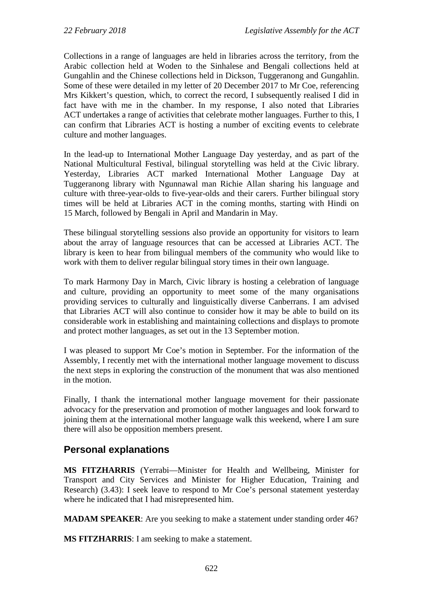Collections in a range of languages are held in libraries across the territory, from the Arabic collection held at Woden to the Sinhalese and Bengali collections held at Gungahlin and the Chinese collections held in Dickson, Tuggeranong and Gungahlin. Some of these were detailed in my letter of 20 December 2017 to Mr Coe, referencing Mrs Kikkert's question, which, to correct the record, I subsequently realised I did in fact have with me in the chamber. In my response, I also noted that Libraries ACT undertakes a range of activities that celebrate mother languages. Further to this, I can confirm that Libraries ACT is hosting a number of exciting events to celebrate culture and mother languages.

In the lead-up to International Mother Language Day yesterday, and as part of the National Multicultural Festival, bilingual storytelling was held at the Civic library. Yesterday, Libraries ACT marked International Mother Language Day at Tuggeranong library with Ngunnawal man Richie Allan sharing his language and culture with three-year-olds to five-year-olds and their carers. Further bilingual story times will be held at Libraries ACT in the coming months, starting with Hindi on 15 March, followed by Bengali in April and Mandarin in May.

These bilingual storytelling sessions also provide an opportunity for visitors to learn about the array of language resources that can be accessed at Libraries ACT. The library is keen to hear from bilingual members of the community who would like to work with them to deliver regular bilingual story times in their own language.

To mark Harmony Day in March, Civic library is hosting a celebration of language and culture, providing an opportunity to meet some of the many organisations providing services to culturally and linguistically diverse Canberrans. I am advised that Libraries ACT will also continue to consider how it may be able to build on its considerable work in establishing and maintaining collections and displays to promote and protect mother languages, as set out in the 13 September motion.

I was pleased to support Mr Coe's motion in September. For the information of the Assembly, I recently met with the international mother language movement to discuss the next steps in exploring the construction of the monument that was also mentioned in the motion.

Finally, I thank the international mother language movement for their passionate advocacy for the preservation and promotion of mother languages and look forward to joining them at the international mother language walk this weekend, where I am sure there will also be opposition members present.

# **Personal explanations**

**MS FITZHARRIS** (Yerrabi—Minister for Health and Wellbeing, Minister for Transport and City Services and Minister for Higher Education, Training and Research) (3.43): I seek leave to respond to Mr Coe's personal statement yesterday where he indicated that I had misrepresented him.

**MADAM SPEAKER**: Are you seeking to make a statement under standing order 46?

**MS FITZHARRIS**: I am seeking to make a statement.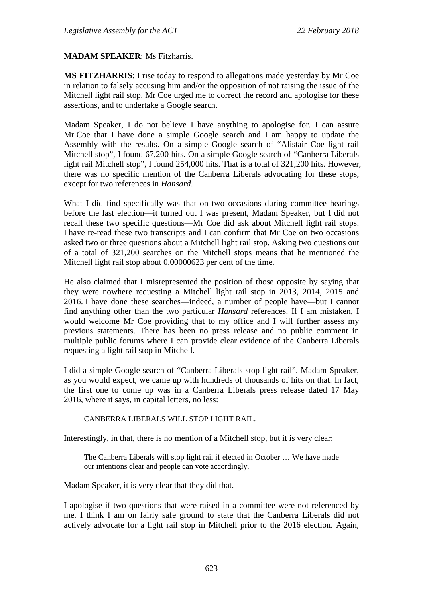#### **MADAM SPEAKER**: Ms Fitzharris.

**MS FITZHARRIS**: I rise today to respond to allegations made yesterday by Mr Coe in relation to falsely accusing him and/or the opposition of not raising the issue of the Mitchell light rail stop. Mr Coe urged me to correct the record and apologise for these assertions, and to undertake a Google search.

Madam Speaker, I do not believe I have anything to apologise for. I can assure Mr Coe that I have done a simple Google search and I am happy to update the Assembly with the results. On a simple Google search of "Alistair Coe light rail Mitchell stop", I found 67,200 hits. On a simple Google search of "Canberra Liberals light rail Mitchell stop", I found 254,000 hits. That is a total of 321,200 hits. However, there was no specific mention of the Canberra Liberals advocating for these stops, except for two references in *Hansard*.

What I did find specifically was that on two occasions during committee hearings before the last election—it turned out I was present, Madam Speaker, but I did not recall these two specific questions—Mr Coe did ask about Mitchell light rail stops. I have re-read these two transcripts and I can confirm that Mr Coe on two occasions asked two or three questions about a Mitchell light rail stop. Asking two questions out of a total of 321,200 searches on the Mitchell stops means that he mentioned the Mitchell light rail stop about 0.00000623 per cent of the time.

He also claimed that I misrepresented the position of those opposite by saying that they were nowhere requesting a Mitchell light rail stop in 2013, 2014, 2015 and 2016. I have done these searches—indeed, a number of people have—but I cannot find anything other than the two particular *Hansard* references. If I am mistaken, I would welcome Mr Coe providing that to my office and I will further assess my previous statements. There has been no press release and no public comment in multiple public forums where I can provide clear evidence of the Canberra Liberals requesting a light rail stop in Mitchell.

I did a simple Google search of "Canberra Liberals stop light rail". Madam Speaker, as you would expect, we came up with hundreds of thousands of hits on that. In fact, the first one to come up was in a Canberra Liberals press release dated 17 May 2016, where it says, in capital letters, no less:

#### CANBERRA LIBERALS WILL STOP LIGHT RAIL.

Interestingly, in that, there is no mention of a Mitchell stop, but it is very clear:

The Canberra Liberals will stop light rail if elected in October … We have made our intentions clear and people can vote accordingly.

Madam Speaker, it is very clear that they did that.

I apologise if two questions that were raised in a committee were not referenced by me. I think I am on fairly safe ground to state that the Canberra Liberals did not actively advocate for a light rail stop in Mitchell prior to the 2016 election. Again,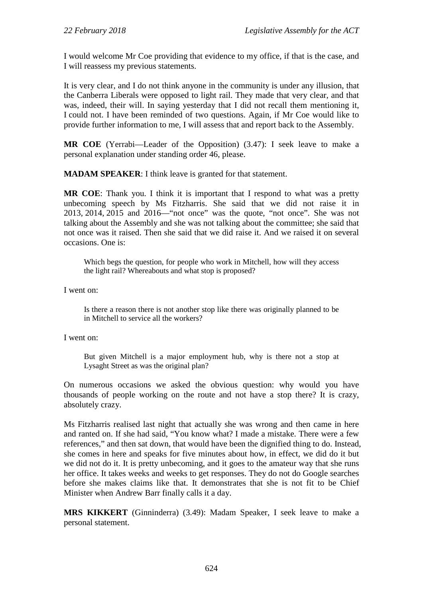I would welcome Mr Coe providing that evidence to my office, if that is the case, and I will reassess my previous statements.

It is very clear, and I do not think anyone in the community is under any illusion, that the Canberra Liberals were opposed to light rail. They made that very clear, and that was, indeed, their will. In saying yesterday that I did not recall them mentioning it, I could not. I have been reminded of two questions. Again, if Mr Coe would like to provide further information to me, I will assess that and report back to the Assembly.

**MR COE** (Yerrabi—Leader of the Opposition) (3.47): I seek leave to make a personal explanation under standing order 46, please.

**MADAM SPEAKER**: I think leave is granted for that statement.

**MR COE**: Thank you. I think it is important that I respond to what was a pretty unbecoming speech by Ms Fitzharris. She said that we did not raise it in 2013, 2014, 2015 and 2016—"not once" was the quote, "not once". She was not talking about the Assembly and she was not talking about the committee; she said that not once was it raised. Then she said that we did raise it. And we raised it on several occasions. One is:

Which begs the question, for people who work in Mitchell, how will they access the light rail? Whereabouts and what stop is proposed?

I went on:

Is there a reason there is not another stop like there was originally planned to be in Mitchell to service all the workers?

I went on:

But given Mitchell is a major employment hub, why is there not a stop at Lysaght Street as was the original plan?

On numerous occasions we asked the obvious question: why would you have thousands of people working on the route and not have a stop there? It is crazy, absolutely crazy.

Ms Fitzharris realised last night that actually she was wrong and then came in here and ranted on. If she had said, "You know what? I made a mistake. There were a few references," and then sat down, that would have been the dignified thing to do. Instead, she comes in here and speaks for five minutes about how, in effect, we did do it but we did not do it. It is pretty unbecoming, and it goes to the amateur way that she runs her office. It takes weeks and weeks to get responses. They do not do Google searches before she makes claims like that. It demonstrates that she is not fit to be Chief Minister when Andrew Barr finally calls it a day.

**MRS KIKKERT** (Ginninderra) (3.49): Madam Speaker, I seek leave to make a personal statement.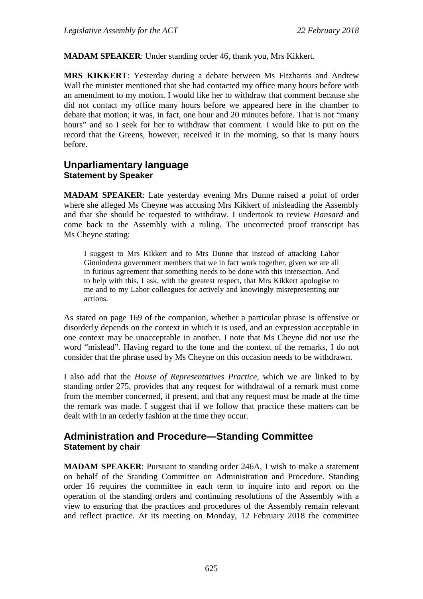**MADAM SPEAKER**: Under standing order 46, thank you, Mrs Kikkert.

**MRS KIKKERT**: Yesterday during a debate between Ms Fitzharris and Andrew Wall the minister mentioned that she had contacted my office many hours before with an amendment to my motion. I would like her to withdraw that comment because she did not contact my office many hours before we appeared here in the chamber to debate that motion; it was, in fact, one hour and 20 minutes before. That is not "many hours" and so I seek for her to withdraw that comment. I would like to put on the record that the Greens, however, received it in the morning, so that is many hours before.

# **Unparliamentary language Statement by Speaker**

**MADAM SPEAKER**: Late yesterday evening Mrs Dunne raised a point of order where she alleged Ms Cheyne was accusing Mrs Kikkert of misleading the Assembly and that she should be requested to withdraw. I undertook to review *Hansard* and come back to the Assembly with a ruling. The uncorrected proof transcript has Ms Cheyne stating:

I suggest to Mrs Kikkert and to Mrs Dunne that instead of attacking Labor Ginninderra government members that we in fact work together, given we are all in furious agreement that something needs to be done with this intersection. And to help with this, I ask, with the greatest respect, that Mrs Kikkert apologise to me and to my Labor colleagues for actively and knowingly misrepresenting our actions.

As stated on page 169 of the companion, whether a particular phrase is offensive or disorderly depends on the context in which it is used, and an expression acceptable in one context may be unacceptable in another. I note that Ms Cheyne did not use the word "mislead". Having regard to the tone and the context of the remarks, I do not consider that the phrase used by Ms Cheyne on this occasion needs to be withdrawn.

I also add that the *House of Representatives Practice*, which we are linked to by standing order 275, provides that any request for withdrawal of a remark must come from the member concerned, if present, and that any request must be made at the time the remark was made. I suggest that if we follow that practice these matters can be dealt with in an orderly fashion at the time they occur.

# **Administration and Procedure—Standing Committee Statement by chair**

**MADAM SPEAKER**: Pursuant to standing order 246A, I wish to make a statement on behalf of the Standing Committee on Administration and Procedure. Standing order 16 requires the committee in each term to inquire into and report on the operation of the standing orders and continuing resolutions of the Assembly with a view to ensuring that the practices and procedures of the Assembly remain relevant and reflect practice. At its meeting on Monday, 12 February 2018 the committee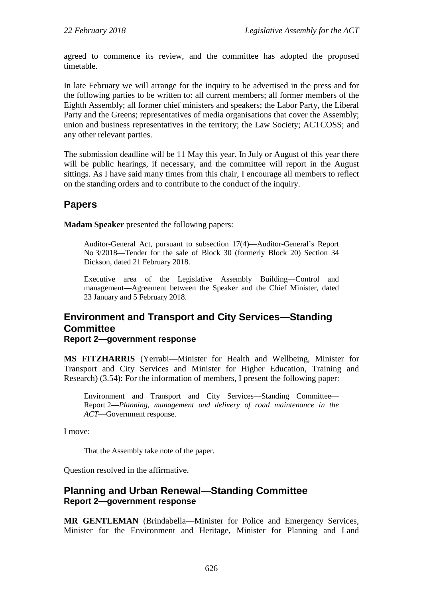agreed to commence its review, and the committee has adopted the proposed timetable.

In late February we will arrange for the inquiry to be advertised in the press and for the following parties to be written to: all current members; all former members of the Eighth Assembly; all former chief ministers and speakers; the Labor Party, the Liberal Party and the Greens; representatives of media organisations that cover the Assembly; union and business representatives in the territory; the Law Society; ACTCOSS; and any other relevant parties.

The submission deadline will be 11 May this year. In July or August of this year there will be public hearings, if necessary, and the committee will report in the August sittings. As I have said many times from this chair, I encourage all members to reflect on the standing orders and to contribute to the conduct of the inquiry.

# **Papers**

**Madam Speaker** presented the following papers:

Auditor-General Act, pursuant to subsection 17(4)—Auditor-General's Report No 3/2018—Tender for the sale of Block 30 (formerly Block 20) Section 34 Dickson, dated 21 February 2018.

Executive area of the Legislative Assembly Building—Control and management—Agreement between the Speaker and the Chief Minister, dated 23 January and 5 February 2018.

# **Environment and Transport and City Services—Standing Committee**

**Report 2—government response**

**MS FITZHARRIS** (Yerrabi—Minister for Health and Wellbeing, Minister for Transport and City Services and Minister for Higher Education, Training and Research) (3.54): For the information of members, I present the following paper:

Environment and Transport and City Services—Standing Committee— Report 2—*Planning, management and delivery of road maintenance in the ACT*—Government response.

I move:

That the Assembly take note of the paper.

Question resolved in the affirmative.

# **Planning and Urban Renewal—Standing Committee Report 2—government response**

**MR GENTLEMAN** (Brindabella—Minister for Police and Emergency Services, Minister for the Environment and Heritage, Minister for Planning and Land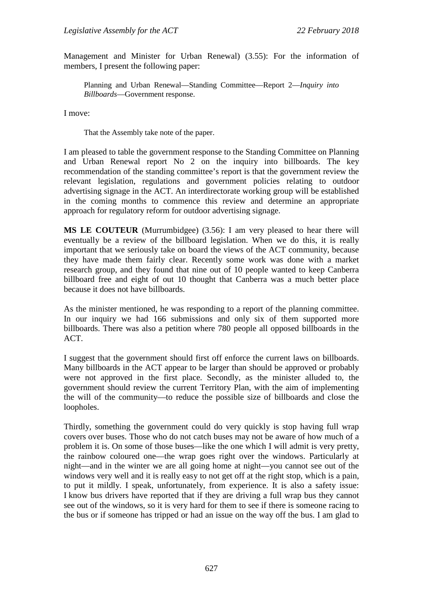Management and Minister for Urban Renewal) (3.55): For the information of members, I present the following paper:

Planning and Urban Renewal—Standing Committee—Report 2—*Inquiry into Billboards*—Government response.

I move:

That the Assembly take note of the paper.

I am pleased to table the government response to the Standing Committee on Planning and Urban Renewal report No 2 on the inquiry into billboards. The key recommendation of the standing committee's report is that the government review the relevant legislation, regulations and government policies relating to outdoor advertising signage in the ACT. An interdirectorate working group will be established in the coming months to commence this review and determine an appropriate approach for regulatory reform for outdoor advertising signage.

**MS LE COUTEUR** (Murrumbidgee) (3.56): I am very pleased to hear there will eventually be a review of the billboard legislation. When we do this, it is really important that we seriously take on board the views of the ACT community, because they have made them fairly clear. Recently some work was done with a market research group, and they found that nine out of 10 people wanted to keep Canberra billboard free and eight of out 10 thought that Canberra was a much better place because it does not have billboards.

As the minister mentioned, he was responding to a report of the planning committee. In our inquiry we had 166 submissions and only six of them supported more billboards. There was also a petition where 780 people all opposed billboards in the ACT.

I suggest that the government should first off enforce the current laws on billboards. Many billboards in the ACT appear to be larger than should be approved or probably were not approved in the first place. Secondly, as the minister alluded to, the government should review the current Territory Plan, with the aim of implementing the will of the community—to reduce the possible size of billboards and close the loopholes.

Thirdly, something the government could do very quickly is stop having full wrap covers over buses. Those who do not catch buses may not be aware of how much of a problem it is. On some of those buses—like the one which I will admit is very pretty, the rainbow coloured one—the wrap goes right over the windows. Particularly at night—and in the winter we are all going home at night—you cannot see out of the windows very well and it is really easy to not get off at the right stop, which is a pain, to put it mildly. I speak, unfortunately, from experience. It is also a safety issue: I know bus drivers have reported that if they are driving a full wrap bus they cannot see out of the windows, so it is very hard for them to see if there is someone racing to the bus or if someone has tripped or had an issue on the way off the bus. I am glad to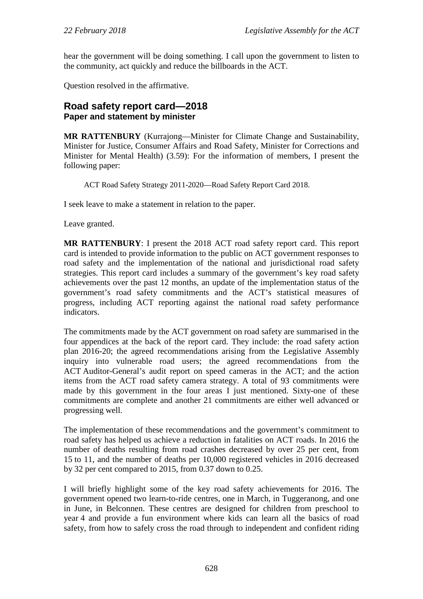hear the government will be doing something. I call upon the government to listen to the community, act quickly and reduce the billboards in the ACT.

Question resolved in the affirmative.

# **Road safety report card—2018 Paper and statement by minister**

**MR RATTENBURY** (Kurrajong—Minister for Climate Change and Sustainability, Minister for Justice, Consumer Affairs and Road Safety, Minister for Corrections and Minister for Mental Health) (3.59): For the information of members, I present the following paper:

ACT Road Safety Strategy 2011-2020—Road Safety Report Card 2018.

I seek leave to make a statement in relation to the paper.

Leave granted.

**MR RATTENBURY**: I present the 2018 ACT road safety report card. This report card is intended to provide information to the public on ACT government responses to road safety and the implementation of the national and jurisdictional road safety strategies. This report card includes a summary of the government's key road safety achievements over the past 12 months, an update of the implementation status of the government's road safety commitments and the ACT's statistical measures of progress, including ACT reporting against the national road safety performance indicators.

The commitments made by the ACT government on road safety are summarised in the four appendices at the back of the report card. They include: the road safety action plan 2016-20; the agreed recommendations arising from the Legislative Assembly inquiry into vulnerable road users; the agreed recommendations from the ACT Auditor-General's audit report on speed cameras in the ACT; and the action items from the ACT road safety camera strategy. A total of 93 commitments were made by this government in the four areas I just mentioned. Sixty-one of these commitments are complete and another 21 commitments are either well advanced or progressing well.

The implementation of these recommendations and the government's commitment to road safety has helped us achieve a reduction in fatalities on ACT roads. In 2016 the number of deaths resulting from road crashes decreased by over 25 per cent, from 15 to 11, and the number of deaths per 10,000 registered vehicles in 2016 decreased by 32 per cent compared to 2015, from 0.37 down to 0.25.

I will briefly highlight some of the key road safety achievements for 2016. The government opened two learn-to-ride centres, one in March, in Tuggeranong, and one in June, in Belconnen. These centres are designed for children from preschool to year 4 and provide a fun environment where kids can learn all the basics of road safety, from how to safely cross the road through to independent and confident riding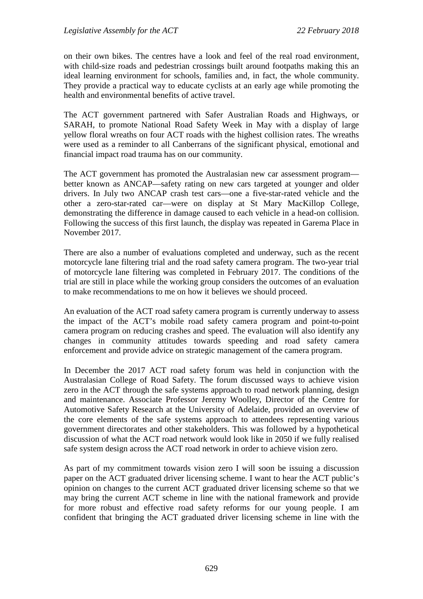on their own bikes. The centres have a look and feel of the real road environment, with child-size roads and pedestrian crossings built around footpaths making this an ideal learning environment for schools, families and, in fact, the whole community. They provide a practical way to educate cyclists at an early age while promoting the health and environmental benefits of active travel.

The ACT government partnered with Safer Australian Roads and Highways, or SARAH, to promote National Road Safety Week in May with a display of large yellow floral wreaths on four ACT roads with the highest collision rates. The wreaths were used as a reminder to all Canberrans of the significant physical, emotional and financial impact road trauma has on our community.

The ACT government has promoted the Australasian new car assessment program better known as ANCAP—safety rating on new cars targeted at younger and older drivers. In July two ANCAP crash test cars—one a five-star-rated vehicle and the other a zero-star-rated car—were on display at St Mary MacKillop College, demonstrating the difference in damage caused to each vehicle in a head-on collision. Following the success of this first launch, the display was repeated in Garema Place in November 2017.

There are also a number of evaluations completed and underway, such as the recent motorcycle lane filtering trial and the road safety camera program. The two-year trial of motorcycle lane filtering was completed in February 2017. The conditions of the trial are still in place while the working group considers the outcomes of an evaluation to make recommendations to me on how it believes we should proceed.

An evaluation of the ACT road safety camera program is currently underway to assess the impact of the ACT's mobile road safety camera program and point-to-point camera program on reducing crashes and speed. The evaluation will also identify any changes in community attitudes towards speeding and road safety camera enforcement and provide advice on strategic management of the camera program.

In December the 2017 ACT road safety forum was held in conjunction with the Australasian College of Road Safety. The forum discussed ways to achieve vision zero in the ACT through the safe systems approach to road network planning, design and maintenance. Associate Professor Jeremy Woolley, Director of the Centre for Automotive Safety Research at the University of Adelaide, provided an overview of the core elements of the safe systems approach to attendees representing various government directorates and other stakeholders. This was followed by a hypothetical discussion of what the ACT road network would look like in 2050 if we fully realised safe system design across the ACT road network in order to achieve vision zero.

As part of my commitment towards vision zero I will soon be issuing a discussion paper on the ACT graduated driver licensing scheme. I want to hear the ACT public's opinion on changes to the current ACT graduated driver licensing scheme so that we may bring the current ACT scheme in line with the national framework and provide for more robust and effective road safety reforms for our young people. I am confident that bringing the ACT graduated driver licensing scheme in line with the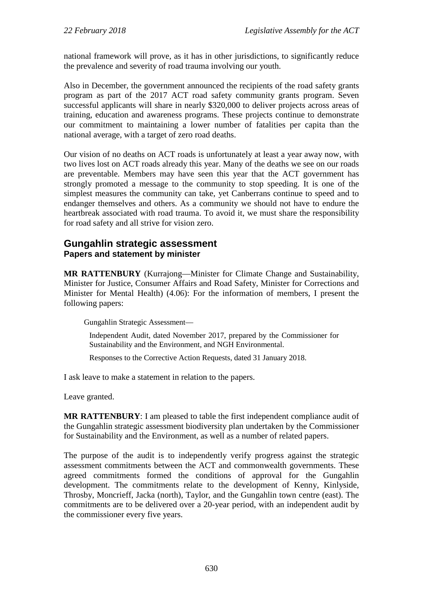national framework will prove, as it has in other jurisdictions, to significantly reduce the prevalence and severity of road trauma involving our youth.

Also in December, the government announced the recipients of the road safety grants program as part of the 2017 ACT road safety community grants program. Seven successful applicants will share in nearly \$320,000 to deliver projects across areas of training, education and awareness programs. These projects continue to demonstrate our commitment to maintaining a lower number of fatalities per capita than the national average, with a target of zero road deaths.

Our vision of no deaths on ACT roads is unfortunately at least a year away now, with two lives lost on ACT roads already this year. Many of the deaths we see on our roads are preventable. Members may have seen this year that the ACT government has strongly promoted a message to the community to stop speeding. It is one of the simplest measures the community can take, yet Canberrans continue to speed and to endanger themselves and others. As a community we should not have to endure the heartbreak associated with road trauma. To avoid it, we must share the responsibility for road safety and all strive for vision zero.

# **Gungahlin strategic assessment Papers and statement by minister**

**MR RATTENBURY** (Kurrajong—Minister for Climate Change and Sustainability, Minister for Justice, Consumer Affairs and Road Safety, Minister for Corrections and Minister for Mental Health) (4.06): For the information of members, I present the following papers:

Gungahlin Strategic Assessment—

Independent Audit, dated November 2017, prepared by the Commissioner for Sustainability and the Environment, and NGH Environmental.

Responses to the Corrective Action Requests, dated 31 January 2018.

I ask leave to make a statement in relation to the papers.

Leave granted.

**MR RATTENBURY**: I am pleased to table the first independent compliance audit of the Gungahlin strategic assessment biodiversity plan undertaken by the Commissioner for Sustainability and the Environment, as well as a number of related papers.

The purpose of the audit is to independently verify progress against the strategic assessment commitments between the ACT and commonwealth governments. These agreed commitments formed the conditions of approval for the Gungahlin development. The commitments relate to the development of Kenny, Kinlyside, Throsby, Moncrieff, Jacka (north), Taylor, and the Gungahlin town centre (east). The commitments are to be delivered over a 20-year period, with an independent audit by the commissioner every five years.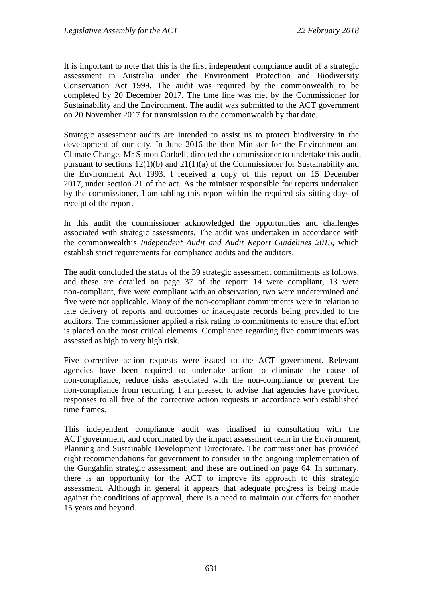It is important to note that this is the first independent compliance audit of a strategic assessment in Australia under the Environment Protection and Biodiversity Conservation Act 1999. The audit was required by the commonwealth to be completed by 20 December 2017. The time line was met by the Commissioner for Sustainability and the Environment. The audit was submitted to the ACT government on 20 November 2017 for transmission to the commonwealth by that date.

Strategic assessment audits are intended to assist us to protect biodiversity in the development of our city. In June 2016 the then Minister for the Environment and Climate Change, Mr Simon Corbell, directed the commissioner to undertake this audit, pursuant to sections 12(1)(b) and 21(1)(a) of the Commissioner for Sustainability and the Environment Act 1993. I received a copy of this report on 15 December 2017, under section 21 of the act. As the minister responsible for reports undertaken by the commissioner, I am tabling this report within the required six sitting days of receipt of the report.

In this audit the commissioner acknowledged the opportunities and challenges associated with strategic assessments. The audit was undertaken in accordance with the commonwealth's *Independent Audit and Audit Report Guidelines 2015*, which establish strict requirements for compliance audits and the auditors.

The audit concluded the status of the 39 strategic assessment commitments as follows, and these are detailed on page 37 of the report: 14 were compliant, 13 were non-compliant, five were compliant with an observation, two were undetermined and five were not applicable. Many of the non-compliant commitments were in relation to late delivery of reports and outcomes or inadequate records being provided to the auditors. The commissioner applied a risk rating to commitments to ensure that effort is placed on the most critical elements. Compliance regarding five commitments was assessed as high to very high risk.

Five corrective action requests were issued to the ACT government. Relevant agencies have been required to undertake action to eliminate the cause of non-compliance, reduce risks associated with the non-compliance or prevent the non-compliance from recurring. I am pleased to advise that agencies have provided responses to all five of the corrective action requests in accordance with established time frames.

This independent compliance audit was finalised in consultation with the ACT government, and coordinated by the impact assessment team in the Environment, Planning and Sustainable Development Directorate. The commissioner has provided eight recommendations for government to consider in the ongoing implementation of the Gungahlin strategic assessment, and these are outlined on page 64. In summary, there is an opportunity for the ACT to improve its approach to this strategic assessment. Although in general it appears that adequate progress is being made against the conditions of approval, there is a need to maintain our efforts for another 15 years and beyond.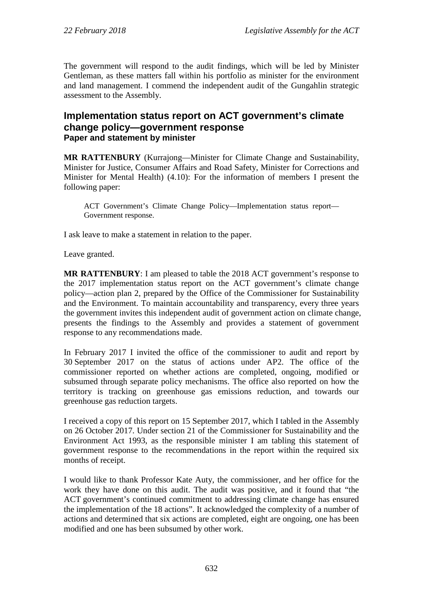The government will respond to the audit findings, which will be led by Minister Gentleman, as these matters fall within his portfolio as minister for the environment and land management. I commend the independent audit of the Gungahlin strategic assessment to the Assembly.

# **Implementation status report on ACT government's climate change policy—government response Paper and statement by minister**

**MR RATTENBURY** (Kurrajong—Minister for Climate Change and Sustainability, Minister for Justice, Consumer Affairs and Road Safety, Minister for Corrections and Minister for Mental Health) (4.10): For the information of members I present the following paper:

ACT Government's Climate Change Policy—Implementation status report— Government response.

I ask leave to make a statement in relation to the paper.

Leave granted.

**MR RATTENBURY**: I am pleased to table the 2018 ACT government's response to the 2017 implementation status report on the ACT government's climate change policy—action plan 2, prepared by the Office of the Commissioner for Sustainability and the Environment. To maintain accountability and transparency, every three years the government invites this independent audit of government action on climate change, presents the findings to the Assembly and provides a statement of government response to any recommendations made.

In February 2017 I invited the office of the commissioner to audit and report by 30 September 2017 on the status of actions under AP2. The office of the commissioner reported on whether actions are completed, ongoing, modified or subsumed through separate policy mechanisms. The office also reported on how the territory is tracking on greenhouse gas emissions reduction, and towards our greenhouse gas reduction targets.

I received a copy of this report on 15 September 2017, which I tabled in the Assembly on 26 October 2017. Under section 21 of the Commissioner for Sustainability and the Environment Act 1993, as the responsible minister I am tabling this statement of government response to the recommendations in the report within the required six months of receipt.

I would like to thank Professor Kate Auty, the commissioner, and her office for the work they have done on this audit. The audit was positive, and it found that "the ACT government's continued commitment to addressing climate change has ensured the implementation of the 18 actions". It acknowledged the complexity of a number of actions and determined that six actions are completed, eight are ongoing, one has been modified and one has been subsumed by other work.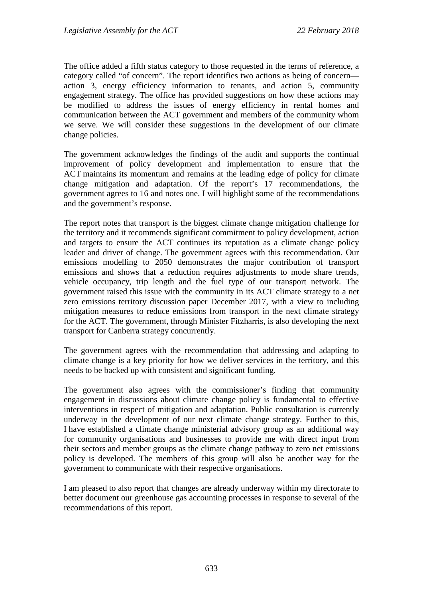The office added a fifth status category to those requested in the terms of reference, a category called "of concern". The report identifies two actions as being of concern action 3, energy efficiency information to tenants, and action 5, community engagement strategy. The office has provided suggestions on how these actions may be modified to address the issues of energy efficiency in rental homes and communication between the ACT government and members of the community whom we serve. We will consider these suggestions in the development of our climate change policies.

The government acknowledges the findings of the audit and supports the continual improvement of policy development and implementation to ensure that the ACT maintains its momentum and remains at the leading edge of policy for climate change mitigation and adaptation. Of the report's 17 recommendations, the government agrees to 16 and notes one. I will highlight some of the recommendations and the government's response.

The report notes that transport is the biggest climate change mitigation challenge for the territory and it recommends significant commitment to policy development, action and targets to ensure the ACT continues its reputation as a climate change policy leader and driver of change. The government agrees with this recommendation. Our emissions modelling to 2050 demonstrates the major contribution of transport emissions and shows that a reduction requires adjustments to mode share trends, vehicle occupancy, trip length and the fuel type of our transport network. The government raised this issue with the community in its ACT climate strategy to a net zero emissions territory discussion paper December 2017, with a view to including mitigation measures to reduce emissions from transport in the next climate strategy for the ACT. The government, through Minister Fitzharris, is also developing the next transport for Canberra strategy concurrently.

The government agrees with the recommendation that addressing and adapting to climate change is a key priority for how we deliver services in the territory, and this needs to be backed up with consistent and significant funding.

The government also agrees with the commissioner's finding that community engagement in discussions about climate change policy is fundamental to effective interventions in respect of mitigation and adaptation. Public consultation is currently underway in the development of our next climate change strategy. Further to this, I have established a climate change ministerial advisory group as an additional way for community organisations and businesses to provide me with direct input from their sectors and member groups as the climate change pathway to zero net emissions policy is developed. The members of this group will also be another way for the government to communicate with their respective organisations.

I am pleased to also report that changes are already underway within my directorate to better document our greenhouse gas accounting processes in response to several of the recommendations of this report.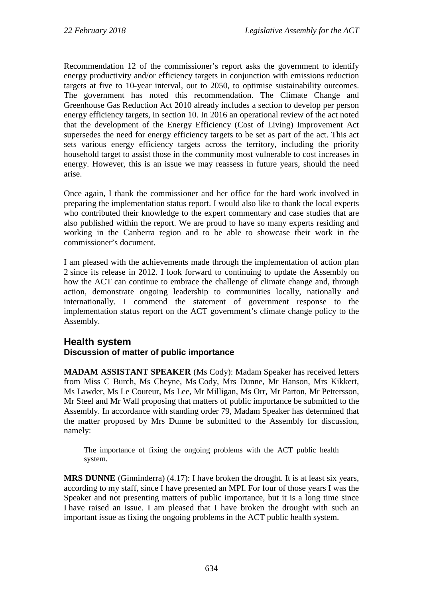Recommendation 12 of the commissioner's report asks the government to identify energy productivity and/or efficiency targets in conjunction with emissions reduction targets at five to 10-year interval, out to 2050, to optimise sustainability outcomes. The government has noted this recommendation. The Climate Change and Greenhouse Gas Reduction Act 2010 already includes a section to develop per person energy efficiency targets, in section 10. In 2016 an operational review of the act noted that the development of the Energy Efficiency (Cost of Living) Improvement Act supersedes the need for energy efficiency targets to be set as part of the act. This act sets various energy efficiency targets across the territory, including the priority household target to assist those in the community most vulnerable to cost increases in energy. However, this is an issue we may reassess in future years, should the need arise.

Once again, I thank the commissioner and her office for the hard work involved in preparing the implementation status report. I would also like to thank the local experts who contributed their knowledge to the expert commentary and case studies that are also published within the report. We are proud to have so many experts residing and working in the Canberra region and to be able to showcase their work in the commissioner's document.

I am pleased with the achievements made through the implementation of action plan 2 since its release in 2012. I look forward to continuing to update the Assembly on how the ACT can continue to embrace the challenge of climate change and, through action, demonstrate ongoing leadership to communities locally, nationally and internationally. I commend the statement of government response to the implementation status report on the ACT government's climate change policy to the Assembly.

# **Health system Discussion of matter of public importance**

**MADAM ASSISTANT SPEAKER** (Ms Cody): Madam Speaker has received letters from Miss C Burch, Ms Cheyne, Ms Cody, Mrs Dunne, Mr Hanson, Mrs Kikkert, Ms Lawder, Ms Le Couteur, Ms Lee, Mr Milligan, Ms Orr, Mr Parton, Mr Pettersson, Mr Steel and Mr Wall proposing that matters of public importance be submitted to the Assembly. In accordance with standing order 79, Madam Speaker has determined that the matter proposed by Mrs Dunne be submitted to the Assembly for discussion, namely:

The importance of fixing the ongoing problems with the ACT public health system.

**MRS DUNNE** (Ginninderra) (4.17): I have broken the drought. It is at least six years, according to my staff, since I have presented an MPI. For four of those years I was the Speaker and not presenting matters of public importance, but it is a long time since I have raised an issue. I am pleased that I have broken the drought with such an important issue as fixing the ongoing problems in the ACT public health system.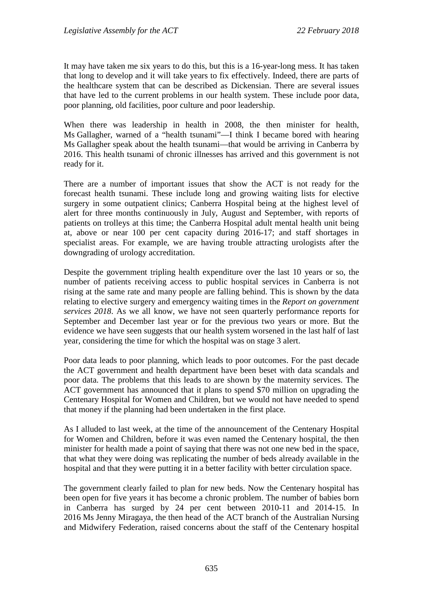It may have taken me six years to do this, but this is a 16-year-long mess. It has taken that long to develop and it will take years to fix effectively. Indeed, there are parts of the healthcare system that can be described as Dickensian. There are several issues that have led to the current problems in our health system. These include poor data, poor planning, old facilities, poor culture and poor leadership.

When there was leadership in health in 2008, the then minister for health, Ms Gallagher, warned of a "health tsunami"—I think I became bored with hearing Ms Gallagher speak about the health tsunami—that would be arriving in Canberra by 2016. This health tsunami of chronic illnesses has arrived and this government is not ready for it.

There are a number of important issues that show the ACT is not ready for the forecast health tsunami. These include long and growing waiting lists for elective surgery in some outpatient clinics; Canberra Hospital being at the highest level of alert for three months continuously in July, August and September, with reports of patients on trolleys at this time; the Canberra Hospital adult mental health unit being at, above or near 100 per cent capacity during 2016-17; and staff shortages in specialist areas. For example, we are having trouble attracting urologists after the downgrading of urology accreditation.

Despite the government tripling health expenditure over the last 10 years or so, the number of patients receiving access to public hospital services in Canberra is not rising at the same rate and many people are falling behind. This is shown by the data relating to elective surgery and emergency waiting times in the *Report on government services 2018*. As we all know, we have not seen quarterly performance reports for September and December last year or for the previous two years or more. But the evidence we have seen suggests that our health system worsened in the last half of last year, considering the time for which the hospital was on stage 3 alert.

Poor data leads to poor planning, which leads to poor outcomes. For the past decade the ACT government and health department have been beset with data scandals and poor data. The problems that this leads to are shown by the maternity services. The ACT government has announced that it plans to spend \$70 million on upgrading the Centenary Hospital for Women and Children, but we would not have needed to spend that money if the planning had been undertaken in the first place.

As I alluded to last week, at the time of the announcement of the Centenary Hospital for Women and Children, before it was even named the Centenary hospital, the then minister for health made a point of saying that there was not one new bed in the space, that what they were doing was replicating the number of beds already available in the hospital and that they were putting it in a better facility with better circulation space.

The government clearly failed to plan for new beds. Now the Centenary hospital has been open for five years it has become a chronic problem. The number of babies born in Canberra has surged by 24 per cent between 2010-11 and 2014-15. In 2016 Ms Jenny Miragaya, the then head of the ACT branch of the Australian Nursing and Midwifery Federation, raised concerns about the staff of the Centenary hospital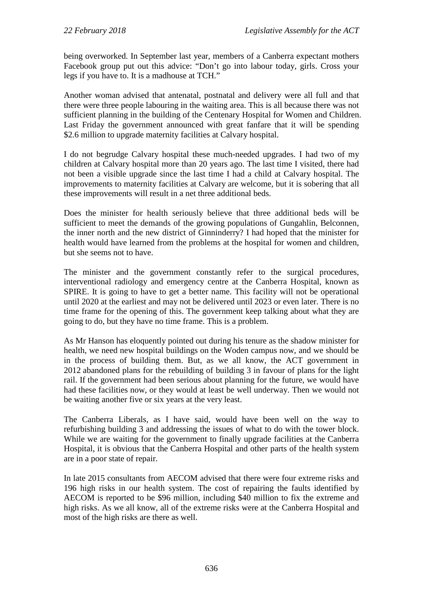being overworked. In September last year, members of a Canberra expectant mothers Facebook group put out this advice: "Don't go into labour today, girls. Cross your legs if you have to. It is a madhouse at TCH."

Another woman advised that antenatal, postnatal and delivery were all full and that there were three people labouring in the waiting area. This is all because there was not sufficient planning in the building of the Centenary Hospital for Women and Children. Last Friday the government announced with great fanfare that it will be spending \$2.6 million to upgrade maternity facilities at Calvary hospital.

I do not begrudge Calvary hospital these much-needed upgrades. I had two of my children at Calvary hospital more than 20 years ago. The last time I visited, there had not been a visible upgrade since the last time I had a child at Calvary hospital. The improvements to maternity facilities at Calvary are welcome, but it is sobering that all these improvements will result in a net three additional beds.

Does the minister for health seriously believe that three additional beds will be sufficient to meet the demands of the growing populations of Gungahlin, Belconnen, the inner north and the new district of Ginninderry? I had hoped that the minister for health would have learned from the problems at the hospital for women and children, but she seems not to have.

The minister and the government constantly refer to the surgical procedures, interventional radiology and emergency centre at the Canberra Hospital, known as SPIRE. It is going to have to get a better name. This facility will not be operational until 2020 at the earliest and may not be delivered until 2023 or even later. There is no time frame for the opening of this. The government keep talking about what they are going to do, but they have no time frame. This is a problem.

As Mr Hanson has eloquently pointed out during his tenure as the shadow minister for health, we need new hospital buildings on the Woden campus now, and we should be in the process of building them. But, as we all know, the ACT government in 2012 abandoned plans for the rebuilding of building 3 in favour of plans for the light rail. If the government had been serious about planning for the future, we would have had these facilities now, or they would at least be well underway. Then we would not be waiting another five or six years at the very least.

The Canberra Liberals, as I have said, would have been well on the way to refurbishing building 3 and addressing the issues of what to do with the tower block. While we are waiting for the government to finally upgrade facilities at the Canberra Hospital, it is obvious that the Canberra Hospital and other parts of the health system are in a poor state of repair.

In late 2015 consultants from AECOM advised that there were four extreme risks and 196 high risks in our health system. The cost of repairing the faults identified by AECOM is reported to be \$96 million, including \$40 million to fix the extreme and high risks. As we all know, all of the extreme risks were at the Canberra Hospital and most of the high risks are there as well.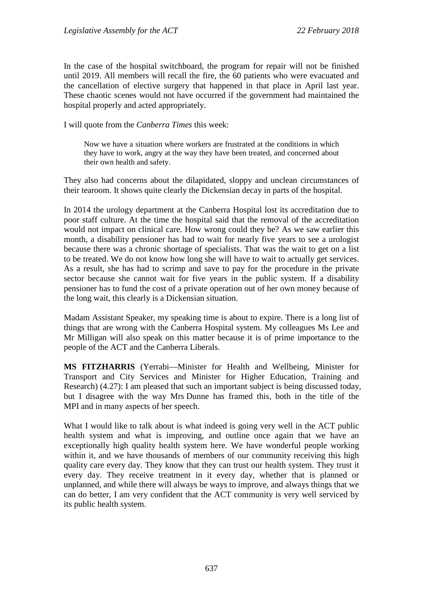In the case of the hospital switchboard, the program for repair will not be finished until 2019. All members will recall the fire, the 60 patients who were evacuated and the cancellation of elective surgery that happened in that place in April last year. These chaotic scenes would not have occurred if the government had maintained the hospital properly and acted appropriately.

I will quote from the *Canberra Times* this week:

Now we have a situation where workers are frustrated at the conditions in which they have to work, angry at the way they have been treated, and concerned about their own health and safety.

They also had concerns about the dilapidated, sloppy and unclean circumstances of their tearoom. It shows quite clearly the Dickensian decay in parts of the hospital.

In 2014 the urology department at the Canberra Hospital lost its accreditation due to poor staff culture. At the time the hospital said that the removal of the accreditation would not impact on clinical care. How wrong could they be? As we saw earlier this month, a disability pensioner has had to wait for nearly five years to see a urologist because there was a chronic shortage of specialists. That was the wait to get on a list to be treated. We do not know how long she will have to wait to actually get services. As a result, she has had to scrimp and save to pay for the procedure in the private sector because she cannot wait for five years in the public system. If a disability pensioner has to fund the cost of a private operation out of her own money because of the long wait, this clearly is a Dickensian situation.

Madam Assistant Speaker, my speaking time is about to expire. There is a long list of things that are wrong with the Canberra Hospital system. My colleagues Ms Lee and Mr Milligan will also speak on this matter because it is of prime importance to the people of the ACT and the Canberra Liberals.

**MS FITZHARRIS** (Yerrabi—Minister for Health and Wellbeing, Minister for Transport and City Services and Minister for Higher Education, Training and Research) (4.27): I am pleased that such an important subject is being discussed today, but I disagree with the way Mrs Dunne has framed this, both in the title of the MPI and in many aspects of her speech.

What I would like to talk about is what indeed is going very well in the ACT public health system and what is improving, and outline once again that we have an exceptionally high quality health system here. We have wonderful people working within it, and we have thousands of members of our community receiving this high quality care every day. They know that they can trust our health system. They trust it every day. They receive treatment in it every day, whether that is planned or unplanned, and while there will always be ways to improve, and always things that we can do better, I am very confident that the ACT community is very well serviced by its public health system.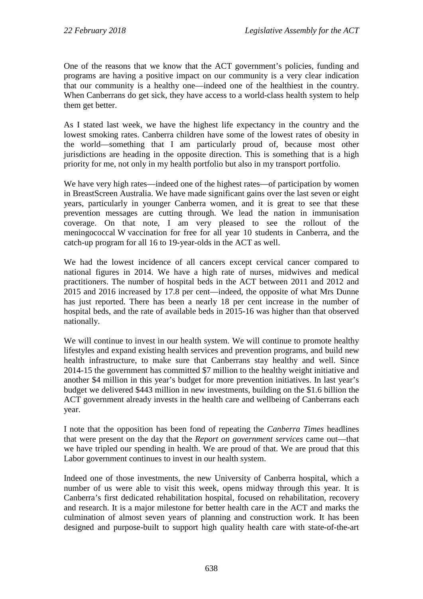One of the reasons that we know that the ACT government's policies, funding and programs are having a positive impact on our community is a very clear indication that our community is a healthy one—indeed one of the healthiest in the country. When Canberrans do get sick, they have access to a world-class health system to help them get better.

As I stated last week, we have the highest life expectancy in the country and the lowest smoking rates. Canberra children have some of the lowest rates of obesity in the world—something that I am particularly proud of, because most other jurisdictions are heading in the opposite direction. This is something that is a high priority for me, not only in my health portfolio but also in my transport portfolio.

We have very high rates—indeed one of the highest rates—of participation by women in BreastScreen Australia. We have made significant gains over the last seven or eight years, particularly in younger Canberra women, and it is great to see that these prevention messages are cutting through. We lead the nation in immunisation coverage. On that note, I am very pleased to see the rollout of the meningococcal W vaccination for free for all year 10 students in Canberra, and the catch-up program for all 16 to 19-year-olds in the ACT as well.

We had the lowest incidence of all cancers except cervical cancer compared to national figures in 2014. We have a high rate of nurses, midwives and medical practitioners. The number of hospital beds in the ACT between 2011 and 2012 and 2015 and 2016 increased by 17.8 per cent—indeed, the opposite of what Mrs Dunne has just reported. There has been a nearly 18 per cent increase in the number of hospital beds, and the rate of available beds in 2015-16 was higher than that observed nationally.

We will continue to invest in our health system. We will continue to promote healthy lifestyles and expand existing health services and prevention programs, and build new health infrastructure, to make sure that Canberrans stay healthy and well. Since 2014-15 the government has committed \$7 million to the healthy weight initiative and another \$4 million in this year's budget for more prevention initiatives. In last year's budget we delivered \$443 million in new investments, building on the \$1.6 billion the ACT government already invests in the health care and wellbeing of Canberrans each year.

I note that the opposition has been fond of repeating the *Canberra Times* headlines that were present on the day that the *Report on government services* came out—that we have tripled our spending in health. We are proud of that. We are proud that this Labor government continues to invest in our health system.

Indeed one of those investments, the new University of Canberra hospital, which a number of us were able to visit this week, opens midway through this year. It is Canberra's first dedicated rehabilitation hospital, focused on rehabilitation, recovery and research. It is a major milestone for better health care in the ACT and marks the culmination of almost seven years of planning and construction work. It has been designed and purpose-built to support high quality health care with state-of-the-art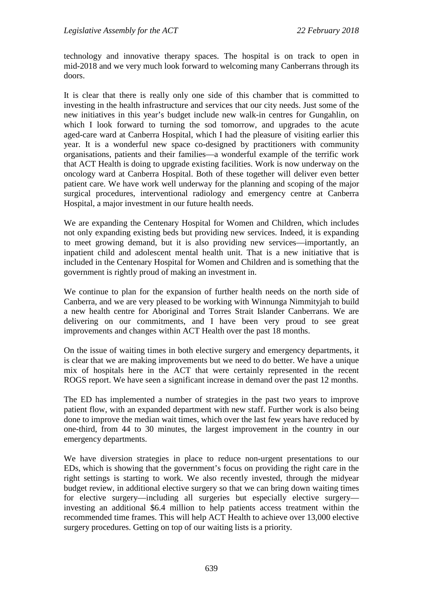technology and innovative therapy spaces. The hospital is on track to open in mid-2018 and we very much look forward to welcoming many Canberrans through its doors.

It is clear that there is really only one side of this chamber that is committed to investing in the health infrastructure and services that our city needs. Just some of the new initiatives in this year's budget include new walk-in centres for Gungahlin, on which I look forward to turning the sod tomorrow, and upgrades to the acute aged-care ward at Canberra Hospital, which I had the pleasure of visiting earlier this year. It is a wonderful new space co-designed by practitioners with community organisations, patients and their families—a wonderful example of the terrific work that ACT Health is doing to upgrade existing facilities. Work is now underway on the oncology ward at Canberra Hospital. Both of these together will deliver even better patient care. We have work well underway for the planning and scoping of the major surgical procedures, interventional radiology and emergency centre at Canberra Hospital, a major investment in our future health needs.

We are expanding the Centenary Hospital for Women and Children, which includes not only expanding existing beds but providing new services. Indeed, it is expanding to meet growing demand, but it is also providing new services—importantly, an inpatient child and adolescent mental health unit. That is a new initiative that is included in the Centenary Hospital for Women and Children and is something that the government is rightly proud of making an investment in.

We continue to plan for the expansion of further health needs on the north side of Canberra, and we are very pleased to be working with Winnunga Nimmityjah to build a new health centre for Aboriginal and Torres Strait Islander Canberrans. We are delivering on our commitments, and I have been very proud to see great improvements and changes within ACT Health over the past 18 months.

On the issue of waiting times in both elective surgery and emergency departments, it is clear that we are making improvements but we need to do better. We have a unique mix of hospitals here in the ACT that were certainly represented in the recent ROGS report. We have seen a significant increase in demand over the past 12 months.

The ED has implemented a number of strategies in the past two years to improve patient flow, with an expanded department with new staff. Further work is also being done to improve the median wait times, which over the last few years have reduced by one-third, from 44 to 30 minutes, the largest improvement in the country in our emergency departments.

We have diversion strategies in place to reduce non-urgent presentations to our EDs, which is showing that the government's focus on providing the right care in the right settings is starting to work. We also recently invested, through the midyear budget review, in additional elective surgery so that we can bring down waiting times for elective surgery—including all surgeries but especially elective surgery investing an additional \$6.4 million to help patients access treatment within the recommended time frames. This will help ACT Health to achieve over 13,000 elective surgery procedures. Getting on top of our waiting lists is a priority.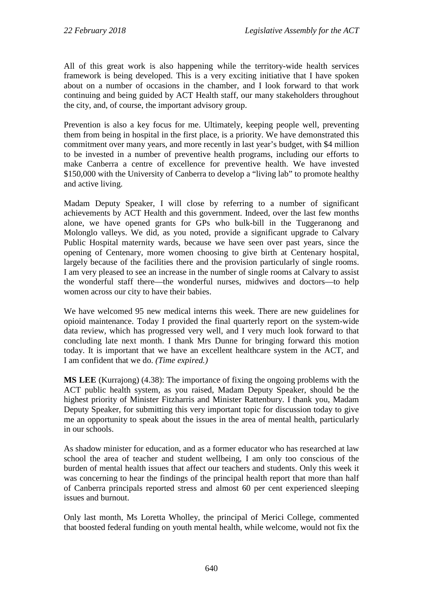All of this great work is also happening while the territory-wide health services framework is being developed. This is a very exciting initiative that I have spoken about on a number of occasions in the chamber, and I look forward to that work continuing and being guided by ACT Health staff, our many stakeholders throughout the city, and, of course, the important advisory group.

Prevention is also a key focus for me. Ultimately, keeping people well, preventing them from being in hospital in the first place, is a priority. We have demonstrated this commitment over many years, and more recently in last year's budget, with \$4 million to be invested in a number of preventive health programs, including our efforts to make Canberra a centre of excellence for preventive health. We have invested \$150,000 with the University of Canberra to develop a "living lab" to promote healthy and active living.

Madam Deputy Speaker, I will close by referring to a number of significant achievements by ACT Health and this government. Indeed, over the last few months alone, we have opened grants for GPs who bulk-bill in the Tuggeranong and Molonglo valleys. We did, as you noted, provide a significant upgrade to Calvary Public Hospital maternity wards, because we have seen over past years, since the opening of Centenary, more women choosing to give birth at Centenary hospital, largely because of the facilities there and the provision particularly of single rooms. I am very pleased to see an increase in the number of single rooms at Calvary to assist the wonderful staff there—the wonderful nurses, midwives and doctors—to help women across our city to have their babies.

We have welcomed 95 new medical interns this week. There are new guidelines for opioid maintenance. Today I provided the final quarterly report on the system-wide data review, which has progressed very well, and I very much look forward to that concluding late next month. I thank Mrs Dunne for bringing forward this motion today. It is important that we have an excellent healthcare system in the ACT, and I am confident that we do. *(Time expired.)*

**MS LEE** (Kurrajong) (4.38): The importance of fixing the ongoing problems with the ACT public health system, as you raised, Madam Deputy Speaker, should be the highest priority of Minister Fitzharris and Minister Rattenbury. I thank you, Madam Deputy Speaker, for submitting this very important topic for discussion today to give me an opportunity to speak about the issues in the area of mental health, particularly in our schools.

As shadow minister for education, and as a former educator who has researched at law school the area of teacher and student wellbeing, I am only too conscious of the burden of mental health issues that affect our teachers and students. Only this week it was concerning to hear the findings of the principal health report that more than half of Canberra principals reported stress and almost 60 per cent experienced sleeping issues and burnout.

Only last month, Ms Loretta Wholley, the principal of Merici College, commented that boosted federal funding on youth mental health, while welcome, would not fix the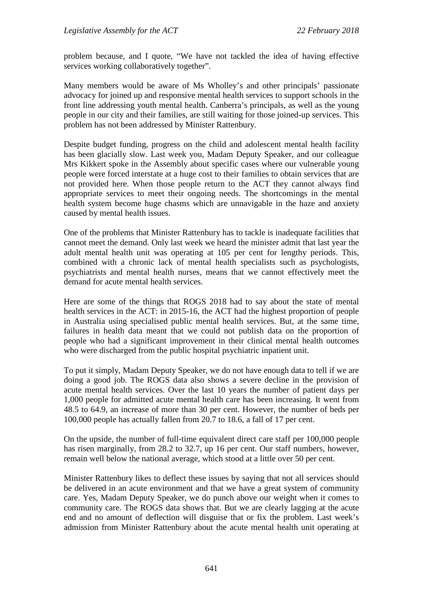problem because, and I quote, "We have not tackled the idea of having effective services working collaboratively together".

Many members would be aware of Ms Wholley's and other principals' passionate advocacy for joined up and responsive mental health services to support schools in the front line addressing youth mental health. Canberra's principals, as well as the young people in our city and their families, are still waiting for those joined-up services. This problem has not been addressed by Minister Rattenbury.

Despite budget funding, progress on the child and adolescent mental health facility has been glacially slow. Last week you, Madam Deputy Speaker, and our colleague Mrs Kikkert spoke in the Assembly about specific cases where our vulnerable young people were forced interstate at a huge cost to their families to obtain services that are not provided here. When those people return to the ACT they cannot always find appropriate services to meet their ongoing needs. The shortcomings in the mental health system become huge chasms which are unnavigable in the haze and anxiety caused by mental health issues.

One of the problems that Minister Rattenbury has to tackle is inadequate facilities that cannot meet the demand. Only last week we heard the minister admit that last year the adult mental health unit was operating at 105 per cent for lengthy periods. This, combined with a chronic lack of mental health specialists such as psychologists, psychiatrists and mental health nurses, means that we cannot effectively meet the demand for acute mental health services.

Here are some of the things that ROGS 2018 had to say about the state of mental health services in the ACT: in 2015-16, the ACT had the highest proportion of people in Australia using specialised public mental health services. But, at the same time, failures in health data meant that we could not publish data on the proportion of people who had a significant improvement in their clinical mental health outcomes who were discharged from the public hospital psychiatric inpatient unit.

To put it simply, Madam Deputy Speaker, we do not have enough data to tell if we are doing a good job. The ROGS data also shows a severe decline in the provision of acute mental health services. Over the last 10 years the number of patient days per 1,000 people for admitted acute mental health care has been increasing. It went from 48.5 to 64.9, an increase of more than 30 per cent. However, the number of beds per 100,000 people has actually fallen from 20.7 to 18.6, a fall of 17 per cent.

On the upside, the number of full-time equivalent direct care staff per 100,000 people has risen marginally, from 28.2 to 32.7, up 16 per cent. Our staff numbers, however, remain well below the national average, which stood at a little over 50 per cent.

Minister Rattenbury likes to deflect these issues by saying that not all services should be delivered in an acute environment and that we have a great system of community care. Yes, Madam Deputy Speaker, we do punch above our weight when it comes to community care. The ROGS data shows that. But we are clearly lagging at the acute end and no amount of deflection will disguise that or fix the problem. Last week's admission from Minister Rattenbury about the acute mental health unit operating at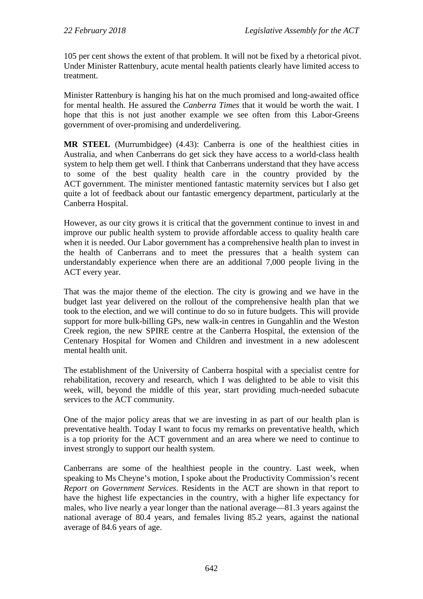105 per cent shows the extent of that problem. It will not be fixed by a rhetorical pivot. Under Minister Rattenbury, acute mental health patients clearly have limited access to treatment.

Minister Rattenbury is hanging his hat on the much promised and long-awaited office for mental health. He assured the *Canberra Times* that it would be worth the wait. I hope that this is not just another example we see often from this Labor-Greens government of over-promising and underdelivering.

**MR STEEL** (Murrumbidgee) (4.43): Canberra is one of the healthiest cities in Australia, and when Canberrans do get sick they have access to a world-class health system to help them get well. I think that Canberrans understand that they have access to some of the best quality health care in the country provided by the ACT government. The minister mentioned fantastic maternity services but I also get quite a lot of feedback about our fantastic emergency department, particularly at the Canberra Hospital.

However, as our city grows it is critical that the government continue to invest in and improve our public health system to provide affordable access to quality health care when it is needed. Our Labor government has a comprehensive health plan to invest in the health of Canberrans and to meet the pressures that a health system can understandably experience when there are an additional 7,000 people living in the ACT every year.

That was the major theme of the election. The city is growing and we have in the budget last year delivered on the rollout of the comprehensive health plan that we took to the election, and we will continue to do so in future budgets. This will provide support for more bulk-billing GPs, new walk-in centres in Gungahlin and the Weston Creek region, the new SPIRE centre at the Canberra Hospital, the extension of the Centenary Hospital for Women and Children and investment in a new adolescent mental health unit.

The establishment of the University of Canberra hospital with a specialist centre for rehabilitation, recovery and research, which I was delighted to be able to visit this week, will, beyond the middle of this year, start providing much-needed subacute services to the ACT community.

One of the major policy areas that we are investing in as part of our health plan is preventative health. Today I want to focus my remarks on preventative health, which is a top priority for the ACT government and an area where we need to continue to invest strongly to support our health system.

Canberrans are some of the healthiest people in the country. Last week, when speaking to Ms Cheyne's motion, I spoke about the Productivity Commission's recent *Report on Government Services*. Residents in the ACT are shown in that report to have the highest life expectancies in the country, with a higher life expectancy for males, who live nearly a year longer than the national average—81.3 years against the national average of 80.4 years, and females living 85.2 years, against the national average of 84.6 years of age.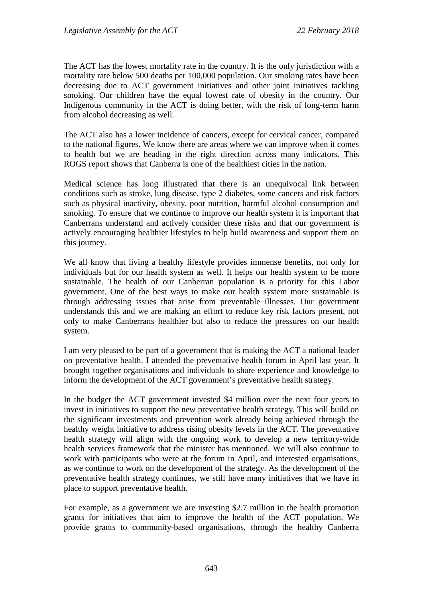The ACT has the lowest mortality rate in the country. It is the only jurisdiction with a mortality rate below 500 deaths per 100,000 population. Our smoking rates have been decreasing due to ACT government initiatives and other joint initiatives tackling smoking. Our children have the equal lowest rate of obesity in the country. Our Indigenous community in the ACT is doing better, with the risk of long-term harm from alcohol decreasing as well.

The ACT also has a lower incidence of cancers, except for cervical cancer, compared to the national figures. We know there are areas where we can improve when it comes to health but we are heading in the right direction across many indicators. This ROGS report shows that Canberra is one of the healthiest cities in the nation.

Medical science has long illustrated that there is an unequivocal link between conditions such as stroke, lung disease, type 2 diabetes, some cancers and risk factors such as physical inactivity, obesity, poor nutrition, harmful alcohol consumption and smoking. To ensure that we continue to improve our health system it is important that Canberrans understand and actively consider these risks and that our government is actively encouraging healthier lifestyles to help build awareness and support them on this journey.

We all know that living a healthy lifestyle provides immense benefits, not only for individuals but for our health system as well. It helps our health system to be more sustainable. The health of our Canberran population is a priority for this Labor government. One of the best ways to make our health system more sustainable is through addressing issues that arise from preventable illnesses. Our government understands this and we are making an effort to reduce key risk factors present, not only to make Canberrans healthier but also to reduce the pressures on our health system.

I am very pleased to be part of a government that is making the ACT a national leader on preventative health. I attended the preventative health forum in April last year. It brought together organisations and individuals to share experience and knowledge to inform the development of the ACT government's preventative health strategy.

In the budget the ACT government invested \$4 million over the next four years to invest in initiatives to support the new preventative health strategy. This will build on the significant investments and prevention work already being achieved through the healthy weight initiative to address rising obesity levels in the ACT. The preventative health strategy will align with the ongoing work to develop a new territory-wide health services framework that the minister has mentioned. We will also continue to work with participants who were at the forum in April, and interested organisations, as we continue to work on the development of the strategy. As the development of the preventative health strategy continues, we still have many initiatives that we have in place to support preventative health.

For example, as a government we are investing \$2.7 million in the health promotion grants for initiatives that aim to improve the health of the ACT population. We provide grants to community-based organisations, through the healthy Canberra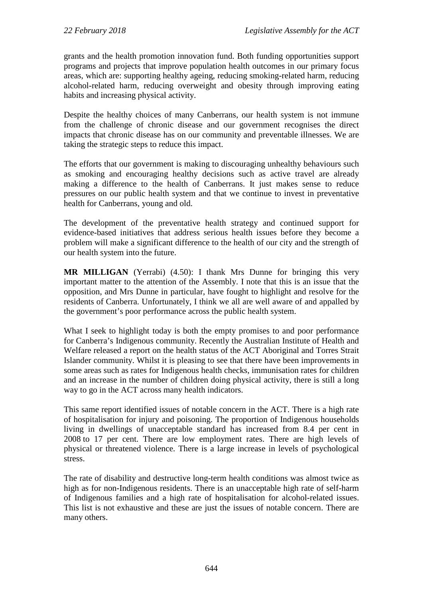grants and the health promotion innovation fund. Both funding opportunities support programs and projects that improve population health outcomes in our primary focus areas, which are: supporting healthy ageing, reducing smoking-related harm, reducing alcohol-related harm, reducing overweight and obesity through improving eating habits and increasing physical activity.

Despite the healthy choices of many Canberrans, our health system is not immune from the challenge of chronic disease and our government recognises the direct impacts that chronic disease has on our community and preventable illnesses. We are taking the strategic steps to reduce this impact.

The efforts that our government is making to discouraging unhealthy behaviours such as smoking and encouraging healthy decisions such as active travel are already making a difference to the health of Canberrans. It just makes sense to reduce pressures on our public health system and that we continue to invest in preventative health for Canberrans, young and old.

The development of the preventative health strategy and continued support for evidence-based initiatives that address serious health issues before they become a problem will make a significant difference to the health of our city and the strength of our health system into the future.

**MR MILLIGAN** (Yerrabi) (4.50): I thank Mrs Dunne for bringing this very important matter to the attention of the Assembly. I note that this is an issue that the opposition, and Mrs Dunne in particular, have fought to highlight and resolve for the residents of Canberra. Unfortunately, I think we all are well aware of and appalled by the government's poor performance across the public health system.

What I seek to highlight today is both the empty promises to and poor performance for Canberra's Indigenous community. Recently the Australian Institute of Health and Welfare released a report on the health status of the ACT Aboriginal and Torres Strait Islander community. Whilst it is pleasing to see that there have been improvements in some areas such as rates for Indigenous health checks, immunisation rates for children and an increase in the number of children doing physical activity, there is still a long way to go in the ACT across many health indicators.

This same report identified issues of notable concern in the ACT. There is a high rate of hospitalisation for injury and poisoning. The proportion of Indigenous households living in dwellings of unacceptable standard has increased from 8.4 per cent in 2008 to 17 per cent. There are low employment rates. There are high levels of physical or threatened violence. There is a large increase in levels of psychological stress.

The rate of disability and destructive long-term health conditions was almost twice as high as for non-Indigenous residents. There is an unacceptable high rate of self-harm of Indigenous families and a high rate of hospitalisation for alcohol-related issues. This list is not exhaustive and these are just the issues of notable concern. There are many others.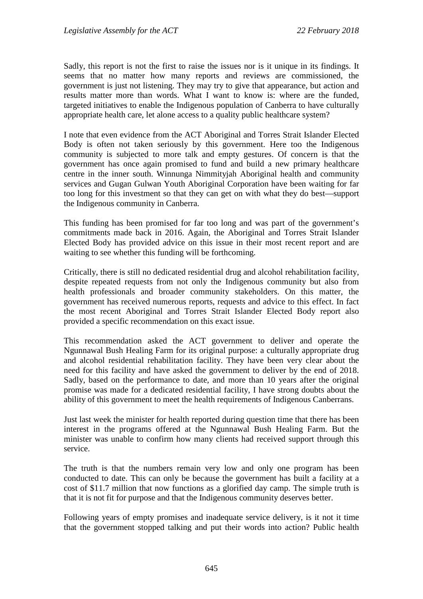Sadly, this report is not the first to raise the issues nor is it unique in its findings. It seems that no matter how many reports and reviews are commissioned, the government is just not listening. They may try to give that appearance, but action and results matter more than words. What I want to know is: where are the funded, targeted initiatives to enable the Indigenous population of Canberra to have culturally appropriate health care, let alone access to a quality public healthcare system?

I note that even evidence from the ACT Aboriginal and Torres Strait Islander Elected Body is often not taken seriously by this government. Here too the Indigenous community is subjected to more talk and empty gestures. Of concern is that the government has once again promised to fund and build a new primary healthcare centre in the inner south. Winnunga Nimmityjah Aboriginal health and community services and Gugan Gulwan Youth Aboriginal Corporation have been waiting for far too long for this investment so that they can get on with what they do best—support the Indigenous community in Canberra.

This funding has been promised for far too long and was part of the government's commitments made back in 2016. Again, the Aboriginal and Torres Strait Islander Elected Body has provided advice on this issue in their most recent report and are waiting to see whether this funding will be forthcoming.

Critically, there is still no dedicated residential drug and alcohol rehabilitation facility, despite repeated requests from not only the Indigenous community but also from health professionals and broader community stakeholders. On this matter, the government has received numerous reports, requests and advice to this effect. In fact the most recent Aboriginal and Torres Strait Islander Elected Body report also provided a specific recommendation on this exact issue.

This recommendation asked the ACT government to deliver and operate the Ngunnawal Bush Healing Farm for its original purpose: a culturally appropriate drug and alcohol residential rehabilitation facility. They have been very clear about the need for this facility and have asked the government to deliver by the end of 2018. Sadly, based on the performance to date, and more than 10 years after the original promise was made for a dedicated residential facility, I have strong doubts about the ability of this government to meet the health requirements of Indigenous Canberrans.

Just last week the minister for health reported during question time that there has been interest in the programs offered at the Ngunnawal Bush Healing Farm. But the minister was unable to confirm how many clients had received support through this service.

The truth is that the numbers remain very low and only one program has been conducted to date. This can only be because the government has built a facility at a cost of \$11.7 million that now functions as a glorified day camp. The simple truth is that it is not fit for purpose and that the Indigenous community deserves better.

Following years of empty promises and inadequate service delivery, is it not it time that the government stopped talking and put their words into action? Public health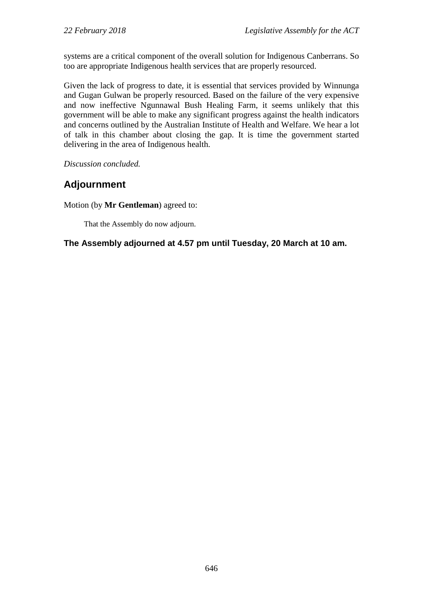systems are a critical component of the overall solution for Indigenous Canberrans. So too are appropriate Indigenous health services that are properly resourced.

Given the lack of progress to date, it is essential that services provided by Winnunga and Gugan Gulwan be properly resourced. Based on the failure of the very expensive and now ineffective Ngunnawal Bush Healing Farm, it seems unlikely that this government will be able to make any significant progress against the health indicators and concerns outlined by the Australian Institute of Health and Welfare. We hear a lot of talk in this chamber about closing the gap. It is time the government started delivering in the area of Indigenous health.

*Discussion concluded.*

# **Adjournment**

Motion (by **Mr Gentleman**) agreed to:

That the Assembly do now adjourn.

## **The Assembly adjourned at 4.57 pm until Tuesday, 20 March at 10 am.**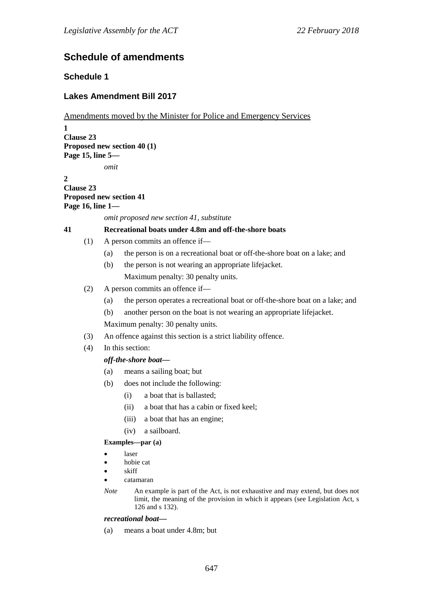# **Schedule of amendments**

# **Schedule 1**

# **Lakes Amendment Bill 2017**

## Amendments moved by the Minister for Police and Emergency Services

**1 Clause 23 Proposed new section 40 (1) Page 15, line 5** *omit*

**2 Clause 23 Proposed new section 41 Page 16, line 1—**

*omit proposed new section 41, substitute*

## **41 Recreational boats under 4.8m and off-the-shore boats**

- (1) A person commits an offence if—
	- (a) the person is on a recreational boat or off-the-shore boat on a lake; and
	- (b) the person is not wearing an appropriate lifejacket. Maximum penalty: 30 penalty units.
- (2) A person commits an offence if—
	- (a) the person operates a recreational boat or off-the-shore boat on a lake; and
	- (b) another person on the boat is not wearing an appropriate lifejacket.

Maximum penalty: 30 penalty units.

- (3) An offence against this section is a strict liability offence.
- (4) In this section:

## *off-the-shore boat—*

- (a) means a sailing boat; but
- (b) does not include the following:
	- (i) a boat that is ballasted;
	- (ii) a boat that has a cabin or fixed keel;
	- (iii) a boat that has an engine;
	- (iv) a sailboard.

### **Examples—par (a)**

- laser
- hobie cat
- skiff
- catamaran
- *Note* An example is part of the Act, is not exhaustive and may extend, but does not limit, the meaning of the provision in which it appears (see Legislation Act, s 126 and s 132).

### *recreational boat—*

(a) means a boat under 4.8m; but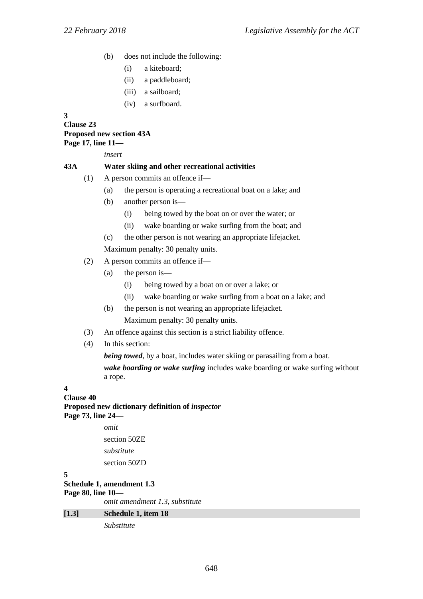- (b) does not include the following:
	- (i) a kiteboard;
	- (ii) a paddleboard;
	- (iii) a sailboard;
	- (iv) a surfboard.

**3**

**Clause 23 Proposed new section 43A Page 17, line 11—**

*insert*

## **43A Water skiing and other recreational activities**

- (1) A person commits an offence if—
	- (a) the person is operating a recreational boat on a lake; and
	- (b) another person is—
		- (i) being towed by the boat on or over the water; or
		- (ii) wake boarding or wake surfing from the boat; and
	- (c) the other person is not wearing an appropriate lifejacket.

Maximum penalty: 30 penalty units.

- (2) A person commits an offence if—
	- (a) the person is—
		- (i) being towed by a boat on or over a lake; or
		- (ii) wake boarding or wake surfing from a boat on a lake; and
	- (b) the person is not wearing an appropriate lifejacket. Maximum penalty: 30 penalty units.
- (3) An offence against this section is a strict liability offence.
- (4) In this section:

*being towed*, by a boat, includes water skiing or parasailing from a boat. *wake boarding or wake surfing* includes wake boarding or wake surfing without a rope.

## **4**

**Clause 40 Proposed new dictionary definition of** *inspector* **Page 73, line 24—**

> *omit* section 50ZE *substitute* section 50ZD

### **5**

**Schedule 1, amendment 1.3 Page 80, line 10** *omit amendment 1.3, substitute* **[1.3] Schedule 1, item 18**

*Substitute*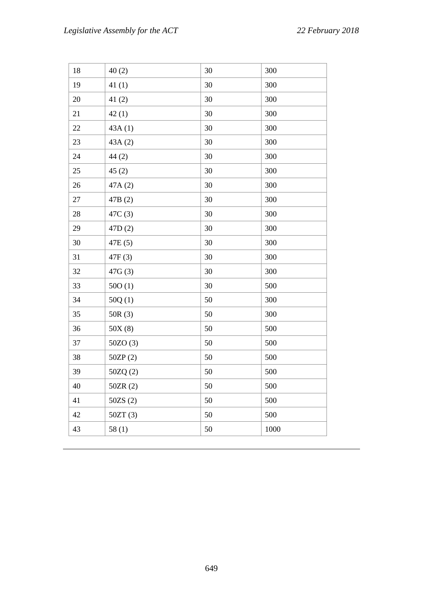| 18 | 40(2)     | 30 | 300  |
|----|-----------|----|------|
| 19 | 41(1)     | 30 | 300  |
| 20 | 41(2)     | 30 | 300  |
| 21 | 42(1)     | 30 | 300  |
| 22 | 43A(1)    | 30 | 300  |
| 23 | 43A(2)    | 30 | 300  |
| 24 | 44(2)     | 30 | 300  |
| 25 | 45(2)     | 30 | 300  |
| 26 | 47A (2)   | 30 | 300  |
| 27 | 47B (2)   | 30 | 300  |
| 28 | 47C (3)   | 30 | 300  |
| 29 | 47D(2)    | 30 | 300  |
| 30 | 47E (5)   | 30 | 300  |
| 31 | 47F(3)    | 30 | 300  |
| 32 | 47G(3)    | 30 | 300  |
| 33 | 500(1)    | 30 | 500  |
| 34 | 50Q(1)    | 50 | 300  |
| 35 | 50R(3)    | 50 | 300  |
| 36 | 50X(8)    | 50 | 500  |
| 37 | 50ZO(3)   | 50 | 500  |
| 38 | 50ZP(2)   | 50 | 500  |
| 39 | 50ZQ(2)   | 50 | 500  |
| 40 | 50ZR (2)  | 50 | 500  |
| 41 | $50ZS(2)$ | 50 | 500  |
| 42 | 50ZT(3)   | 50 | 500  |
| 43 | 58(1)     | 50 | 1000 |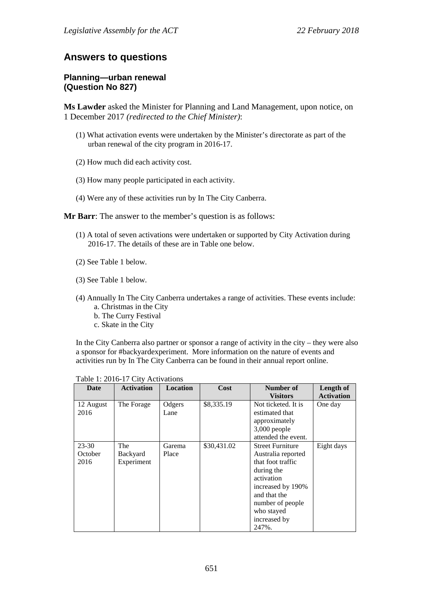# **Answers to questions**

## **Planning—urban renewal (Question No 827)**

**Ms Lawder** asked the Minister for Planning and Land Management, upon notice, on 1 December 2017 *(redirected to the Chief Minister)*:

- (1) What activation events were undertaken by the Minister's directorate as part of the urban renewal of the city program in 2016-17.
- (2) How much did each activity cost.
- (3) How many people participated in each activity.
- (4) Were any of these activities run by In The City Canberra.

**Mr Barr**: The answer to the member's question is as follows:

- (1) A total of seven activations were undertaken or supported by City Activation during 2016-17. The details of these are in Table one below.
- (2) See Table 1 below.
- (3) See Table 1 below.
- (4) Annually In The City Canberra undertakes a range of activities. These events include: a. Christmas in the City
	- b. The Curry Festival
	- c. Skate in the City

In the City Canberra also partner or sponsor a range of activity in the city – they were also a sponsor for #backyardexperiment. More information on the nature of events and activities run by In The City Canberra can be found in their annual report online.

| Date                         | <b>Activation</b>             | <b>Location</b> | Cost        | Number of<br><b>Visitors</b>                                                                                                                                                                   | Length of<br><b>Activation</b> |
|------------------------------|-------------------------------|-----------------|-------------|------------------------------------------------------------------------------------------------------------------------------------------------------------------------------------------------|--------------------------------|
| 12 August<br>2016            | The Forage                    | Odgers<br>Lane  | \$8,335.19  | Not ticketed. It is<br>estimated that<br>approximately<br>$3,000$ people<br>attended the event.                                                                                                | One day                        |
| $23 - 30$<br>October<br>2016 | The<br>Backyard<br>Experiment | Garema<br>Place | \$30,431.02 | <b>Street Furniture</b><br>Australia reported<br>that foot traffic<br>during the<br>activation<br>increased by 190%<br>and that the<br>number of people<br>who stayed<br>increased by<br>247%. | Eight days                     |

Table 1: 2016-17 City Activations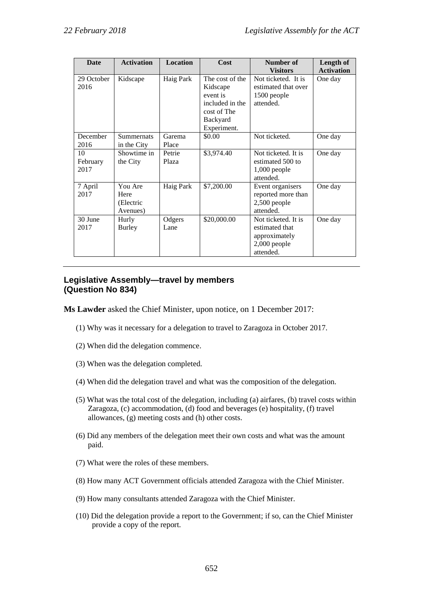| Date                   | <b>Activation</b>                        | <b>Location</b> | Cost                                                                                                 | Number of<br><b>Visitors</b>                                                          | Length of<br><b>Activation</b> |
|------------------------|------------------------------------------|-----------------|------------------------------------------------------------------------------------------------------|---------------------------------------------------------------------------------------|--------------------------------|
| 29 October<br>2016     | Kidscape                                 | Haig Park       | The cost of the<br>Kidscape<br>event is<br>included in the<br>cost of The<br>Backyard<br>Experiment. | Not ticketed. It is<br>estimated that over<br>1500 people<br>attended.                | One day                        |
| December<br>2016       | <b>Summernats</b><br>in the City         | Garema<br>Place | \$0.00                                                                                               | Not ticketed.                                                                         | One day                        |
| 10<br>February<br>2017 | Showtime in<br>the City                  | Petrie<br>Plaza | \$3,974.40                                                                                           | Not ticketed. It is<br>estimated 500 to<br>$1,000$ people<br>attended.                | One day                        |
| 7 April<br>2017        | You Are<br>Here<br>(Electric<br>Avenues) | Haig Park       | \$7,200.00                                                                                           | Event organisers<br>reported more than<br>$2,500$ people<br>attended.                 | One day                        |
| 30 June<br>2017        | Hurly<br>Burley                          | Odgers<br>Lane  | \$20,000.00                                                                                          | Not ticketed. It is<br>estimated that<br>approximately<br>$2,000$ people<br>attended. | One day                        |

# **Legislative Assembly—travel by members (Question No 834)**

**Ms Lawder** asked the Chief Minister, upon notice, on 1 December 2017:

- (1) Why was it necessary for a delegation to travel to Zaragoza in October 2017.
- (2) When did the delegation commence.
- (3) When was the delegation completed.
- (4) When did the delegation travel and what was the composition of the delegation.
- (5) What was the total cost of the delegation, including (a) airfares, (b) travel costs within Zaragoza, (c) accommodation, (d) food and beverages (e) hospitality, (f) travel allowances, (g) meeting costs and (h) other costs.
- (6) Did any members of the delegation meet their own costs and what was the amount paid.
- (7) What were the roles of these members.
- (8) How many ACT Government officials attended Zaragoza with the Chief Minister.
- (9) How many consultants attended Zaragoza with the Chief Minister.
- (10) Did the delegation provide a report to the Government; if so, can the Chief Minister provide a copy of the report.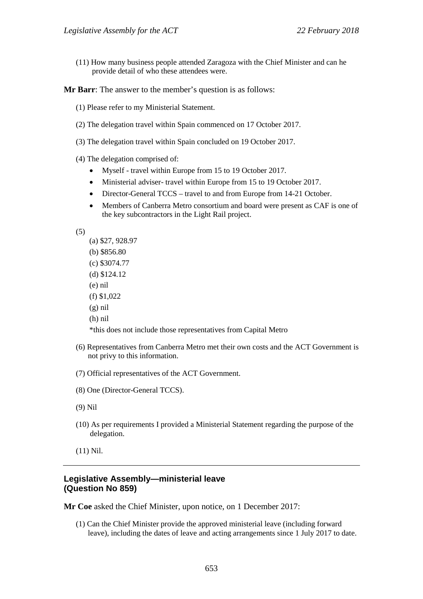(11) How many business people attended Zaragoza with the Chief Minister and can he provide detail of who these attendees were.

**Mr Barr**: The answer to the member's question is as follows:

- (1) Please refer to my Ministerial Statement.
- (2) The delegation travel within Spain commenced on 17 October 2017.
- (3) The delegation travel within Spain concluded on 19 October 2017.
- (4) The delegation comprised of:
	- Myself travel within Europe from 15 to 19 October 2017.
	- Ministerial adviser-travel within Europe from 15 to 19 October 2017.
	- Director-General TCCS travel to and from Europe from 14-21 October.
	- Members of Canberra Metro consortium and board were present as CAF is one of the key subcontractors in the Light Rail project.

(5)

- (a) \$27, 928.97
- (b) \$856.80
- (c) \$3074.77
- (d) \$124.12
- (e) nil
- (f) \$1,022
- (g) nil
- (h) nil

\*this does not include those representatives from Capital Metro

- (6) Representatives from Canberra Metro met their own costs and the ACT Government is not privy to this information.
- (7) Official representatives of the ACT Government.
- (8) One (Director-General TCCS).
- (9) Nil
- (10) As per requirements I provided a Ministerial Statement regarding the purpose of the delegation.

(11) Nil.

## **Legislative Assembly—ministerial leave (Question No 859)**

**Mr Coe** asked the Chief Minister, upon notice, on 1 December 2017:

(1) Can the Chief Minister provide the approved ministerial leave (including forward leave), including the dates of leave and acting arrangements since 1 July 2017 to date.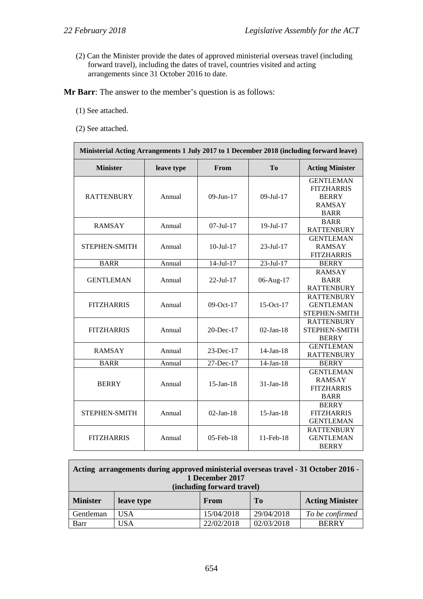(2) Can the Minister provide the dates of approved ministerial overseas travel (including forward travel), including the dates of travel, countries visited and acting arrangements since 31 October 2016 to date.

**Mr Barr**: The answer to the member's question is as follows:

- (1) See attached.
- (2) See attached.

| Ministerial Acting Arrangements 1 July 2017 to 1 December 2018 (including forward leave) |            |                  |                 |                                                                                       |
|------------------------------------------------------------------------------------------|------------|------------------|-----------------|---------------------------------------------------------------------------------------|
| <b>Minister</b>                                                                          | leave type | From             | T <sub>0</sub>  | <b>Acting Minister</b>                                                                |
| <b>RATTENBURY</b>                                                                        | Annual     | $09 - Jun - 17$  | 09-Jul-17       | <b>GENTLEMAN</b><br><b>FITZHARRIS</b><br><b>BERRY</b><br><b>RAMSAY</b><br><b>BARR</b> |
| <b>RAMSAY</b>                                                                            | Annual     | $07 -$ Jul $-17$ | 19-Jul-17       | <b>BARR</b><br><b>RATTENBURY</b>                                                      |
| STEPHEN-SMITH                                                                            | Annual     | $10 -$ Jul $-17$ | $23$ -Jul-17    | <b>GENTLEMAN</b><br><b>RAMSAY</b><br><b>FITZHARRIS</b>                                |
| <b>BARR</b>                                                                              | Annual     | 14-Jul-17        | 23-Jul-17       | <b>BERRY</b>                                                                          |
| <b>GENTLEMAN</b>                                                                         | Annual     | 22-Jul-17        | 06-Aug-17       | <b>RAMSAY</b><br><b>BARR</b><br><b>RATTENBURY</b>                                     |
| <b>FITZHARRIS</b>                                                                        | Annual     | $09-Oct-17$      | 15-Oct-17       | <b>RATTENBURY</b><br><b>GENTLEMAN</b><br>STEPHEN-SMITH                                |
| <b>FITZHARRIS</b>                                                                        | Annual     | $20$ -Dec-17     | $02$ -Jan-18    | <b>RATTENBURY</b><br>STEPHEN-SMITH<br><b>BERRY</b>                                    |
| <b>RAMSAY</b>                                                                            | Annual     | $23$ -Dec-17     | $14$ -Jan-18    | <b>GENTLEMAN</b><br><b>RATTENBURY</b>                                                 |
| <b>BARR</b>                                                                              | Annual     | 27-Dec-17        | $14$ -Jan-18    | <b>BERRY</b>                                                                          |
| <b>BERRY</b>                                                                             | Annual     | $15$ -Jan-18     | $31$ -Jan-18    | <b>GENTLEMAN</b><br><b>RAMSAY</b><br><b>FITZHARRIS</b><br><b>BARR</b>                 |
| STEPHEN-SMITH                                                                            | Annual     | $02$ -Jan-18     | $15$ -Jan- $18$ | <b>BERRY</b><br><b>FITZHARRIS</b><br><b>GENTLEMAN</b>                                 |
| <b>FITZHARRIS</b>                                                                        | Annual     | $05$ -Feb- $18$  | 11-Feb-18       | <b>RATTENBURY</b><br><b>GENTLEMAN</b><br><b>BERRY</b>                                 |

| Acting arrangements during approved ministerial overseas travel - 31 October 2016 -<br>1 December 2017<br>(including forward travel) |            |             |                |                        |
|--------------------------------------------------------------------------------------------------------------------------------------|------------|-------------|----------------|------------------------|
| <b>Minister</b>                                                                                                                      | leave type | <b>From</b> | T <sub>0</sub> | <b>Acting Minister</b> |
| Gentleman                                                                                                                            | USA        | 15/04/2018  | 29/04/2018     | To be confirmed        |
| Barr                                                                                                                                 | USA        | 22/02/2018  | 02/03/2018     | <b>BERRY</b>           |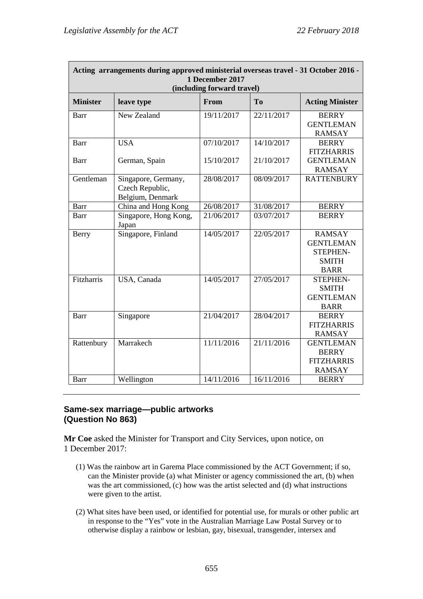| Acting arrangements during approved ministerial overseas travel - 31 October 2016 -<br>1 December 2017 |                                                            |                                    |                          |                                                                                     |
|--------------------------------------------------------------------------------------------------------|------------------------------------------------------------|------------------------------------|--------------------------|-------------------------------------------------------------------------------------|
| <b>Minister</b>                                                                                        | leave type                                                 | (including forward travel)<br>From | T <sub>o</sub>           | <b>Acting Minister</b>                                                              |
| Barr                                                                                                   | New Zealand                                                | 19/11/2017                         | 22/11/2017               | <b>BERRY</b><br><b>GENTLEMAN</b><br><b>RAMSAY</b>                                   |
| Barr<br>Barr                                                                                           | <b>USA</b><br>German, Spain                                | 07/10/2017<br>15/10/2017           | 14/10/2017<br>21/10/2017 | <b>BERRY</b><br><b>FITZHARRIS</b><br><b>GENTLEMAN</b><br><b>RAMSAY</b>              |
| Gentleman                                                                                              | Singapore, Germany,<br>Czech Republic,<br>Belgium, Denmark | 28/08/2017                         | 08/09/2017               | <b>RATTENBURY</b>                                                                   |
| Barr                                                                                                   | China and Hong Kong                                        | 26/08/2017                         | 31/08/2017               | <b>BERRY</b>                                                                        |
| Barr                                                                                                   | Singapore, Hong Kong,<br>Japan                             | 21/06/2017                         | 03/07/2017               | <b>BERRY</b>                                                                        |
| Berry                                                                                                  | Singapore, Finland                                         | 14/05/2017                         | 22/05/2017               | <b>RAMSAY</b><br><b>GENTLEMAN</b><br><b>STEPHEN-</b><br><b>SMITH</b><br><b>BARR</b> |
| Fitzharris                                                                                             | USA, Canada                                                | 14/05/2017                         | 27/05/2017               | STEPHEN-<br><b>SMITH</b><br><b>GENTLEMAN</b><br><b>BARR</b>                         |
| Barr                                                                                                   | Singapore                                                  | 21/04/2017                         | 28/04/2017               | <b>BERRY</b><br><b>FITZHARRIS</b><br><b>RAMSAY</b>                                  |
| Rattenbury                                                                                             | Marrakech                                                  | 11/11/2016                         | 21/11/2016               | <b>GENTLEMAN</b><br><b>BERRY</b><br><b>FITZHARRIS</b><br><b>RAMSAY</b>              |
| Barr                                                                                                   | Wellington                                                 | 14/11/2016                         | 16/11/2016               | <b>BERRY</b>                                                                        |

# **Same-sex marriage—public artworks (Question No 863)**

**Mr Coe** asked the Minister for Transport and City Services, upon notice, on 1 December 2017:

- (1) Was the rainbow art in Garema Place commissioned by the ACT Government; if so, can the Minister provide (a) what Minister or agency commissioned the art, (b) when was the art commissioned, (c) how was the artist selected and (d) what instructions were given to the artist.
- (2) What sites have been used, or identified for potential use, for murals or other public art in response to the "Yes" vote in the Australian Marriage Law Postal Survey or to otherwise display a rainbow or lesbian, gay, bisexual, transgender, intersex and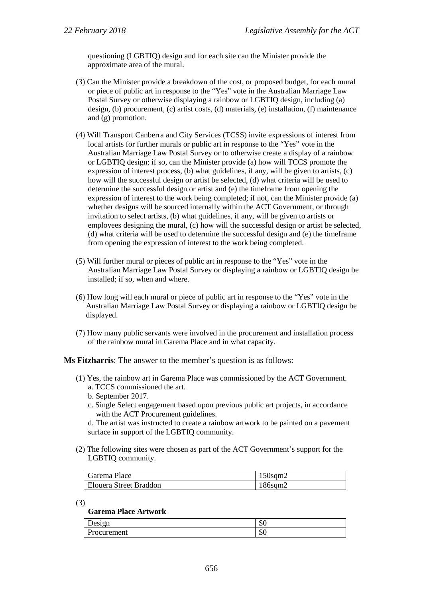questioning (LGBTIQ) design and for each site can the Minister provide the approximate area of the mural.

- (3) Can the Minister provide a breakdown of the cost, or proposed budget, for each mural or piece of public art in response to the "Yes" vote in the Australian Marriage Law Postal Survey or otherwise displaying a rainbow or LGBTIQ design, including (a) design, (b) procurement, (c) artist costs, (d) materials, (e) installation, (f) maintenance and (g) promotion.
- (4) Will Transport Canberra and City Services (TCSS) invite expressions of interest from local artists for further murals or public art in response to the "Yes" vote in the Australian Marriage Law Postal Survey or to otherwise create a display of a rainbow or LGBTIQ design; if so, can the Minister provide (a) how will TCCS promote the expression of interest process, (b) what guidelines, if any, will be given to artists, (c) how will the successful design or artist be selected, (d) what criteria will be used to determine the successful design or artist and (e) the timeframe from opening the expression of interest to the work being completed; if not, can the Minister provide (a) whether designs will be sourced internally within the ACT Government, or through invitation to select artists, (b) what guidelines, if any, will be given to artists or employees designing the mural, (c) how will the successful design or artist be selected, (d) what criteria will be used to determine the successful design and (e) the timeframe from opening the expression of interest to the work being completed.
- (5) Will further mural or pieces of public art in response to the "Yes" vote in the Australian Marriage Law Postal Survey or displaying a rainbow or LGBTIQ design be installed; if so, when and where.
- (6) How long will each mural or piece of public art in response to the "Yes" vote in the Australian Marriage Law Postal Survey or displaying a rainbow or LGBTIQ design be displayed.
- (7) How many public servants were involved in the procurement and installation process of the rainbow mural in Garema Place and in what capacity.

**Ms Fitzharris**: The answer to the member's question is as follows:

- (1) Yes, the rainbow art in Garema Place was commissioned by the ACT Government. a. TCCS commissioned the art.
	- b. September 2017.
	- c. Single Select engagement based upon previous public art projects, in accordance with the ACT Procurement guidelines.

d. The artist was instructed to create a rainbow artwork to be painted on a pavement surface in support of the LGBTIQ community.

(2) The following sites were chosen as part of the ACT Government's support for the LGBTIQ community.

| Garema Place           | $150$ sqm $2$ |
|------------------------|---------------|
| Elouera Street Braddon | $186$ sqm $2$ |

(3)

### **Garema Place Artwork**

| $\sim$ $\sim$                                      | ₼<br>ΦU |
|----------------------------------------------------|---------|
| $\overline{\phantom{a}}$<br>ment<br>P<br>ocur<br>◡ | ₼<br>ΦU |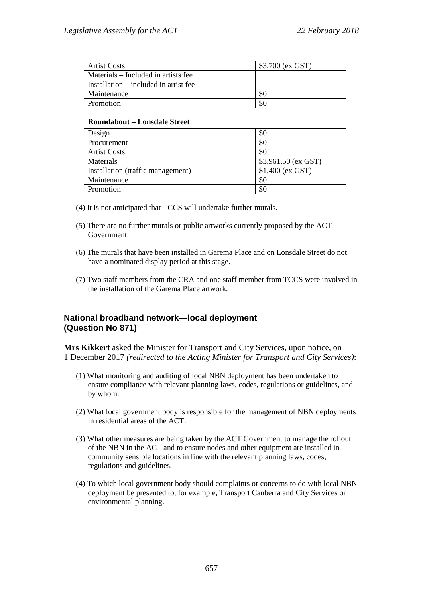| <b>Artist Costs</b>                   | \$3,700 (ex GST) |
|---------------------------------------|------------------|
| Materials – Included in artists fee   |                  |
| Installation – included in artist fee |                  |
| Maintenance                           | SC               |
| Promotion                             | SC.              |

### **Roundabout – Lonsdale Street**

| Design                            | \$0                  |
|-----------------------------------|----------------------|
| Procurement                       | \$0                  |
| <b>Artist Costs</b>               | \$0                  |
| Materials                         | $$3,961.50$ (ex GST) |
| Installation (traffic management) | $$1,400$ (ex GST)    |
| Maintenance                       | \$0                  |
| Promotion                         | \$0                  |

(4) It is not anticipated that TCCS will undertake further murals.

- (5) There are no further murals or public artworks currently proposed by the ACT Government.
- (6) The murals that have been installed in Garema Place and on Lonsdale Street do not have a nominated display period at this stage.
- (7) Two staff members from the CRA and one staff member from TCCS were involved in the installation of the Garema Place artwork.

## **National broadband network—local deployment (Question No 871)**

**Mrs Kikkert** asked the Minister for Transport and City Services, upon notice, on 1 December 2017 *(redirected to the Acting Minister for Transport and City Services)*:

- (1) What monitoring and auditing of local NBN deployment has been undertaken to ensure compliance with relevant planning laws, codes, regulations or guidelines, and by whom.
- (2) What local government body is responsible for the management of NBN deployments in residential areas of the ACT.
- (3) What other measures are being taken by the ACT Government to manage the rollout of the NBN in the ACT and to ensure nodes and other equipment are installed in community sensible locations in line with the relevant planning laws, codes, regulations and guidelines.
- (4) To which local government body should complaints or concerns to do with local NBN deployment be presented to, for example, Transport Canberra and City Services or environmental planning.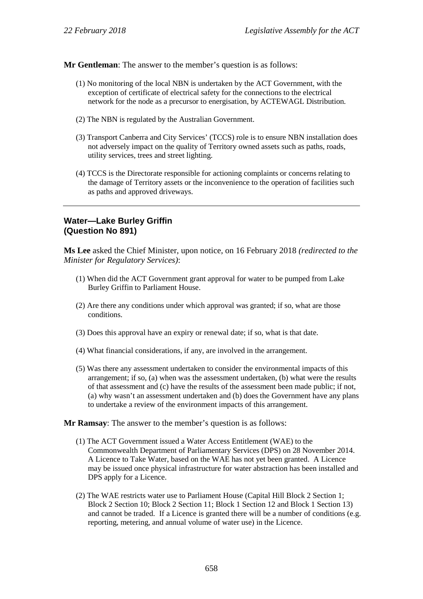**Mr Gentleman**: The answer to the member's question is as follows:

- (1) No monitoring of the local NBN is undertaken by the ACT Government, with the exception of certificate of electrical safety for the connections to the electrical network for the node as a precursor to energisation, by ACTEWAGL Distribution.
- (2) The NBN is regulated by the Australian Government.
- (3) Transport Canberra and City Services' (TCCS) role is to ensure NBN installation does not adversely impact on the quality of Territory owned assets such as paths, roads, utility services, trees and street lighting.
- (4) TCCS is the Directorate responsible for actioning complaints or concerns relating to the damage of Territory assets or the inconvenience to the operation of facilities such as paths and approved driveways.

## **Water—Lake Burley Griffin (Question No 891)**

**Ms Lee** asked the Chief Minister, upon notice, on 16 February 2018 *(redirected to the Minister for Regulatory Services)*:

- (1) When did the ACT Government grant approval for water to be pumped from Lake Burley Griffin to Parliament House.
- (2) Are there any conditions under which approval was granted; if so, what are those conditions.
- (3) Does this approval have an expiry or renewal date; if so, what is that date.
- (4) What financial considerations, if any, are involved in the arrangement.
- (5) Was there any assessment undertaken to consider the environmental impacts of this arrangement; if so, (a) when was the assessment undertaken, (b) what were the results of that assessment and (c) have the results of the assessment been made public; if not, (a) why wasn't an assessment undertaken and (b) does the Government have any plans to undertake a review of the environment impacts of this arrangement.

**Mr Ramsay**: The answer to the member's question is as follows:

- (1) The ACT Government issued a Water Access Entitlement (WAE) to the Commonwealth Department of Parliamentary Services (DPS) on 28 November 2014. A Licence to Take Water, based on the WAE has not yet been granted. A Licence may be issued once physical infrastructure for water abstraction has been installed and DPS apply for a Licence.
- (2) The WAE restricts water use to Parliament House (Capital Hill Block 2 Section 1; Block 2 Section 10; Block 2 Section 11; Block 1 Section 12 and Block 1 Section 13) and cannot be traded. If a Licence is granted there will be a number of conditions (e.g. reporting, metering, and annual volume of water use) in the Licence.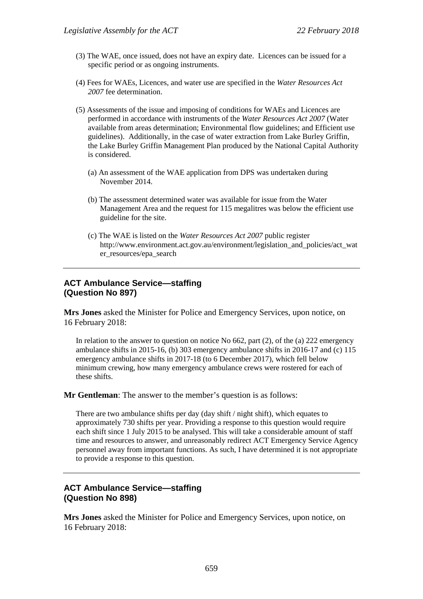- (3) The WAE, once issued, does not have an expiry date. Licences can be issued for a specific period or as ongoing instruments.
- (4) Fees for WAEs, Licences, and water use are specified in the *Water Resources Act 2007* fee determination.
- (5) Assessments of the issue and imposing of conditions for WAEs and Licences are performed in accordance with instruments of the *Water Resources Act 2007* (Water available from areas determination; Environmental flow guidelines; and Efficient use guidelines). Additionally, in the case of water extraction from Lake Burley Griffin, the Lake Burley Griffin Management Plan produced by the National Capital Authority is considered.
	- (a) An assessment of the WAE application from DPS was undertaken during November 2014.
	- (b) The assessment determined water was available for issue from the Water Management Area and the request for 115 megalitres was below the efficient use guideline for the site.
	- (c) The WAE is listed on the *Water Resources Act 2007* public register http://www.environment.act.gov.au/environment/legislation\_and\_policies/act\_wat er resources/epa\_search

## **ACT Ambulance Service—staffing (Question No 897)**

**Mrs Jones** asked the Minister for Police and Emergency Services, upon notice, on 16 February 2018:

In relation to the answer to question on notice No 662, part (2), of the (a) 222 emergency ambulance shifts in 2015-16, (b) 303 emergency ambulance shifts in 2016-17 and (c) 115 emergency ambulance shifts in 2017-18 (to 6 December 2017), which fell below minimum crewing, how many emergency ambulance crews were rostered for each of these shifts.

**Mr Gentleman**: The answer to the member's question is as follows:

There are two ambulance shifts per day (day shift / night shift), which equates to approximately 730 shifts per year. Providing a response to this question would require each shift since 1 July 2015 to be analysed. This will take a considerable amount of staff time and resources to answer, and unreasonably redirect ACT Emergency Service Agency personnel away from important functions. As such, I have determined it is not appropriate to provide a response to this question.

## **ACT Ambulance Service—staffing (Question No 898)**

**Mrs Jones** asked the Minister for Police and Emergency Services, upon notice, on 16 February 2018: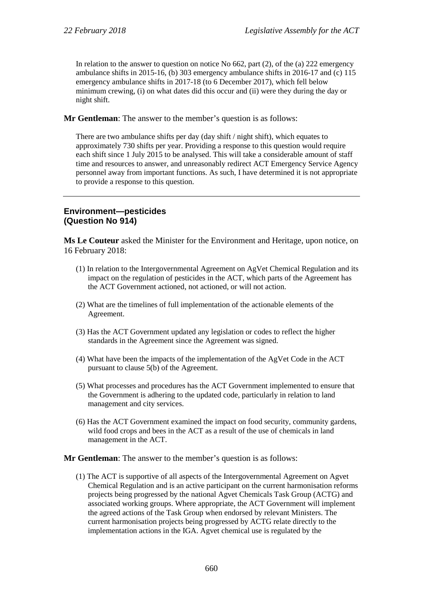In relation to the answer to question on notice No 662, part (2), of the (a) 222 emergency ambulance shifts in 2015-16, (b) 303 emergency ambulance shifts in 2016-17 and (c) 115 emergency ambulance shifts in 2017-18 (to 6 December 2017), which fell below minimum crewing, (i) on what dates did this occur and (ii) were they during the day or night shift.

**Mr Gentleman**: The answer to the member's question is as follows:

There are two ambulance shifts per day (day shift / night shift), which equates to approximately 730 shifts per year. Providing a response to this question would require each shift since 1 July 2015 to be analysed. This will take a considerable amount of staff time and resources to answer, and unreasonably redirect ACT Emergency Service Agency personnel away from important functions. As such, I have determined it is not appropriate to provide a response to this question.

## **Environment—pesticides (Question No 914)**

**Ms Le Couteur** asked the Minister for the Environment and Heritage, upon notice, on 16 February 2018:

- (1) In relation to the Intergovernmental Agreement on AgVet Chemical Regulation and its impact on the regulation of pesticides in the ACT, which parts of the Agreement has the ACT Government actioned, not actioned, or will not action.
- (2) What are the timelines of full implementation of the actionable elements of the Agreement.
- (3) Has the ACT Government updated any legislation or codes to reflect the higher standards in the Agreement since the Agreement was signed.
- (4) What have been the impacts of the implementation of the AgVet Code in the ACT pursuant to clause 5(b) of the Agreement.
- (5) What processes and procedures has the ACT Government implemented to ensure that the Government is adhering to the updated code, particularly in relation to land management and city services.
- (6) Has the ACT Government examined the impact on food security, community gardens, wild food crops and bees in the ACT as a result of the use of chemicals in land management in the ACT.

### **Mr Gentleman**: The answer to the member's question is as follows:

(1) The ACT is supportive of all aspects of the Intergovernmental Agreement on Agvet Chemical Regulation and is an active participant on the current harmonisation reforms projects being progressed by the national Agvet Chemicals Task Group (ACTG) and associated working groups. Where appropriate, the ACT Government will implement the agreed actions of the Task Group when endorsed by relevant Ministers. The current harmonisation projects being progressed by ACTG relate directly to the implementation actions in the IGA. Agvet chemical use is regulated by the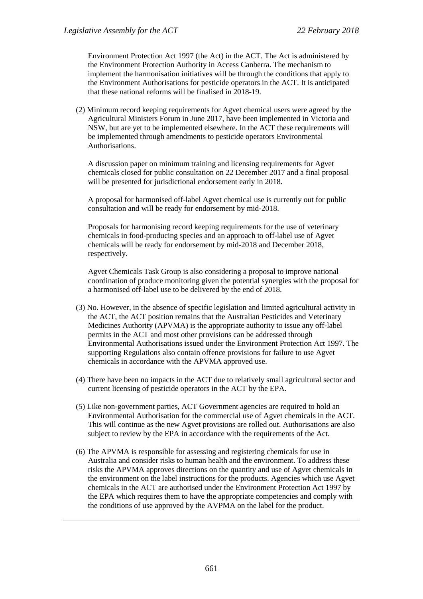Environment Protection Act 1997 (the Act) in the ACT. The Act is administered by the Environment Protection Authority in Access Canberra. The mechanism to implement the harmonisation initiatives will be through the conditions that apply to the Environment Authorisations for pesticide operators in the ACT. It is anticipated that these national reforms will be finalised in 2018-19.

(2) Minimum record keeping requirements for Agvet chemical users were agreed by the Agricultural Ministers Forum in June 2017, have been implemented in Victoria and NSW, but are yet to be implemented elsewhere. In the ACT these requirements will be implemented through amendments to pesticide operators Environmental Authorisations.

A discussion paper on minimum training and licensing requirements for Agvet chemicals closed for public consultation on 22 December 2017 and a final proposal will be presented for jurisdictional endorsement early in 2018.

A proposal for harmonised off-label Agvet chemical use is currently out for public consultation and will be ready for endorsement by mid-2018.

Proposals for harmonising record keeping requirements for the use of veterinary chemicals in food-producing species and an approach to off-label use of Agvet chemicals will be ready for endorsement by mid-2018 and December 2018, respectively.

Agvet Chemicals Task Group is also considering a proposal to improve national coordination of produce monitoring given the potential synergies with the proposal for a harmonised off-label use to be delivered by the end of 2018.

- (3) No. However, in the absence of specific legislation and limited agricultural activity in the ACT, the ACT position remains that the Australian Pesticides and Veterinary Medicines Authority (APVMA) is the appropriate authority to issue any off-label permits in the ACT and most other provisions can be addressed through Environmental Authorisations issued under the Environment Protection Act 1997. The supporting Regulations also contain offence provisions for failure to use Agvet chemicals in accordance with the APVMA approved use.
- (4) There have been no impacts in the ACT due to relatively small agricultural sector and current licensing of pesticide operators in the ACT by the EPA.
- (5) Like non-government parties, ACT Government agencies are required to hold an Environmental Authorisation for the commercial use of Agvet chemicals in the ACT. This will continue as the new Agvet provisions are rolled out. Authorisations are also subject to review by the EPA in accordance with the requirements of the Act.
- (6) The APVMA is responsible for assessing and registering chemicals for use in Australia and consider risks to human health and the environment. To address these risks the APVMA approves directions on the quantity and use of Agvet chemicals in the environment on the label instructions for the products. Agencies which use Agvet chemicals in the ACT are authorised under the Environment Protection Act 1997 by the EPA which requires them to have the appropriate competencies and comply with the conditions of use approved by the AVPMA on the label for the product.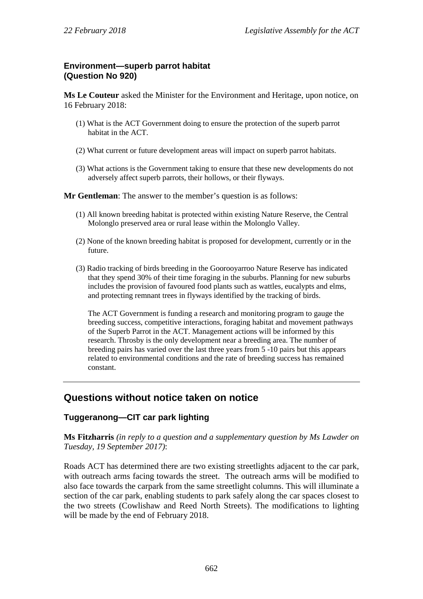# **Environment—superb parrot habitat (Question No 920)**

**Ms Le Couteur** asked the Minister for the Environment and Heritage, upon notice, on 16 February 2018:

- (1) What is the ACT Government doing to ensure the protection of the superb parrot habitat in the ACT.
- (2) What current or future development areas will impact on superb parrot habitats.
- (3) What actions is the Government taking to ensure that these new developments do not adversely affect superb parrots, their hollows, or their flyways.

**Mr Gentleman**: The answer to the member's question is as follows:

- (1) All known breeding habitat is protected within existing Nature Reserve, the Central Molonglo preserved area or rural lease within the Molonglo Valley.
- (2) None of the known breeding habitat is proposed for development, currently or in the future.
- (3) Radio tracking of birds breeding in the Goorooyarroo Nature Reserve has indicated that they spend 30% of their time foraging in the suburbs. Planning for new suburbs includes the provision of favoured food plants such as wattles, eucalypts and elms, and protecting remnant trees in flyways identified by the tracking of birds.

The ACT Government is funding a research and monitoring program to gauge the breeding success, competitive interactions, foraging habitat and movement pathways of the Superb Parrot in the ACT. Management actions will be informed by this research. Throsby is the only development near a breeding area. The number of breeding pairs has varied over the last three years from 5 -10 pairs but this appears related to environmental conditions and the rate of breeding success has remained constant.

# **Questions without notice taken on notice**

## **Tuggeranong—CIT car park lighting**

**Ms Fitzharris** *(in reply to a question and a supplementary question by Ms Lawder on Tuesday, 19 September 2017)*:

Roads ACT has determined there are two existing streetlights adjacent to the car park, with outreach arms facing towards the street. The outreach arms will be modified to also face towards the carpark from the same streetlight columns. This will illuminate a section of the car park, enabling students to park safely along the car spaces closest to the two streets (Cowlishaw and Reed North Streets). The modifications to lighting will be made by the end of February 2018.